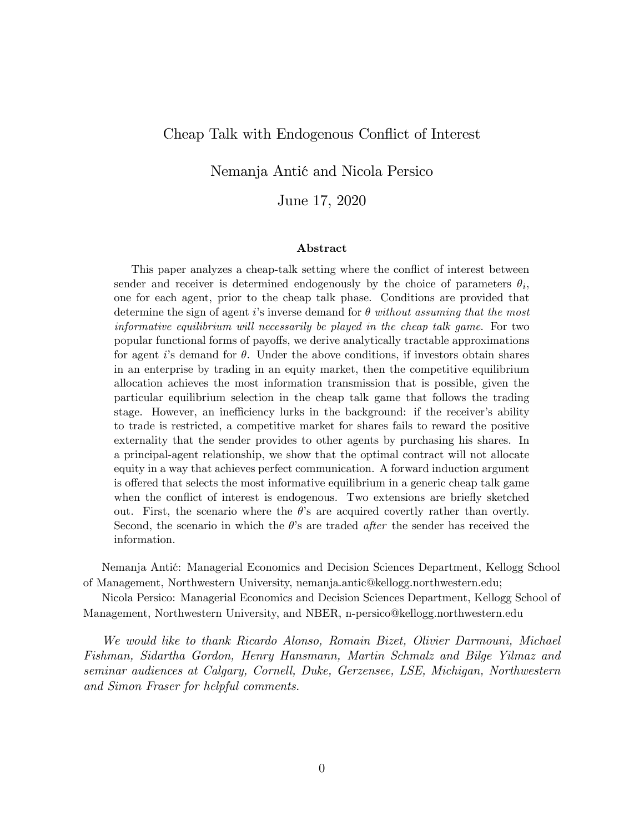## Cheap Talk with Endogenous Conflict of Interest

Nemanja Antić and Nicola Persico

June 17, 2020

#### Abstract

This paper analyzes a cheap-talk setting where the conflict of interest between sender and receiver is determined endogenously by the choice of parameters  $\theta_i$ , one for each agent, prior to the cheap talk phase. Conditions are provided that determine the sign of agent is inverse demand for  $\theta$  without assuming that the most informative equilibrium will necessarily be played in the cheap talk game. For two popular functional forms of payo§s, we derive analytically tractable approximations for agent is demand for  $\theta$ . Under the above conditions, if investors obtain shares in an enterprise by trading in an equity market, then the competitive equilibrium allocation achieves the most information transmission that is possible, given the particular equilibrium selection in the cheap talk game that follows the trading stage. However, an inefficiency lurks in the background: if the receiver's ability to trade is restricted, a competitive market for shares fails to reward the positive externality that the sender provides to other agents by purchasing his shares. In a principal-agent relationship, we show that the optimal contract will not allocate equity in a way that achieves perfect communication. A forward induction argument is offered that selects the most informative equilibrium in a generic cheap talk game when the conflict of interest is endogenous. Two extensions are briefly sketched out. First, the scenario where the  $\theta$ 's are acquired covertly rather than overtly. Second, the scenario in which the  $\theta$ 's are traded *after* the sender has received the information.

Nemanja Antić: Managerial Economics and Decision Sciences Department, Kellogg School of Management, Northwestern University, nemanja.antic@kellogg.northwestern.edu;

Nicola Persico: Managerial Economics and Decision Sciences Department, Kellogg School of Management, Northwestern University, and NBER, n-persico@kellogg.northwestern.edu

We would like to thank Ricardo Alonso, Romain Bizet, Olivier Darmouni, Michael Fishman, Sidartha Gordon, Henry Hansmann, Martin Schmalz and Bilge Yilmaz and seminar audiences at Calgary, Cornell, Duke, Gerzensee, LSE, Michigan, Northwestern and Simon Fraser for helpful comments.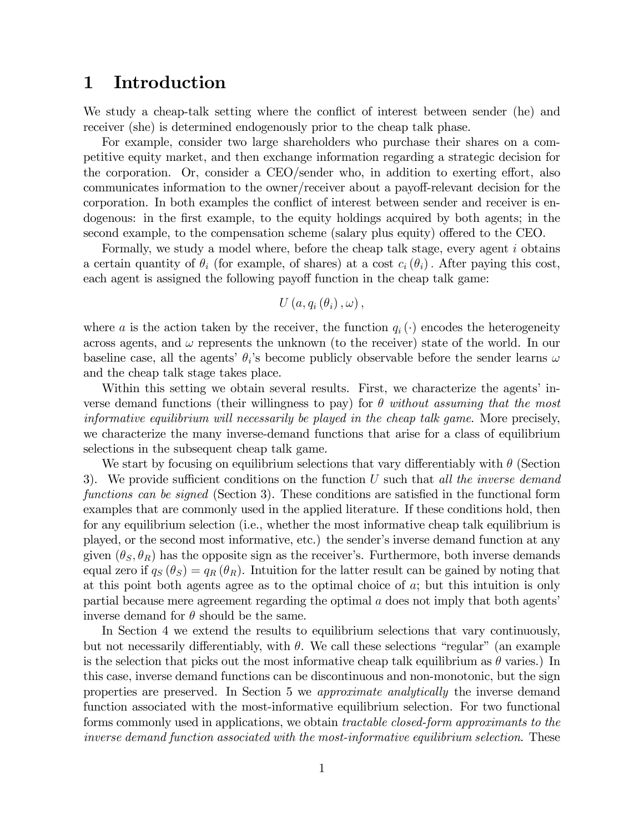## 1 Introduction

We study a cheap-talk setting where the conflict of interest between sender (he) and receiver (she) is determined endogenously prior to the cheap talk phase.

For example, consider two large shareholders who purchase their shares on a competitive equity market, and then exchange information regarding a strategic decision for the corporation. Or, consider a CEO/sender who, in addition to exerting effort, also communicates information to the owner/receiver about a payoff-relevant decision for the corporation. In both examples the conflict of interest between sender and receiver is endogenous: in the first example, to the equity holdings acquired by both agents; in the second example, to the compensation scheme (salary plus equity) offered to the CEO.

Formally, we study a model where, before the cheap talk stage, every agent i obtains a certain quantity of  $\theta_i$  (for example, of shares) at a cost  $c_i(\theta_i)$ . After paying this cost, each agent is assigned the following payoff function in the cheap talk game:

$$
U\left( a,q_{i}\left( \theta _{i}\right) ,\omega \right) ,
$$

where a is the action taken by the receiver, the function  $q_i(\cdot)$  encodes the heterogeneity across agents, and  $\omega$  represents the unknown (to the receiver) state of the world. In our baseline case, all the agents'  $\theta_i$ 's become publicly observable before the sender learns  $\omega$ and the cheap talk stage takes place.

Within this setting we obtain several results. First, we characterize the agents' inverse demand functions (their willingness to pay) for  $\theta$  without assuming that the most informative equilibrium will necessarily be played in the cheap talk game. More precisely, we characterize the many inverse-demand functions that arise for a class of equilibrium selections in the subsequent cheap talk game.

We start by focusing on equilibrium selections that vary differentiably with  $\theta$  (Section 3). We provide sufficient conditions on the function U such that all the inverse demand functions can be signed (Section 3). These conditions are satisfied in the functional form examples that are commonly used in the applied literature. If these conditions hold, then for any equilibrium selection (i.e., whether the most informative cheap talk equilibrium is played, or the second most informative, etc.) the sender's inverse demand function at any given  $(\theta_S, \theta_R)$  has the opposite sign as the receiver's. Furthermore, both inverse demands equal zero if  $q_S(\theta_S) = q_R(\theta_R)$ . Intuition for the latter result can be gained by noting that at this point both agents agree as to the optimal choice of a; but this intuition is only partial because mere agreement regarding the optimal  $a$  does not imply that both agents<sup>7</sup> inverse demand for  $\theta$  should be the same.

In Section 4 we extend the results to equilibrium selections that vary continuously, but not necessarily differentiably, with  $\theta$ . We call these selections "regular" (an example is the selection that picks out the most informative cheap talk equilibrium as  $\theta$  varies.) In this case, inverse demand functions can be discontinuous and non-monotonic, but the sign properties are preserved. In Section 5 we approximate analytically the inverse demand function associated with the most-informative equilibrium selection. For two functional forms commonly used in applications, we obtain *tractable closed-form approximants to the* inverse demand function associated with the most-informative equilibrium selection. These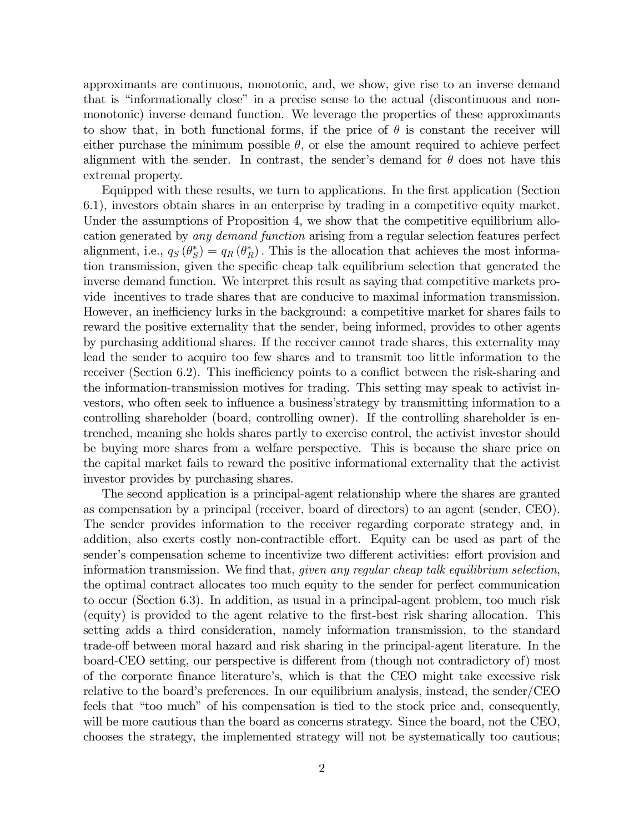approximants are continuous, monotonic, and, we show, give rise to an inverse demand that is "informationally close" in a precise sense to the actual (discontinuous and nonmonotonic) inverse demand function. We leverage the properties of these approximants to show that, in both functional forms, if the price of  $\theta$  is constant the receiver will either purchase the minimum possible  $\theta$ , or else the amount required to achieve perfect alignment with the sender. In contrast, the sender's demand for  $\theta$  does not have this extremal property.

Equipped with these results, we turn to applications. In the first application (Section 6.1), investors obtain shares in an enterprise by trading in a competitive equity market. Under the assumptions of Proposition 4, we show that the competitive equilibrium allocation generated by any demand function arising from a regular selection features perfect alignment, i.e.,  $q_S(\theta_S^*) = q_R(\theta_R^*)$ . This is the allocation that achieves the most information transmission, given the speciÖc cheap talk equilibrium selection that generated the inverse demand function. We interpret this result as saying that competitive markets provide incentives to trade shares that are conducive to maximal information transmission. However, an inefficiency lurks in the background: a competitive market for shares fails to reward the positive externality that the sender, being informed, provides to other agents by purchasing additional shares. If the receiver cannot trade shares, this externality may lead the sender to acquire too few shares and to transmit too little information to the receiver (Section 6.2). This inefficiency points to a conflict between the risk-sharing and the information-transmission motives for trading. This setting may speak to activist investors, who often seek to influence a business' strategy by transmitting information to a controlling shareholder (board, controlling owner). If the controlling shareholder is entrenched, meaning she holds shares partly to exercise control, the activist investor should be buying more shares from a welfare perspective. This is because the share price on the capital market fails to reward the positive informational externality that the activist investor provides by purchasing shares.

The second application is a principal-agent relationship where the shares are granted as compensation by a principal (receiver, board of directors) to an agent (sender, CEO). The sender provides information to the receiver regarding corporate strategy and, in addition, also exerts costly non-contractible effort. Equity can be used as part of the sender's compensation scheme to incentivize two different activities: effort provision and information transmission. We find that, *given any regular cheap talk equilibrium selection*, the optimal contract allocates too much equity to the sender for perfect communication to occur (Section 6.3). In addition, as usual in a principal-agent problem, too much risk (equity) is provided to the agent relative to the Örst-best risk sharing allocation. This setting adds a third consideration, namely information transmission, to the standard trade-off between moral hazard and risk sharing in the principal-agent literature. In the board-CEO setting, our perspective is different from (though not contradictory of) most of the corporate Önance literatureís, which is that the CEO might take excessive risk relative to the board's preferences. In our equilibrium analysis, instead, the sender/ $CEO$ feels that "too much" of his compensation is tied to the stock price and, consequently, will be more cautious than the board as concerns strategy. Since the board, not the CEO, chooses the strategy, the implemented strategy will not be systematically too cautious;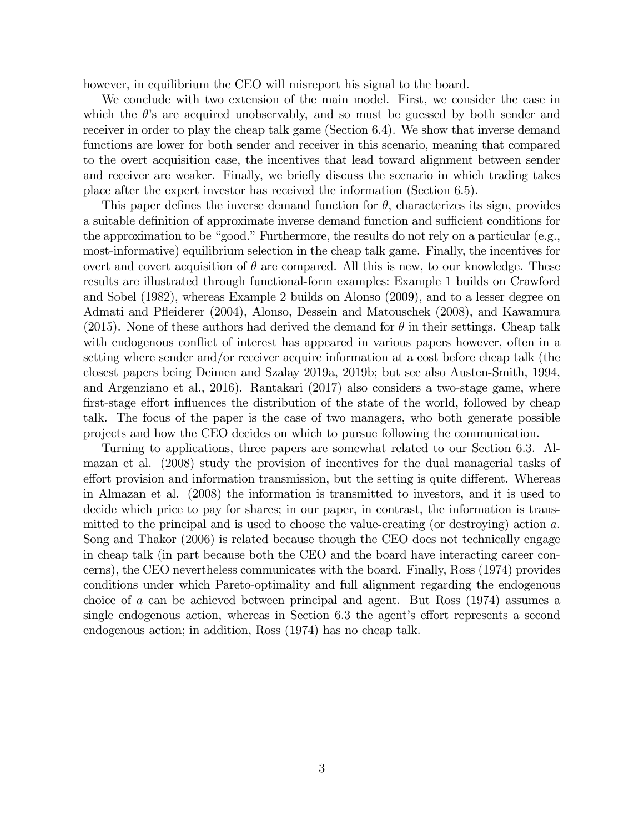however, in equilibrium the CEO will misreport his signal to the board.

We conclude with two extension of the main model. First, we consider the case in which the  $\theta$ 's are acquired unobservably, and so must be guessed by both sender and receiver in order to play the cheap talk game (Section 6.4). We show that inverse demand functions are lower for both sender and receiver in this scenario, meaning that compared to the overt acquisition case, the incentives that lead toward alignment between sender and receiver are weaker. Finally, we briefly discuss the scenario in which trading takes place after the expert investor has received the information (Section 6.5).

This paper defines the inverse demand function for  $\theta$ , characterizes its sign, provides a suitable definition of approximate inverse demand function and sufficient conditions for the approximation to be "good." Furthermore, the results do not rely on a particular (e.g., most-informative) equilibrium selection in the cheap talk game. Finally, the incentives for overt and covert acquisition of  $\theta$  are compared. All this is new, to our knowledge. These results are illustrated through functional-form examples: Example 1 builds on Crawford and Sobel (1982), whereas Example 2 builds on Alonso (2009), and to a lesser degree on Admati and Páeiderer (2004), Alonso, Dessein and Matouschek (2008), and Kawamura (2015). None of these authors had derived the demand for  $\theta$  in their settings. Cheap talk with endogenous conflict of interest has appeared in various papers however, often in a setting where sender and/or receiver acquire information at a cost before cheap talk (the closest papers being Deimen and Szalay 2019a, 2019b; but see also Austen-Smith, 1994, and Argenziano et al., 2016). Rantakari (2017) also considers a two-stage game, where first-stage effort influences the distribution of the state of the world, followed by cheap talk. The focus of the paper is the case of two managers, who both generate possible projects and how the CEO decides on which to pursue following the communication.

Turning to applications, three papers are somewhat related to our Section 6.3. Almazan et al. (2008) study the provision of incentives for the dual managerial tasks of effort provision and information transmission, but the setting is quite different. Whereas in Almazan et al. (2008) the information is transmitted to investors, and it is used to decide which price to pay for shares; in our paper, in contrast, the information is transmitted to the principal and is used to choose the value-creating (or destroying) action  $a$ . Song and Thakor (2006) is related because though the CEO does not technically engage in cheap talk (in part because both the CEO and the board have interacting career concerns), the CEO nevertheless communicates with the board. Finally, Ross (1974) provides conditions under which Pareto-optimality and full alignment regarding the endogenous choice of a can be achieved between principal and agent. But Ross (1974) assumes a single endogenous action, whereas in Section 6.3 the agent's effort represents a second endogenous action; in addition, Ross (1974) has no cheap talk.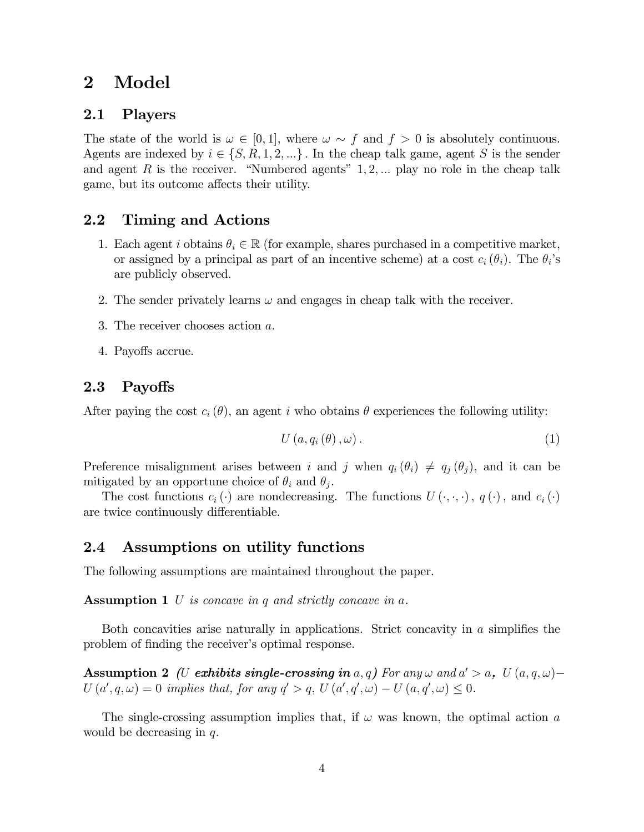## 2 Model

### 2.1 Players

The state of the world is  $\omega \in [0, 1]$ , where  $\omega \sim f$  and  $f > 0$  is absolutely continuous. Agents are indexed by  $i \in \{S, R, 1, 2, ...\}$ . In the cheap talk game, agent S is the sender and agent R is the receiver. "Numbered agents"  $1, 2, \ldots$  play no role in the cheap talk game, but its outcome affects their utility.

### 2.2 Timing and Actions

- 1. Each agent i obtains  $\theta_i \in \mathbb{R}$  (for example, shares purchased in a competitive market, or assigned by a principal as part of an incentive scheme) at a cost  $c_i (\theta_i)$ . The  $\theta_i$ 's are publicly observed.
- 2. The sender privately learns  $\omega$  and engages in cheap talk with the receiver.
- 3. The receiver chooses action a:
- 4. Payoffs accrue.

### 2.3 Payoffs

After paying the cost  $c_i(\theta)$ , an agent i who obtains  $\theta$  experiences the following utility:

$$
U\left(a,q_i\left(\theta\right),\omega\right). \tag{1}
$$

Preference misalignment arises between i and j when  $q_i (\theta_i) \neq q_j (\theta_j)$ , and it can be mitigated by an opportune choice of  $\theta_i$  and  $\theta_j$ .

The cost functions  $c_i(\cdot)$  are nondecreasing. The functions  $U(\cdot, \cdot, \cdot)$ ,  $q(\cdot)$ , and  $c_i(\cdot)$ are twice continuously differentiable.

### 2.4 Assumptions on utility functions

The following assumptions are maintained throughout the paper.

Assumption 1 U is concave in q and strictly concave in a.

Both concavities arise naturally in applications. Strict concavity in  $\alpha$  simplifies the problem of finding the receiver's optimal response.

Assumption 2 (U exhibits single-crossing in a, q) For any  $\omega$  and  $a' > a$ ,  $U(a, q, \omega)$  - $U(a', q, \omega) = 0$  implies that, for any  $q' > q$ ,  $U(a', q', \omega) - U(a, q', \omega) \leq 0$ .

The single-crossing assumption implies that, if  $\omega$  was known, the optimal action a would be decreasing in  $q$ .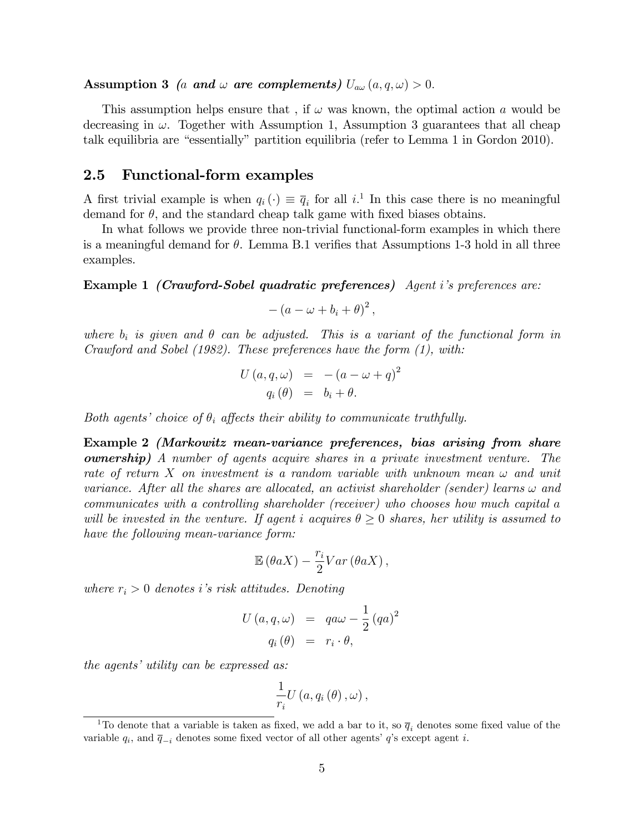Assumption 3 (a and  $\omega$  are complements)  $U_{a\omega}(a,q,\omega) > 0$ .

This assumption helps ensure that, if  $\omega$  was known, the optimal action a would be decreasing in  $\omega$ . Together with Assumption 1, Assumption 3 guarantees that all cheap talk equilibria are "essentially" partition equilibria (refer to Lemma 1 in Gordon 2010).

### 2.5 Functional-form examples

A first trivial example is when  $q_i(\cdot) \equiv \overline{q}_i$  for all  $i$ <sup>1</sup>. In this case there is no meaningful demand for  $\theta$ , and the standard cheap talk game with fixed biases obtains.

In what follows we provide three non-trivial functional-form examples in which there is a meaningful demand for  $\theta$ . Lemma B.1 verifies that Assumptions 1-3 hold in all three examples.

Example 1 (Crawford-Sobel quadratic preferences) Agent iís preferences are:

$$
-(a - \omega + b_i + \theta)^2,
$$

where  $b_i$  is given and  $\theta$  can be adjusted. This is a variant of the functional form in Crawford and Sobel (1982). These preferences have the form (1), with:

$$
U(a,q,\omega) = -(a-\omega+q)^2
$$
  
 
$$
q_i(\theta) = b_i + \theta.
$$

Both agents' choice of  $\theta_i$  affects their ability to communicate truthfully.

Example 2 (Markowitz mean-variance preferences, bias arising from share ownership) A number of agents acquire shares in a private investment venture. The rate of return X on investment is a random variable with unknown mean  $\omega$  and unit variance. After all the shares are allocated, an activist shareholder (sender) learns  $\omega$  and communicates with a controlling shareholder (receiver) who chooses how much capital a will be invested in the venture. If agent i acquires  $\theta \geq 0$  shares, her utility is assumed to have the following mean-variance form:

$$
\mathbb{E}\left(\theta aX\right)-\frac{r_i}{2}Var\left(\theta aX\right),\,
$$

where  $r_i > 0$  denotes i's risk attitudes. Denoting

$$
U(a,q,\omega) = qa\omega - \frac{1}{2} (qa)^2
$$

$$
q_i(\theta) = r_i \cdot \theta,
$$

the agents' utility can be expressed as:

$$
\frac{1}{r_{i}}U\left( a,q_{i}\left( \theta\right) ,\omega\right) ,
$$

<sup>&</sup>lt;sup>1</sup>To denote that a variable is taken as fixed, we add a bar to it, so  $\bar{q}_i$  denotes some fixed value of the variable  $q_i$ , and  $\bar{q}_{-i}$  denotes some fixed vector of all other agents'  $q$ 's except agent i.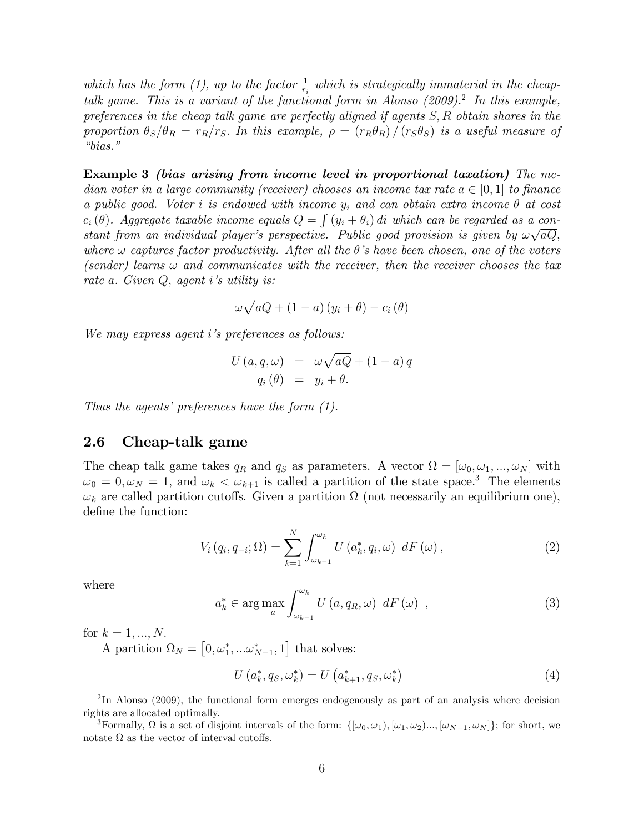which has the form (1), up to the factor  $\frac{1}{r_i}$  which is strategically immaterial in the cheaptalk game. This is a variant of the functional form in Alonso  $(2009)^2$ . In this example, preferences in the cheap talk game are perfectly aligned if agents S; R obtain shares in the proportion  $\theta_S/\theta_R = r_R/r_S$ . In this example,  $\rho = (r_R\theta_R)/ (r_S\theta_S)$  is a useful measure of  $"bias."$ 

Example 3 (bias arising from income level in proportional taxation) The median voter in a large community (receiver) chooses an income tax rate  $a \in [0,1]$  to finance a public good. Voter i is endowed with income  $y_i$  and can obtain extra income  $\theta$  at cost  $c_i(\theta)$ . Aggregate taxable income equals  $Q = \int (y_i + \theta_i) di$  which can be regarded as a constant from an individual player's perspective. Public good provision is given by  $\omega \sqrt{aQ}$ , where  $\omega$  captures factor productivity. After all the  $\theta$ 's have been chosen, one of the voters (sender) learns  $\omega$  and communicates with the receiver, then the receiver chooses the tax rate a. Given  $Q$ , agent i's utility is:

$$
\omega\sqrt{aQ} + (1-a)(y_i + \theta) - c_i(\theta)
$$

We may express agent i's preferences as follows:

$$
U(a,q,\omega) = \omega \sqrt{aQ} + (1-a) q
$$
  
 
$$
q_i(\theta) = y_i + \theta.
$$

Thus the agents' preferences have the form  $(1)$ .

### 2.6 Cheap-talk game

The cheap talk game takes  $q_R$  and  $q_S$  as parameters. A vector  $\Omega = [\omega_0, \omega_1, ..., \omega_N]$  with  $\omega_0 = 0, \omega_N = 1$ , and  $\omega_k < \omega_{k+1}$  is called a partition of the state space.<sup>3</sup> The elements  $\omega_k$  are called partition cutoffs. Given a partition  $\Omega$  (not necessarily an equilibrium one), define the function:

$$
V_i(q_i, q_{-i}; \Omega) = \sum_{k=1}^{N} \int_{\omega_{k-1}}^{\omega_k} U\left(a_k^*, q_i, \omega\right) dF\left(\omega\right), \qquad (2)
$$

where

$$
a_{k}^{*} \in \arg \max_{a} \int_{\omega_{k-1}}^{\omega_{k}} U\left(a, q_{R}, \omega\right) dF\left(\omega\right) , \qquad (3)
$$

for  $k = 1, ..., N$ .

A partition  $\Omega_N = [0, \omega_1^*, ... \omega_{N-1}^*, 1]$  that solves:

$$
U(a_k^*, q_S, \omega_k^*) = U(a_{k+1}^*, q_S, \omega_k^*)
$$
\n(4)

 $2\text{In Alonso } (2009)$ , the functional form emerges endogenously as part of an analysis where decision rights are allocated optimally.

<sup>&</sup>lt;sup>3</sup>Formally,  $\Omega$  is a set of disjoint intervals of the form:  $\{[\omega_0, \omega_1), [\omega_1, \omega_2], ..., [\omega_{N-1}, \omega_N]\}$ ; for short, we notate  $\Omega$  as the vector of interval cutoffs.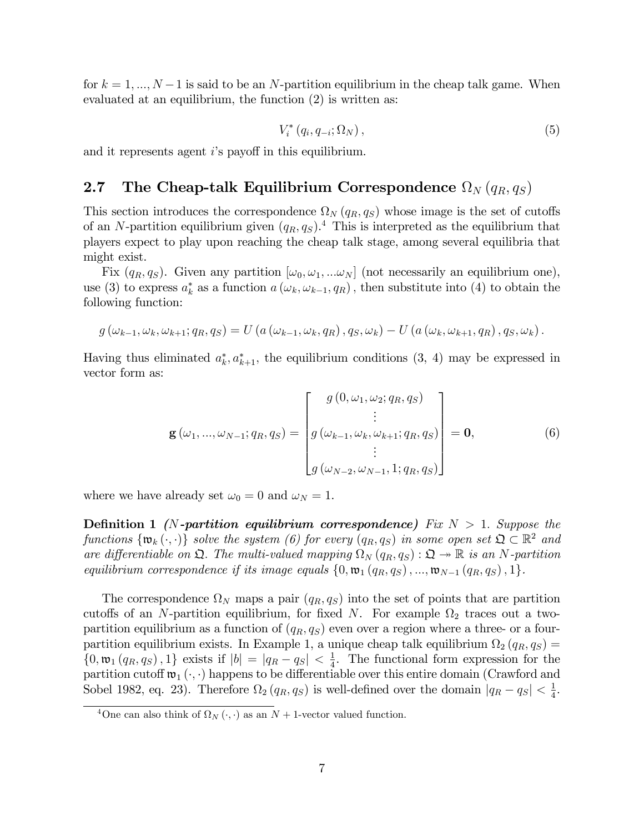for  $k = 1, ..., N-1$  is said to be an N-partition equilibrium in the cheap talk game. When evaluated at an equilibrium, the function (2) is written as:

$$
V_i^*(q_i, q_{-i}; \Omega_N), \qquad (5)
$$

and it represents agent  $i$ 's payoff in this equilibrium.

## 2.7 The Cheap-talk Equilibrium Correspondence  $\Omega_N\left(q_R,q_S\right)$

This section introduces the correspondence  $\Omega_N(q_R, q_S)$  whose image is the set of cutoffs of an N-partition equilibrium given  $(q_R, q_S)$ .<sup>4</sup> This is interpreted as the equilibrium that players expect to play upon reaching the cheap talk stage, among several equilibria that might exist.

Fix  $(q_R, q_S)$ . Given any partition  $[\omega_0, \omega_1, \ldots \omega_N]$  (not necessarily an equilibrium one), use (3) to express  $a_k^*$  as a function  $a(\omega_k, \omega_{k-1}, q_R)$ , then substitute into (4) to obtain the following function:

$$
g\left(\omega_{k-1},\omega_k,\omega_{k+1};q_R,q_S\right)=U\left(a\left(\omega_{k-1},\omega_k,q_R\right),q_S,\omega_k\right)-U\left(a\left(\omega_k,\omega_{k+1},q_R\right),q_S,\omega_k\right).
$$

Having thus eliminated  $a_k^*, a_{k+1}^*$ , the equilibrium conditions  $(3, 4)$  may be expressed in vector form as:

$$
\mathbf{g}(\omega_1, ..., \omega_{N-1}; q_R, q_S) = \begin{bmatrix} g(0, \omega_1, \omega_2; q_R, q_S) \\ \vdots \\ g(\omega_{k-1}, \omega_k, \omega_{k+1}; q_R, q_S) \\ \vdots \\ g(\omega_{N-2}, \omega_{N-1}, 1; q_R, q_S) \end{bmatrix} = \mathbf{0},
$$
 (6)

where we have already set  $\omega_0 = 0$  and  $\omega_N = 1$ .

**Definition 1** (N-partition equilibrium correspondence) Fix  $N > 1$ . Suppose the functions  $\{\mathfrak{w}_k(\cdot,\cdot)\}\$  solve the system (6) for every  $(q_R, q_S)\$  in some open set  $\mathfrak{Q} \subset \mathbb{R}^2$  and are differentiable on  $\mathfrak{Q}$ . The multi-valued mapping  $\Omega_N(q_R, q_S) : \mathfrak{Q} \to \mathbb{R}$  is an N-partition equilibrium correspondence if its image equals  $\{0, \mathfrak{w}_1(q_R, q_S), ..., \mathfrak{w}_{N-1}(q_R, q_S), 1\}.$ 

The correspondence  $\Omega_N$  maps a pair  $(q_R, q_S)$  into the set of points that are partition cutoffs of an N-partition equilibrium, for fixed N. For example  $\Omega_2$  traces out a twopartition equilibrium as a function of  $(q_R, q_S)$  even over a region where a three- or a fourpartition equilibrium exists. In Example 1, a unique cheap talk equilibrium  $\Omega_2(q_R, q_S) =$  $\{0, \mathfrak{w}_1(q_R, q_S), 1\}$  exists if  $|b| = |q_R - q_S| < \frac{1}{4}$  $\frac{1}{4}$ . The functional form expression for the partition cutoff  $\mathfrak{w}_1(\cdot, \cdot)$  happens to be differentiable over this entire domain (Crawford and Sobel 1982, eq. 23). Therefore  $\Omega_2(q_R, q_S)$  is well-defined over the domain  $|q_R - q_S| < \frac{1}{4}$  $\frac{1}{4}$ .

<sup>&</sup>lt;sup>4</sup>One can also think of  $\Omega_N(\cdot, \cdot)$  as an  $N + 1$ -vector valued function.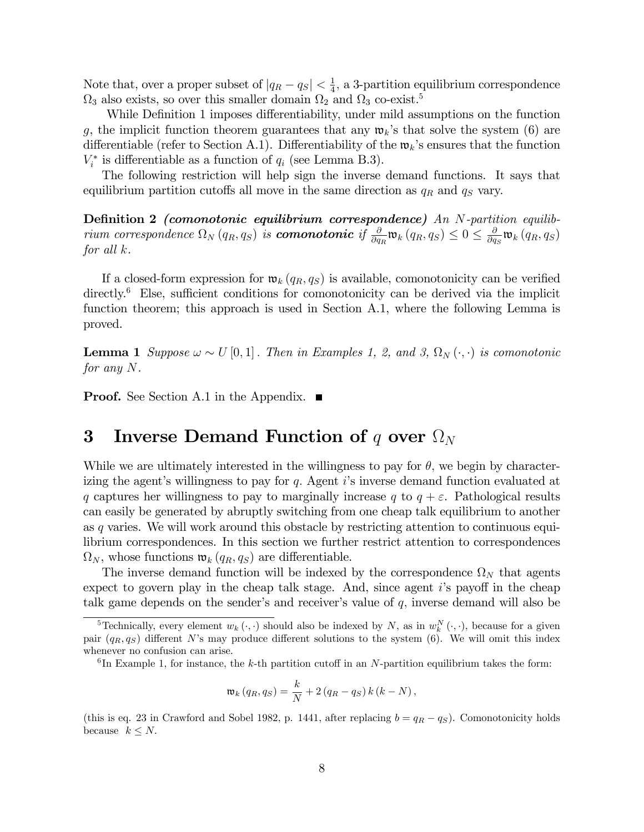Note that, over a proper subset of  $|q_R - q_S| < \frac{1}{4}$  $\frac{1}{4}$ , a 3-partition equilibrium correspondence  $\Omega_3$  also exists, so over this smaller domain  $\Omega_2$  and  $\Omega_3$  co-exist.<sup>5</sup>

While Definition 1 imposes differentiability, under mild assumptions on the function g, the implicit function theorem guarantees that any  $\mathfrak{w}_k$ 's that solve the system (6) are differentiable (refer to Section A.1). Differentiability of the  $\mathfrak{w}_k$ 's ensures that the function  $V_i^*$  is differentiable as a function of  $q_i$  (see Lemma B.3).

The following restriction will help sign the inverse demand functions. It says that equilibrium partition cutoffs all move in the same direction as  $q_R$  and  $q_S$  vary.

Definition 2 (comonotonic equilibrium correspondence) An  $N$ -partition equilib- $\begin{array}{c} \hbox{rium correspondence } \Omega_N\left(q_R,q_S\right) \hbox{ is **comonotonic** if } \frac{\partial}{\partial q_R}\mathfrak{w}_k\left(q_R,q_S\right)\leq 0\leq \frac{\partial}{\partial q_R} \end{array}$  $\frac{\partial}{\partial q_S}$ to<sub>k</sub>  $(q_R, q_S)$ for all k.

If a closed-form expression for  $\mathfrak{w}_k(q_R, q_S)$  is available, comonotonicity can be verified directly.<sup>6</sup> Else, sufficient conditions for comonotonicity can be derived via the implicit function theorem; this approach is used in Section A.1, where the following Lemma is proved.

**Lemma 1** Suppose  $\omega \sim U[0,1]$ . Then in Examples 1, 2, and 3,  $\Omega_N(\cdot, \cdot)$  is comonotonic for any N.

**Proof.** See Section A.1 in the Appendix.  $\blacksquare$ 

## 3 Inverse Demand Function of  $q$  over  $\Omega_N$

While we are ultimately interested in the willingness to pay for  $\theta$ , we begin by characterizing the agent's willingness to pay for  $q$ . Agent i's inverse demand function evaluated at q captures her willingness to pay to marginally increase q to  $q + \varepsilon$ . Pathological results can easily be generated by abruptly switching from one cheap talk equilibrium to another as q varies. We will work around this obstacle by restricting attention to continuous equilibrium correspondences. In this section we further restrict attention to correspondences  $\Omega_N$ , whose functions  $\mathfrak{w}_k(q_R, q_S)$  are differentiable.

The inverse demand function will be indexed by the correspondence  $\Omega_N$  that agents expect to govern play in the cheap talk stage. And, since agent  $i$ 's payoff in the cheap talk game depends on the sender's and receiver's value of  $q$ , inverse demand will also be

$$
\mathfrak{w}_{k}(q_{R},q_{S})=\frac{k}{N}+2(q_{R}-q_{S})k(k-N),
$$

(this is eq. 23 in Crawford and Sobel 1982, p. 1441, after replacing  $b = q<sub>R</sub> - q<sub>S</sub>$ ). Comonotonicity holds because  $k \leq N$ .

<sup>&</sup>lt;sup>5</sup>Technically, every element  $w_k(\cdot, \cdot)$  should also be indexed by N, as in  $w_k^N(\cdot, \cdot)$ , because for a given pair  $(q_R, q_S)$  different N's may produce different solutions to the system (6). We will omit this index whenever no confusion can arise.

 ${}^{6}$ In Example 1, for instance, the k-th partition cutoff in an N-partition equilibrium takes the form: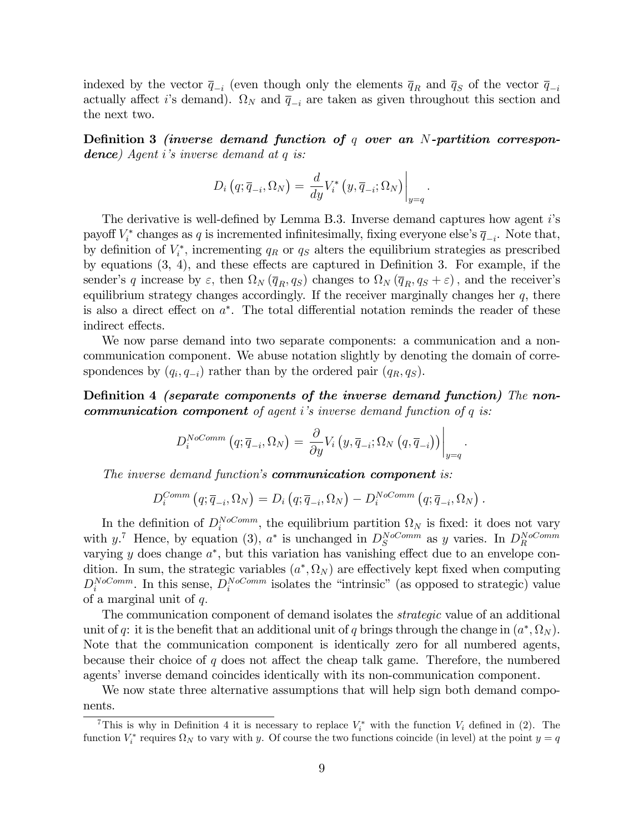indexed by the vector  $\overline{q}_{-i}$  (even though only the elements  $\overline{q}_R$  and  $\overline{q}_S$  of the vector  $\overline{q}_{-i}$ actually affect *i*'s demand).  $\Omega_N$  and  $\overline{q}_{-i}$  are taken as given throughout this section and the next two.

Definition 3 (inverse demand function of  $q$  over an N-partition correspon**dence**) Agent i's inverse demand at  $q$  is:

$$
D_i\left(q; \overline{q}_{-i}, \Omega_N\right) = \left. \frac{d}{dy} V_i^*\left(y, \overline{q}_{-i}; \Omega_N\right) \right|_{y=q}
$$

:

The derivative is well-defined by Lemma B.3. Inverse demand captures how agent  $i$ 's payoff  $V_i^*$  changes as q is incremented infinitesimally, fixing everyone else's  $\overline{q}_{-i}$ . Note that, by definition of  $V_i^*$ , incrementing  $q_R$  or  $q_S$  alters the equilibrium strategies as prescribed by equations  $(3, 4)$ , and these effects are captured in Definition 3. For example, if the sender's q increase by  $\varepsilon$ , then  $\Omega_N(\overline{q}_R, q_S)$  changes to  $\Omega_N(\overline{q}_R, q_S + \varepsilon)$ , and the receiver's equilibrium strategy changes accordingly. If the receiver marginally changes her  $q$ , there is also a direct effect on  $a^*$ . The total differential notation reminds the reader of these indirect effects.

We now parse demand into two separate components: a communication and a noncommunication component. We abuse notation slightly by denoting the domain of correspondences by  $(q_i, q_{-i})$  rather than by the ordered pair  $(q_R, q_S)$ .

Definition 4 *(separate components of the inverse demand function)* The non**communication component** of agent i's inverse demand function of q is:

$$
D_i^{NoComm}\left(q;\overline{q}_{-i},\Omega_N\right) = \frac{\partial}{\partial y} V_i\left(y,\overline{q}_{-i};\Omega_N\left(q,\overline{q}_{-i}\right)\right)\Big|_{y=q}.
$$

The inverse demand function's **communication component** is:

$$
D_i^{Comm} (q; \overline{q}_{-i}, \Omega_N) = D_i (q; \overline{q}_{-i}, \Omega_N) - D_i^{NoComm} (q; \overline{q}_{-i}, \Omega_N) .
$$

In the definition of  $D_i^{NoComm}$ , the equilibrium partition  $\Omega_N$  is fixed: it does not vary with y.<sup>7</sup> Hence, by equation (3),  $a^*$  is unchanged in  $D_S^{NoComm}$  as y varies. In  $D_R^{NoComm}$ varying  $y$  does change  $a^*$ , but this variation has vanishing effect due to an envelope condition. In sum, the strategic variables  $(a^*, \Omega_N)$  are effectively kept fixed when computing  $D_i^{NoComm}$ . In this sense,  $D_i^{NoComm}$  isolates the "intrinsic" (as opposed to strategic) value of a marginal unit of  $q$ .

The communication component of demand isolates the *strategic* value of an additional unit of q: it is the benefit that an additional unit of q brings through the change in  $(a^*, \Omega_N)$ . Note that the communication component is identically zero for all numbered agents, because their choice of q does not affect the cheap talk game. Therefore, the numbered agents' inverse demand coincides identically with its non-communication component.

We now state three alternative assumptions that will help sign both demand components.

<sup>&</sup>lt;sup>7</sup>This is why in Definition 4 it is necessary to replace  $V_i^*$  with the function  $V_i$  defined in (2). The function  $V_i^*$  requires  $\Omega_N$  to vary with y. Of course the two functions coincide (in level) at the point  $y = q$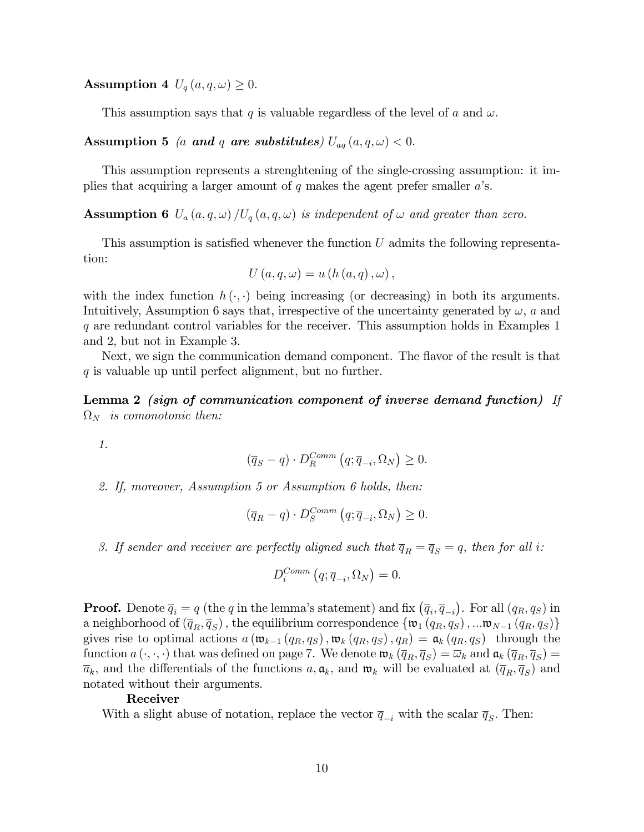Assumption 4  $U_q(a,q,\omega) \geq 0$ .

This assumption says that q is valuable regardless of the level of a and  $\omega$ .

Assumption 5 (a and q are substitutes)  $U_{aq}(a,q,\omega) < 0$ .

This assumption represents a strenghtening of the single-crossing assumption: it implies that acquiring a larger amount of  $q$  makes the agent prefer smaller  $a$ 's.

**Assumption 6**  $U_a(a, q, \omega) / U_q(a, q, \omega)$  is independent of  $\omega$  and greater than zero.

This assumption is satisfied whenever the function  $U$  admits the following representation:

$$
U(a,q,\omega) = u(h(a,q),\omega),
$$

with the index function  $h(\cdot, \cdot)$  being increasing (or decreasing) in both its arguments. Intuitively, Assumption 6 says that, irrespective of the uncertainty generated by  $\omega$ , a and q are redundant control variables for the receiver. This assumption holds in Examples 1 and 2, but not in Example 3.

Next, we sign the communication demand component. The flavor of the result is that q is valuable up until perfect alignment, but no further.

Lemma 2 (sign of communication component of inverse demand function) If  $\Omega_N$  is comonotonic then:

1.

$$
(\overline{q}_S - q) \cdot D_R^{Comm} (q; \overline{q}_{-i}, \Omega_N) \ge 0.
$$

2. If, moreover, Assumption 5 or Assumption 6 holds, then:

$$
(\overline{q}_R - q) \cdot D_S^{Comm} (q; \overline{q}_{-i}, \Omega_N) \ge 0.
$$

3. If sender and receiver are perfectly aligned such that  $\overline{q}_R = \overline{q}_S = q$ , then for all i:

$$
D_i^{Comm} (q; \overline{q}_{-i}, \Omega_N) = 0.
$$

**Proof.** Denote  $\overline{q}_i = q$  (the q in the lemma's statement) and fix  $(\overline{q}_i, \overline{q}_{-i})$ . For all  $(q_R, q_S)$  in a neighborhood of  $(\overline{q}_R, \overline{q}_S)$ , the equilibrium correspondence  $\{\mathfrak{w}_1 (q_R, q_S), ... \mathfrak{w}_{N-1} (q_R, q_S)\}\$ gives rise to optimal actions  $a(\mathfrak{w}_{k-1} (q_R, q_S), \mathfrak{w}_k (q_R, q_S), q_R) = \mathfrak{a}_k (q_R, q_S)$  through the function  $a(\cdot, \cdot, \cdot)$  that was defined on page 7. We denote  $\mathfrak{w}_k(\overline{q}_R, \overline{q}_S) = \overline{\omega}_k$  and  $\mathfrak{a}_k(\overline{q}_R, \overline{q}_S) =$  $\overline{a}_k$ , and the differentials of the functions  $a, \mathfrak{a}_k$ , and  $\mathfrak{w}_k$  will be evaluated at  $(\overline{q}_R, \overline{q}_S)$  and notated without their arguments.

#### Receiver

With a slight abuse of notation, replace the vector  $\overline{q}_{-i}$  with the scalar  $\overline{q}_S$ . Then: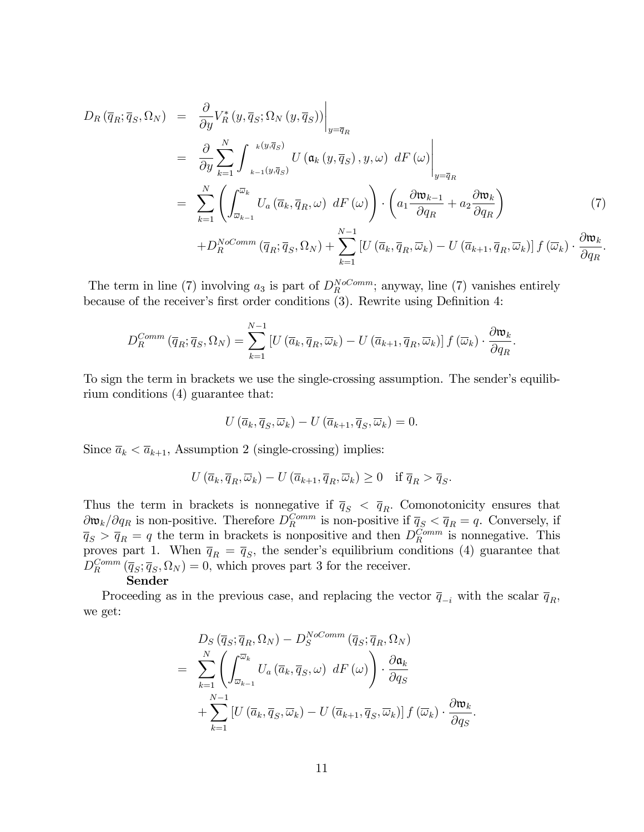$$
D_{R}(\overline{q}_{R};\overline{q}_{S},\Omega_{N}) = \frac{\partial}{\partial y}V_{R}^{*}(y,\overline{q}_{S};\Omega_{N}(y,\overline{q}_{S}))\Big|_{y=\overline{q}_{R}}
$$
  
\n
$$
= \frac{\partial}{\partial y}\sum_{k=1}^{N}\int_{\mathbf{w}_{k-1}(y,\overline{q}_{S})}^{\mathbf{w}_{k}(y,\overline{q}_{S})}U(\mathbf{a}_{k}(y,\overline{q}_{S}),y,\omega) dF(\omega)\Big|_{y=\overline{q}_{R}}
$$
  
\n
$$
= \sum_{k=1}^{N}\left(\int_{\overline{\omega}_{k-1}}^{\overline{\omega}_{k}}U_{a}(\overline{a}_{k},\overline{q}_{R},\omega) dF(\omega)\right) \cdot \left(a_{1}\frac{\partial \mathbf{w}_{k-1}}{\partial q_{R}} + a_{2}\frac{\partial \mathbf{w}_{k}}{\partial q_{R}}\right)
$$
  
\n
$$
+D_{R}^{NoComm}(\overline{q}_{R};\overline{q}_{S},\Omega_{N}) + \sum_{k=1}^{N-1}\left[U(\overline{a}_{k},\overline{q}_{R},\overline{\omega}_{k}) - U(\overline{a}_{k+1},\overline{q}_{R},\overline{\omega}_{k})\right]f(\overline{\omega}_{k}) \cdot \frac{\partial \mathbf{w}_{k}}{\partial q_{R}}.
$$
 (7)

The term in line (7) involving  $a_3$  is part of  $D_R^{NoComm}$ ; anyway, line (7) vanishes entirely because of the receiver's first order conditions (3). Rewrite using Definition 4:

$$
D_R^{Comm}(\overline{q}_R; \overline{q}_S, \Omega_N) = \sum_{k=1}^{N-1} \left[ U(\overline{a}_k, \overline{q}_R, \overline{\omega}_k) - U(\overline{a}_{k+1}, \overline{q}_R, \overline{\omega}_k) \right] f(\overline{\omega}_k) \cdot \frac{\partial \mathfrak{w}_k}{\partial q_R}
$$

:

To sign the term in brackets we use the single-crossing assumption. The sender's equilibrium conditions (4) guarantee that:

$$
U\left(\overline{a}_k, \overline{q}_S, \overline{\omega}_k\right) - U\left(\overline{a}_{k+1}, \overline{q}_S, \overline{\omega}_k\right) = 0.
$$

Since  $\bar{a}_k < \bar{a}_{k+1}$ , Assumption 2 (single-crossing) implies:

$$
U\left(\overline{a}_k,\overline{q}_R,\overline{\omega}_k\right)-U\left(\overline{a}_{k+1},\overline{q}_R,\overline{\omega}_k\right)\geq 0 \quad \text{if } \overline{q}_R > \overline{q}_S.
$$

Thus the term in brackets is nonnegative if  $\bar{q}_S < \bar{q}_R$ . Comonotonicity ensures that  $\partial \mathfrak{w}_k/\partial q_R$  is non-positive. Therefore  $D_R^{Comm}$  is non-positive if  $\bar{q}_S < \bar{q}_R = q$ . Conversely, if  $\overline{q}_S > \overline{q}_R = q$  the term in brackets is nonpositive and then  $D_R^{Comm}$  is nonnegative. This proves part 1. When  $\bar{q}_R = \bar{q}_S$ , the sender's equilibrium conditions (4) guarantee that  $D_R^{Comm}(\overline{q}_S; \overline{q}_S, \Omega_N) = 0$ , which proves part 3 for the receiver.

#### Sender

Proceeding as in the previous case, and replacing the vector  $\bar{q}_{-i}$  with the scalar  $\bar{q}_R$ ; we get:

$$
D_S(\overline{q}_S; \overline{q}_R, \Omega_N) - D_S^{NoComm}(\overline{q}_S; \overline{q}_R, \Omega_N)
$$
  
= 
$$
\sum_{k=1}^N \left( \int_{\overline{\omega}_{k-1}}^{\overline{\omega}_k} U_a(\overline{a}_k, \overline{q}_S, \omega) dF(\omega) \right) \cdot \frac{\partial \mathfrak{a}_k}{\partial q_S}
$$
  
+ 
$$
\sum_{k=1}^{N-1} \left[ U(\overline{a}_k, \overline{q}_S, \overline{\omega}_k) - U(\overline{a}_{k+1}, \overline{q}_S, \overline{\omega}_k) \right] f(\overline{\omega}_k) \cdot \frac{\partial \mathfrak{w}_k}{\partial q_S}.
$$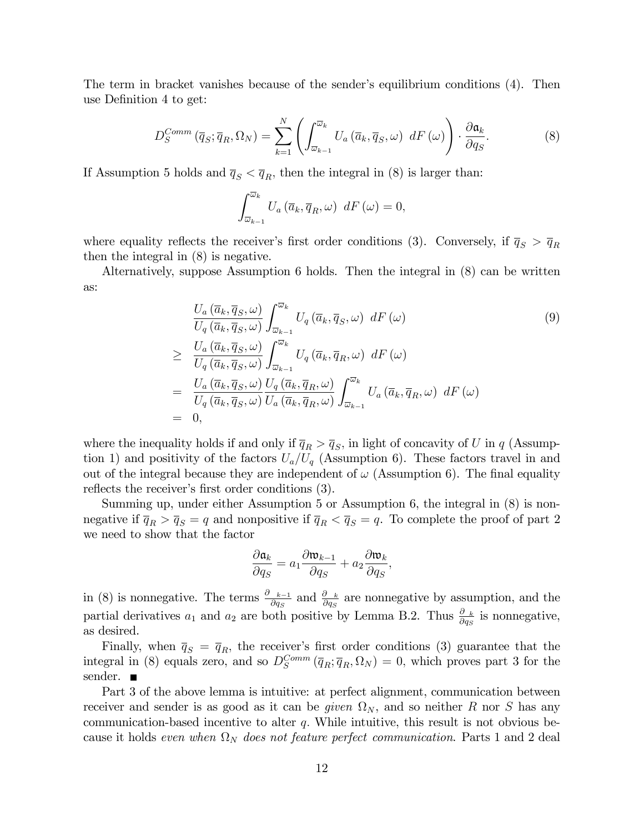The term in bracket vanishes because of the sender's equilibrium conditions (4). Then use Definition 4 to get:

$$
D_S^{Comm}(\overline{q}_S; \overline{q}_R, \Omega_N) = \sum_{k=1}^N \left( \int_{\overline{\omega}_{k-1}}^{\overline{\omega}_k} U_a(\overline{a}_k, \overline{q}_S, \omega) \ dF(\omega) \right) \cdot \frac{\partial \mathfrak{a}_k}{\partial q_S}.
$$
 (8)

If Assumption 5 holds and  $\bar{q}_S < \bar{q}_R$ , then the integral in (8) is larger than:

$$
\int_{\overline{\omega}_{k-1}}^{\overline{\omega}_k} U_a\left(\overline{a}_k, \overline{q}_R, \omega\right) dF\left(\omega\right) = 0,
$$

where equality reflects the receiver's first order conditions (3). Conversely, if  $\bar{q}_S > \bar{q}_R$ then the integral in (8) is negative.

Alternatively, suppose Assumption 6 holds. Then the integral in (8) can be written as:

$$
\frac{U_a(\overline{a}_k, \overline{q}_S, \omega)}{U_q(\overline{a}_k, \overline{q}_S, \omega)} \int_{\overline{\omega}_{k-1}}^{\overline{\omega}_k} U_q(\overline{a}_k, \overline{q}_S, \omega) dF(\omega)
$$
\n
$$
\geq \frac{U_a(\overline{a}_k, \overline{q}_S, \omega)}{U_q(\overline{a}_k, \overline{q}_S, \omega)} \int_{\overline{\omega}_{k-1}}^{\overline{\omega}_k} U_q(\overline{a}_k, \overline{q}_R, \omega) dF(\omega)
$$
\n
$$
= \frac{U_a(\overline{a}_k, \overline{q}_S, \omega)}{U_q(\overline{a}_k, \overline{q}_S, \omega)} \frac{U_q(\overline{a}_k, \overline{q}_R, \omega)}{U_a(\overline{a}_k, \overline{q}_R, \omega)} \int_{\overline{\omega}_{k-1}}^{\overline{\omega}_k} U_a(\overline{a}_k, \overline{q}_R, \omega) dF(\omega)
$$
\n
$$
= 0,
$$
\n(9)

where the inequality holds if and only if  $\overline{q}_R > \overline{q}_S$ , in light of concavity of U in q (Assumption 1) and positivity of the factors  $U_a/U_q$  (Assumption 6). These factors travel in and out of the integral because they are independent of  $\omega$  (Assumption 6). The final equality reflects the receiver's first order conditions (3).

Summing up, under either Assumption 5 or Assumption 6, the integral in (8) is nonnegative if  $\bar{q}_R > \bar{q}_S = q$  and nonpositive if  $\bar{q}_R < \bar{q}_S = q$ . To complete the proof of part 2 we need to show that the factor

$$
\frac{\partial \mathfrak{a}_k}{\partial q_S} = a_1 \frac{\partial \mathfrak{w}_{k-1}}{\partial q_S} + a_2 \frac{\partial \mathfrak{w}_k}{\partial q_S},
$$

in (8) is nonnegative. The terms  $\frac{\partial w_{k-1}}{\partial q_S}$  and  $\frac{\partial w_k}{\partial q_S}$  are nonnegative by assumption, and the partial derivatives  $a_1$  and  $a_2$  are both positive by Lemma B.2. Thus  $\frac{\partial a_k}{\partial q_S}$  is nonnegative, as desired.

Finally, when  $\bar{q}_S = \bar{q}_R$ , the receiver's first order conditions (3) guarantee that the integral in (8) equals zero, and so  $D_S^{Comm}(\overline{q}_R; \overline{q}_R, \Omega_N) = 0$ , which proves part 3 for the sender. **■** 

Part 3 of the above lemma is intuitive: at perfect alignment, communication between receiver and sender is as good as it can be *given*  $\Omega_N$ , and so neither R nor S has any communication-based incentive to alter  $q$ . While intuitive, this result is not obvious because it holds *even when*  $\Omega_N$  *does not feature perfect communication*. Parts 1 and 2 deal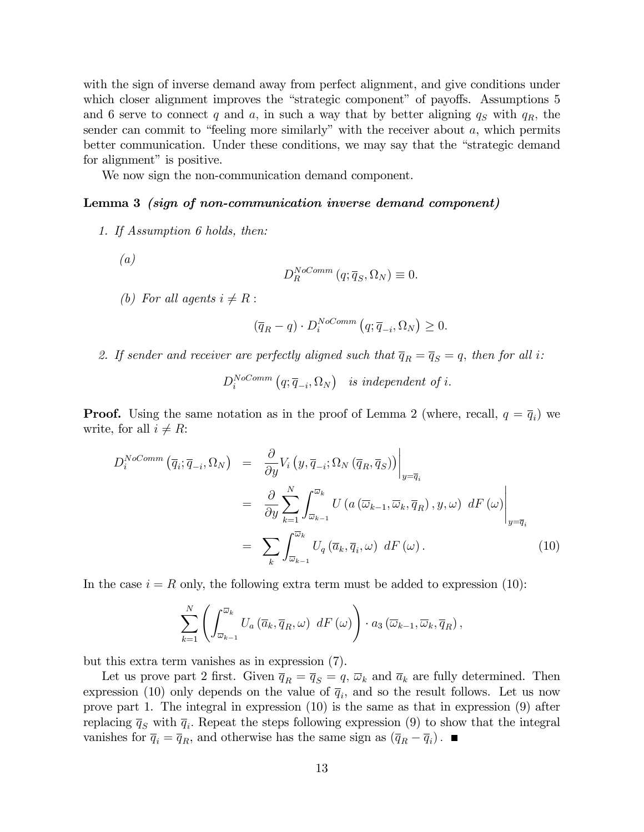with the sign of inverse demand away from perfect alignment, and give conditions under which closer alignment improves the "strategic component" of payoffs. Assumptions 5 and 6 serve to connect q and a, in such a way that by better aligning  $q_S$  with  $q_R$ , the sender can commit to "feeling more similarly" with the receiver about  $a$ , which permits better communication. Under these conditions, we may say that the "strategic demand" for alignment" is positive.

We now sign the non-communication demand component.

#### Lemma 3 (sign of non-communication inverse demand component)

- 1. If Assumption 6 holds, then:
	- (a)

$$
D_R^{NoComm}\left(q;\overline{q}_S,\Omega_N\right) \equiv 0.
$$

(b) For all agents  $i \neq R$ :

$$
(\overline{q}_R - q) \cdot D_i^{NoComm} (q; \overline{q}_{-i}, \Omega_N) \ge 0.
$$

2. If sender and receiver are perfectly aligned such that  $\overline{q}_R = \overline{q}_S = q$ , then for all i:

 $D_i^{NoComm}\left( q;\overline{q}_{-i},\Omega_N\right)$  is independent of i.

**Proof.** Using the same notation as in the proof of Lemma 2 (where, recall,  $q = \overline{q}_i$ ) we write, for all  $i \neq R$ :

$$
D_i^{NoComm}(\overline{q}_i; \overline{q}_{-i}, \Omega_N) = \frac{\partial}{\partial y} V_i \left( y, \overline{q}_{-i}; \Omega_N (\overline{q}_R, \overline{q}_S) \right) \Big|_{y = \overline{q}_i}
$$
  

$$
= \frac{\partial}{\partial y} \sum_{k=1}^N \int_{\overline{\omega}_{k-1}}^{\overline{\omega}_k} U \left( a \left( \overline{\omega}_{k-1}, \overline{\omega}_k, \overline{q}_R \right), y, \omega \right) dF \left( \omega \right) \Big|_{y = \overline{q}_i}
$$
  

$$
= \sum_k \int_{\overline{\omega}_{k-1}}^{\overline{\omega}_k} U_q \left( \overline{a}_k, \overline{q}_i, \omega \right) dF \left( \omega \right).
$$
 (10)

In the case  $i = R$  only, the following extra term must be added to expression (10):

$$
\sum_{k=1}^{N} \left( \int_{\overline{\omega}_{k-1}}^{\overline{\omega}_{k}} U_{a} \left( \overline{a}_{k}, \overline{q}_{R}, \omega \right) \; dF\left( \omega \right) \right) \cdot a_{3} \left( \overline{\omega}_{k-1}, \overline{\omega}_{k}, \overline{q}_{R} \right),
$$

but this extra term vanishes as in expression (7).

Let us prove part 2 first. Given  $\overline{q}_R = \overline{q}_S = q$ ,  $\overline{\omega}_k$  and  $\overline{a}_k$  are fully determined. Then expression (10) only depends on the value of  $\overline{q}_i$ , and so the result follows. Let us now prove part 1. The integral in expression (10) is the same as that in expression (9) after replacing  $\overline{q}_S$  with  $\overline{q}_i$ . Repeat the steps following expression (9) to show that the integral vanishes for  $\overline{q}_i = \overline{q}_R$ , and otherwise has the same sign as  $(\overline{q}_R - \overline{q}_i)$ .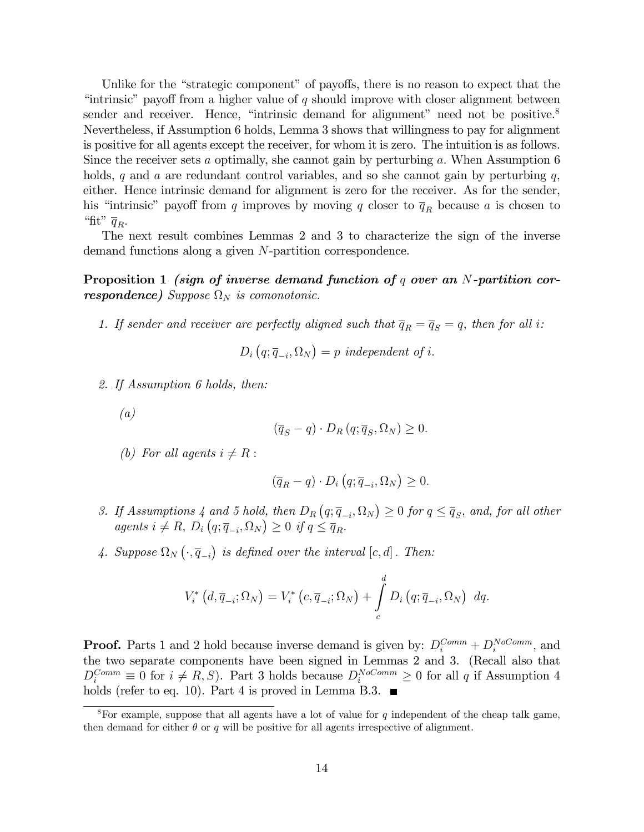Unlike for the "strategic component" of payoffs, there is no reason to expect that the "intrinsic" payoff from a higher value of q should improve with closer alignment between sender and receiver. Hence, "intrinsic demand for alignment" need not be positive. $8$ Nevertheless, if Assumption 6 holds, Lemma 3 shows that willingness to pay for alignment is positive for all agents except the receiver, for whom it is zero. The intuition is as follows. Since the receiver sets a optimally, she cannot gain by perturbing a. When Assumption 6 holds, q and a are redundant control variables, and so she cannot gain by perturbing  $q$ , either. Hence intrinsic demand for alignment is zero for the receiver. As for the sender, his "intrinsic" payoff from q improves by moving q closer to  $\overline{q}_R$  because a is chosen to "fit"  $\overline{q}_R$ .

The next result combines Lemmas 2 and 3 to characterize the sign of the inverse demand functions along a given N-partition correspondence.

## Proposition 1 *(sign of inverse demand function of q over an N-partition cor***respondence)** Suppose  $\Omega_N$  is comonotonic.

1. If sender and receiver are perfectly aligned such that  $\overline{q}_R = \overline{q}_S = q$ , then for all i:

$$
D_i\left(q; \overline{q}_{-i}, \Omega_N\right) = p \ independent \ of \ i.
$$

2. If Assumption 6 holds, then:

(a)

$$
(\overline{q}_S - q) \cdot D_R(q; \overline{q}_S, \Omega_N) \ge 0.
$$

(b) For all agents  $i \neq R$ :

$$
(\overline{q}_R - q) \cdot D_i \left( q; \overline{q}_{-i}, \Omega_N \right) \geq 0.
$$

- 3. If Assumptions 4 and 5 hold, then  $D_R(q; \overline{q}_{-i}, \Omega_N) \geq 0$  for  $q \leq \overline{q}_S$ , and, for all other agents  $i \neq R$ ,  $D_i(q; \overline{q}_{-i}, \Omega_N) \geq 0$  if  $q \leq \overline{q}_R$ .
- 4. Suppose  $\Omega_N(\cdot, \overline{q}_{-i})$  is defined over the interval  $[c, d]$ . Then:

$$
V_i^*\left(d,\overline{q}_{-i};\Omega_N\right) = V_i^*\left(c,\overline{q}_{-i};\Omega_N\right) + \int\limits_c^d D_i\left(q;\overline{q}_{-i},\Omega_N\right) dq.
$$

**Proof.** Parts 1 and 2 hold because inverse demand is given by:  $D_i^{Comm} + D_i^{NoComm}$ , and the two separate components have been signed in Lemmas 2 and 3. (Recall also that  $D_i^{Comm} \equiv 0$  for  $i \neq R, S$ ). Part 3 holds because  $D_i^{NoComm} \geq 0$  for all q if Assumption 4 holds (refer to eq. 10). Part 4 is proved in Lemma B.3.  $\blacksquare$ 

<sup>&</sup>lt;sup>8</sup>For example, suppose that all agents have a lot of value for  $q$  independent of the cheap talk game, then demand for either  $\theta$  or q will be positive for all agents irrespective of alignment.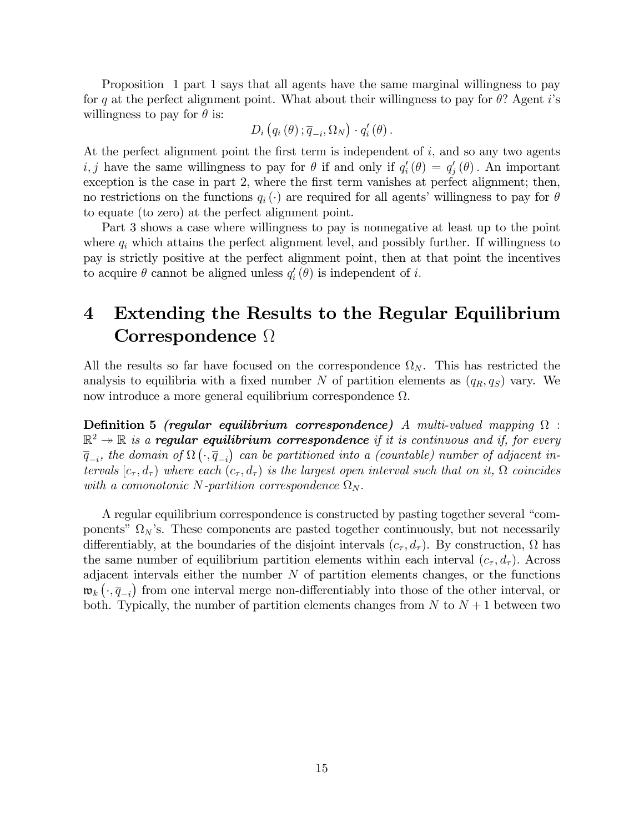Proposition 1 part 1 says that all agents have the same marginal willingness to pay for q at the perfect alignment point. What about their willingness to pay for  $\theta$ ? Agent is willingness to pay for  $\theta$  is:

$$
D_i(g_i(\theta); \overline{q}_{-i}, \Omega_N) \cdot q'_i(\theta).
$$

At the perfect alignment point the first term is independent of  $i$ , and so any two agents *i*, *j* have the same willingness to pay for  $\theta$  if and only if  $q'_{i}(\theta) = q'_{j}(\theta)$ . An important exception is the case in part 2, where the first term vanishes at perfect alignment; then, no restrictions on the functions  $q_i(\cdot)$  are required for all agents' willingness to pay for  $\theta$ to equate (to zero) at the perfect alignment point.

Part 3 shows a case where willingness to pay is nonnegative at least up to the point where  $q_i$  which attains the perfect alignment level, and possibly further. If willingness to pay is strictly positive at the perfect alignment point, then at that point the incentives to acquire  $\theta$  cannot be aligned unless  $q_i'(\theta)$  is independent of i.

## 4 Extending the Results to the Regular Equilibrium Correspondence  $\Omega$

All the results so far have focused on the correspondence  $\Omega_N$ . This has restricted the analysis to equilibria with a fixed number N of partition elements as  $(q_R, q_S)$  vary. We now introduce a more general equilibrium correspondence  $\Omega$ .

**Definition 5** (regular equilibrium correspondence) A multi-valued mapping  $\Omega$  :  $\mathbb{R}^2 \twoheadrightarrow \mathbb{R}$  is a **regular equilibrium correspondence** if it is continuous and if, for every  $\overline{q}_{-i}$ , the domain of  $\Omega\left(\cdot,\overline{q}_{-i}\right)$  can be partitioned into a (countable) number of adjacent intervals  $[c_{\tau}, d_{\tau})$  where each  $(c_{\tau}, d_{\tau})$  is the largest open interval such that on it,  $\Omega$  coincides with a comonotonic N-partition correspondence  $\Omega_N$ .

A regular equilibrium correspondence is constructed by pasting together several "components"  $\Omega_N$ 's. These components are pasted together continuously, but not necessarily differentiably, at the boundaries of the disjoint intervals  $(c_{\tau}, d_{\tau})$ . By construction,  $\Omega$  has the same number of equilibrium partition elements within each interval  $(c_{\tau}, d_{\tau})$ . Across adjacent intervals either the number  $N$  of partition elements changes, or the functions  $\mathfrak{w}_k(\cdot, \overline{q}_{-i})$  from one interval merge non-differentiably into those of the other interval, or both. Typically, the number of partition elements changes from  $N$  to  $N+1$  between two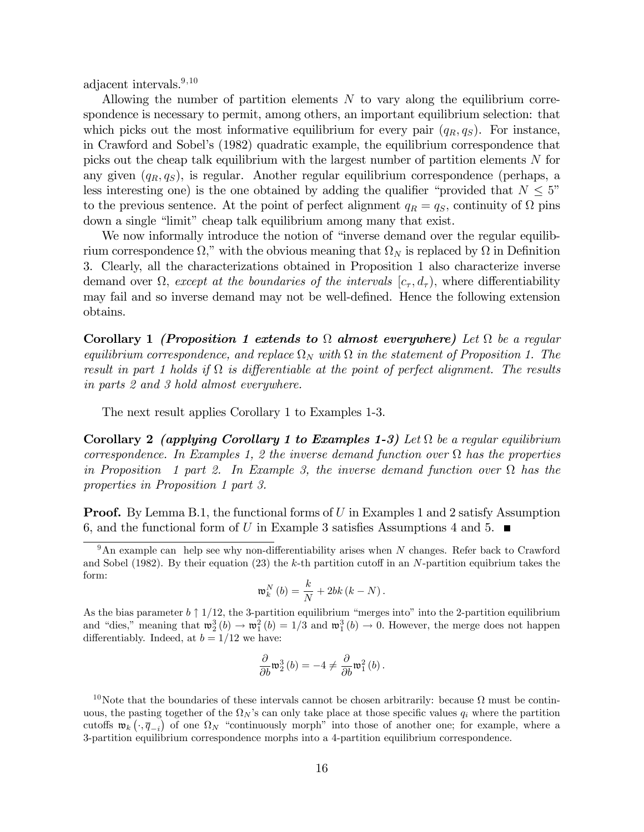adjacent intervals.<sup>9,10</sup>

Allowing the number of partition elements  $N$  to vary along the equilibrium correspondence is necessary to permit, among others, an important equilibrium selection: that which picks out the most informative equilibrium for every pair  $(q_R, q_S)$ . For instance, in Crawford and Sobelís (1982) quadratic example, the equilibrium correspondence that picks out the cheap talk equilibrium with the largest number of partition elements  $N$  for any given  $(q_R, q_S)$ , is regular. Another regular equilibrium correspondence (perhaps, a less interesting one) is the one obtained by adding the qualifier "provided that  $N \leq 5$ " to the previous sentence. At the point of perfect alignment  $q_R = q_S$ , continuity of  $\Omega$  pins down a single "limit" cheap talk equilibrium among many that exist.

We now informally introduce the notion of "inverse demand over the regular equilibrium correspondence  $\Omega$ ," with the obvious meaning that  $\Omega_N$  is replaced by  $\Omega$  in Definition 3. Clearly, all the characterizations obtained in Proposition 1 also characterize inverse demand over  $\Omega$ , except at the boundaries of the intervals  $[c_{\tau}, d_{\tau})$ , where differentiability may fail and so inverse demand may not be well-defined. Hence the following extension obtains.

Corollary 1 (Proposition 1 extends to  $\Omega$  almost everywhere) Let  $\Omega$  be a regular equilibrium correspondence, and replace  $\Omega_N$  with  $\Omega$  in the statement of Proposition 1. The result in part 1 holds if  $\Omega$  is differentiable at the point of perfect alignment. The results in parts 2 and 3 hold almost everywhere.

The next result applies Corollary 1 to Examples 1-3.

Corollary 2 (applying Corollary 1 to Examples 1-3) Let  $\Omega$  be a regular equilibrium correspondence. In Examples 1, 2 the inverse demand function over  $\Omega$  has the properties in Proposition 1 part 2. In Example 3, the inverse demand function over  $\Omega$  has the properties in Proposition 1 part 3.

**Proof.** By Lemma B.1, the functional forms of U in Examples 1 and 2 satisfy Assumption 6, and the functional form of U in Example 3 satisfies Assumptions 4 and 5.  $\blacksquare$ 

$$
\mathfrak{w}_{k}^{N}\left( b\right) =\frac{k}{N}+2bk\left( k-N\right) .
$$

As the bias parameter  $b \uparrow 1/12$ , the 3-partition equilibrium "merges into" into the 2-partition equilibrium and "dies," meaning that  $\mathfrak{w}_2^3(b) \to \mathfrak{w}_1^2(b) = 1/3$  and  $\mathfrak{w}_1^3(b) \to 0$ . However, the merge does not happen differentiably. Indeed, at  $b = 1/12$  we have:

$$
\frac{\partial}{\partial b}\mathfrak{w}_2^3(b) = -4 \neq \frac{\partial}{\partial b}\mathfrak{w}_1^2(b).
$$

 $9 \text{ An example can help see why non-differentiability arises when } N \text{ changes. Refer back to Crawford}$ and Sobel (1982). By their equation (23) the k-th partition cutoff in an  $N$ -partition equibrium takes the form:

<sup>&</sup>lt;sup>10</sup>Note that the boundaries of these intervals cannot be chosen arbitrarily: because  $\Omega$  must be continuous, the pasting together of the  $\Omega_N$ 's can only take place at those specific values  $q_i$  where the partition cutoffs  $\mathfrak{w}_k(\cdot, \overline{q}_{-i})$  of one  $\Omega_N$  "continuously morph" into those of another one; for example, where a 3-partition equilibrium correspondence morphs into a 4-partition equilibrium correspondence.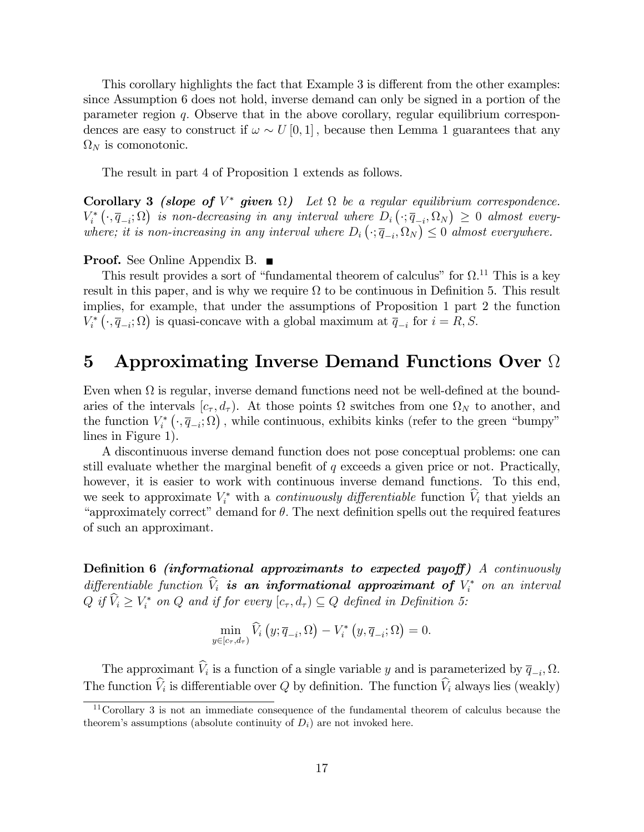This corollary highlights the fact that Example 3 is different from the other examples: since Assumption 6 does not hold, inverse demand can only be signed in a portion of the parameter region q: Observe that in the above corollary, regular equilibrium correspondences are easy to construct if  $\omega \sim U[0, 1]$ , because then Lemma 1 guarantees that any  $\Omega_N$  is comonotonic.

The result in part 4 of Proposition 1 extends as follows.

**Corollary 3** (slope of  $V^*$  given  $\Omega$ ) Let  $\Omega$  be a regular equilibrium correspondence.  $V_i^* \left( \cdot, \overline{q}_{-i}; \Omega \right)$  is non-decreasing in any interval where  $D_i \left( \cdot, \overline{q}_{-i}, \Omega_N \right) \geq 0$  almost everywhere; it is non-increasing in any interval where  $D_i\left(\cdot; \overline{q}_{-i}, \Omega_N\right) \leq 0$  almost everywhere.

#### **Proof.** See Online Appendix B. ■

This result provides a sort of "fundamental theorem of calculus" for  $\Omega$ .<sup>11</sup> This is a key result in this paper, and is why we require  $\Omega$  to be continuous in Definition 5. This result implies, for example, that under the assumptions of Proposition 1 part 2 the function  $V_i^* \left( \cdot, \overline{q}_{-i}; \Omega \right)$  is quasi-concave with a global maximum at  $\overline{q}_{-i}$  for  $i = R, S$ .

## 5 Approximating Inverse Demand Functions Over  $\Omega$

Even when  $\Omega$  is regular, inverse demand functions need not be well-defined at the boundaries of the intervals  $[c_{\tau}, d_{\tau})$ . At those points  $\Omega$  switches from one  $\Omega_N$  to another, and the function  $V_i^* \left( \cdot, \overline{q}_{-i}; \Omega \right)$ , while continuous, exhibits kinks (refer to the green "bumpy" lines in Figure 1).

A discontinuous inverse demand function does not pose conceptual problems: one can still evaluate whether the marginal benefit of  $q$  exceeds a given price or not. Practically, however, it is easier to work with continuous inverse demand functions. To this end, we seek to approximate  $V_i^*$  with a *continuously differentiable* function  $V_i$  that yields an "approximately correct" demand for  $\theta$ . The next definition spells out the required features of such an approximant.

Definition 6 *(informational approximants to expected payoff)* A *continuously* differentiable function  $V_i$  is an informational approximant of  $V_i^*$  on an interval  $Q$  if  $V_i \geq V_i^*$  on  $Q$  and if for every  $[c_{\tau}, d_{\tau}) \subseteq Q$  defined in Definition 5:

$$
\min_{y \in [c_{\tau}, d_{\tau})} \widehat{V}_i \left( y; \overline{q}_{-i}, \Omega \right) - V_i^* \left( y, \overline{q}_{-i}; \Omega \right) = 0.
$$

The approximant  $V_i$  is a function of a single variable y and is parameterized by  $\overline{q}_{-i}$ ,  $\Omega$ . The function  $V_i$  is differentiable over  $Q$  by definition. The function  $V_i$  always lies (weakly)

<sup>11</sup>Corollary 3 is not an immediate consequence of the fundamental theorem of calculus because the theorem's assumptions (absolute continuity of  $D_i$ ) are not invoked here.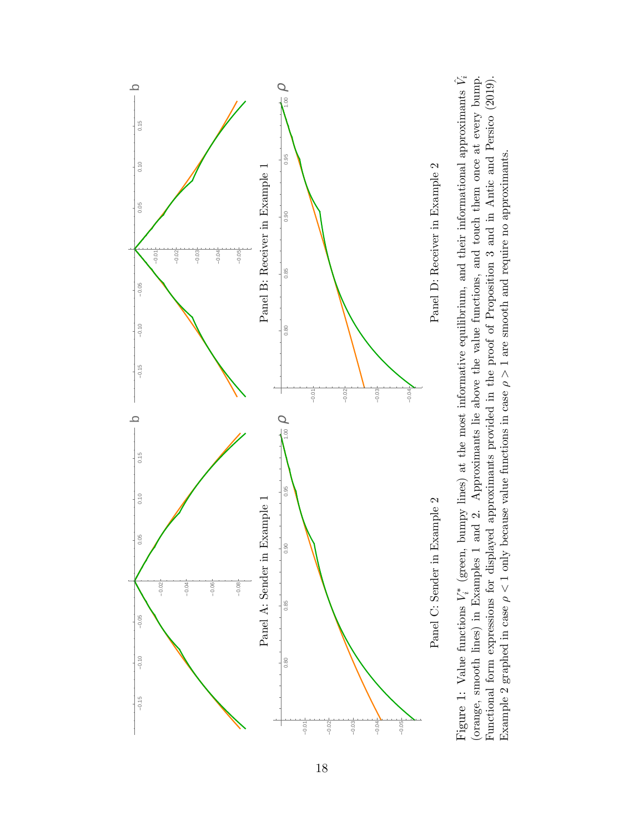

(orange, smooth lines) in Examples 1 and 2. Approximants lie above the value functions, and touch them once at every bump. Functional form expressions for displayed approximants provided in the proof of Proposition 3 and in Antic and Persico (2019).  $\hat{\mathcal{V}}_i$ (orange, smooth lines) in Examples 1 and 2. Approximants lie above the value functions, and touch them once at every bump. Functional form expressions for displayed approximants provided in the proof of Proposition 3 and in Antic and Persico (2019).  $\tilde{i}^*$  (green, bumpy lines) at the most informative equilibrium, and their informational approximants Example 2 graphed in case  $\rho < 1$  only because value functions in case  $\rho > 1$  are smooth and require no approximants. Example 2 graphed in case  $\rho < 1$  only because value functions in case  $\rho > 1$  are smooth and require no approximants.  $\breve{\triangleright}$ Figure 1: Value functions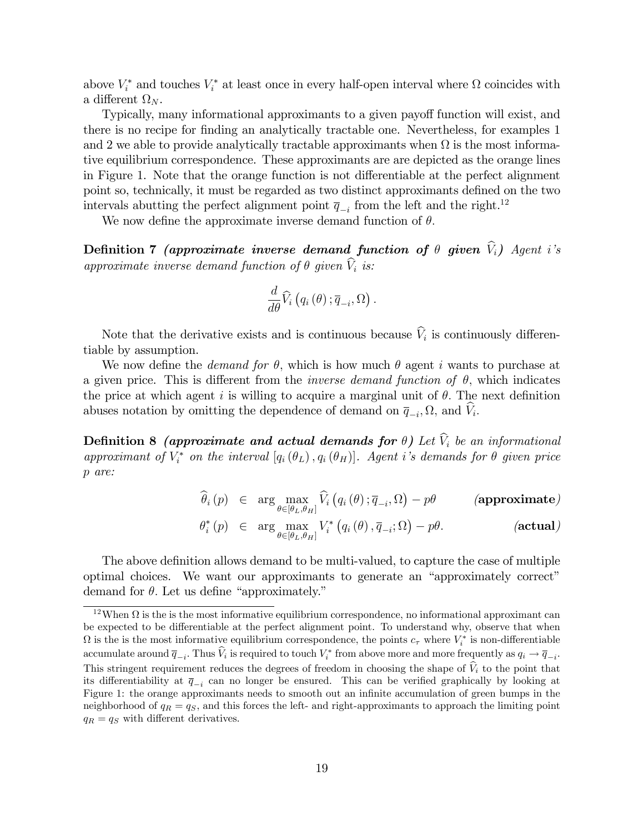above  $V_i^*$  and touches  $V_i^*$  at least once in every half-open interval where  $\Omega$  coincides with a different  $\Omega_N$ .

Typically, many informational approximants to a given payoff function will exist, and there is no recipe for finding an analytically tractable one. Nevertheless, for examples 1 and 2 we able to provide analytically tractable approximants when  $\Omega$  is the most informative equilibrium correspondence. These approximants are are depicted as the orange lines in Figure 1. Note that the orange function is not differentiable at the perfect alignment point so, technically, it must be regarded as two distinct approximants defined on the two intervals abutting the perfect alignment point  $\overline{q}_{-i}$  from the left and the right.<sup>12</sup>

We now define the approximate inverse demand function of  $\theta$ .

Definition 7 (approximate inverse demand function of  $\theta$  given  $\widehat{V}_i$ ) Agent i's approximate inverse demand function of  $\theta$  given  $\widehat{V}_i$  is:

$$
\frac{d}{d\theta}\widehat{V}_{i}\left(q_{i}\left(\theta\right);\overline{q}_{-i},\Omega\right).
$$

Note that the derivative exists and is continuous because  $V_i$  is continuously differentiable by assumption.

We now define the *demand for*  $\theta$ , which is how much  $\theta$  agent i wants to purchase at a given price. This is different from the *inverse demand function of*  $\theta$ , which indicates the price at which agent i is willing to acquire a marginal unit of  $\theta$ . The next definition abuses notation by omitting the dependence of demand on  $\overline{q}_{-i}, \Omega$ , and  $V_i$ .

**Definition 8** (approximate and actual demands for  $\theta$ ) Let  $\hat{V}_i$  be an informational approximant of  $V_i^*$  on the interval  $[q_i(\theta_L), q_i(\theta_H)]$ . Agent i's demands for  $\theta$  given price p are:

$$
\widehat{\theta}_{i}(p) \in \arg \max_{\theta \in [\theta_L, \theta_H]} \widehat{V}_i(q_i(\theta); \overline{q}_{-i}, \Omega) - p\theta \qquad \text{(approximate)}
$$
\n
$$
\theta_{i}^*(p) \in \arg \max_{\theta \in [\theta_L, \theta_H]} V_i^*\left(q_i(\theta), \overline{q}_{-i}; \Omega\right) - p\theta. \qquad \text{(actual)}
$$

The above definition allows demand to be multi-valued, to capture the case of multiple optimal choices. We want our approximants to generate an "approximately correct" demand for  $\theta$ . Let us define "approximately."

<sup>&</sup>lt;sup>12</sup>When  $\Omega$  is the is the most informative equilibrium correspondence, no informational approximant can be expected to be differentiable at the perfect alignment point. To understand why, observe that when  $\Omega$  is the is the most informative equilibrium correspondence, the points  $c_{\tau}$  where  $V_i^*$  is non-differentiable  $\text{accumulate around } \overline{q}_{-i}$ . Thus  $V_i$  is required to touch  $V_i^*$  from above more and more frequently as  $q_i \to \overline{q}_{-i}$ . This stringent requirement reduces the degrees of freedom in choosing the shape of  $V_i$  to the point that its differentiability at  $\bar{q}_{-i}$  can no longer be ensured. This can be verified graphically by looking at Figure 1: the orange approximants needs to smooth out an infinite accumulation of green bumps in the neighborhood of  $q_R = q_S$ , and this forces the left- and right-approximants to approach the limiting point  $q_R = q_S$  with different derivatives.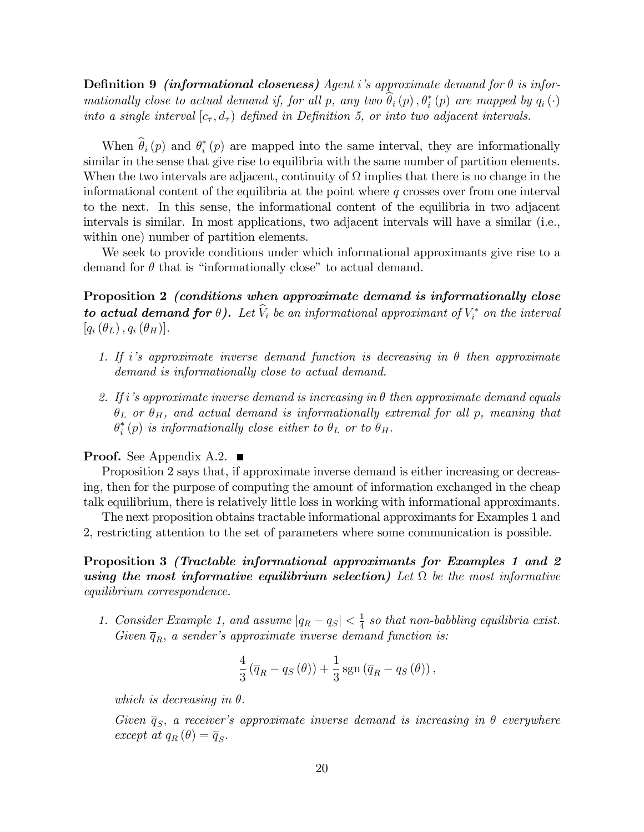**Definition 9** (informational closeness) Agent i's approximate demand for  $\theta$  is informationally close to actual demand if, for all p, any two  $\theta_i(p)$ ,  $\theta_i^*(p)$  are mapped by  $q_i(\cdot)$ into a single interval  $[c_{\tau}, d_{\tau})$  defined in Definition 5, or into two adjacent intervals.

When  $\theta_i(p)$  and  $\theta_i^*(p)$  are mapped into the same interval, they are informationally similar in the sense that give rise to equilibria with the same number of partition elements. When the two intervals are adjacent, continuity of  $\Omega$  implies that there is no change in the informational content of the equilibria at the point where  $q$  crosses over from one interval to the next. In this sense, the informational content of the equilibria in two adjacent intervals is similar. In most applications, two adjacent intervals will have a similar (i.e., within one) number of partition elements.

We seek to provide conditions under which informational approximants give rise to a demand for  $\theta$  that is "informationally close" to actual demand.

Proposition 2 (conditions when approximate demand is informationally close **to actual demand for**  $\theta$ ). Let  $V_i$  be an informational approximant of  $V_i^*$  on the interval  $[q_i(\theta_L), q_i(\theta_H)].$ 

- 1. If i's approximate inverse demand function is decreasing in  $\theta$  then approximate demand is informationally close to actual demand.
- 2. If i's approximate inverse demand is increasing in  $\theta$  then approximate demand equals  $\theta_L$  or  $\theta_H$ , and actual demand is informationally extremal for all p, meaning that  $\theta^*_i(p)$  is informationally close either to  $\theta_L$  or to  $\theta_H$ .

#### **Proof.** See Appendix A.2.  $\blacksquare$

Proposition 2 says that, if approximate inverse demand is either increasing or decreasing, then for the purpose of computing the amount of information exchanged in the cheap talk equilibrium, there is relatively little loss in working with informational approximants.

The next proposition obtains tractable informational approximants for Examples 1 and 2, restricting attention to the set of parameters where some communication is possible.

Proposition 3 (Tractable informational approximants for Examples 1 and 2 using the most informative equilibrium selection) Let  $\Omega$  be the most informative equilibrium correspondence.

1. Consider Example 1, and assume  $|q_R - q_S| < \frac{1}{4}$  $\frac{1}{4}$  so that non-babbling equilibria exist. Given  $\overline{q}_R$ , a sender's approximate inverse demand function is:

$$
\frac{4}{3} (\overline{q}_R - q_S(\theta)) + \frac{1}{3} \operatorname{sgn} (\overline{q}_R - q_S(\theta)),
$$

which is decreasing in  $\theta$ .

Given  $\overline{q}_S$ , a receiver's approximate inverse demand is increasing in  $\theta$  everywhere except at  $q_R(\theta) = \overline{q}_S$ .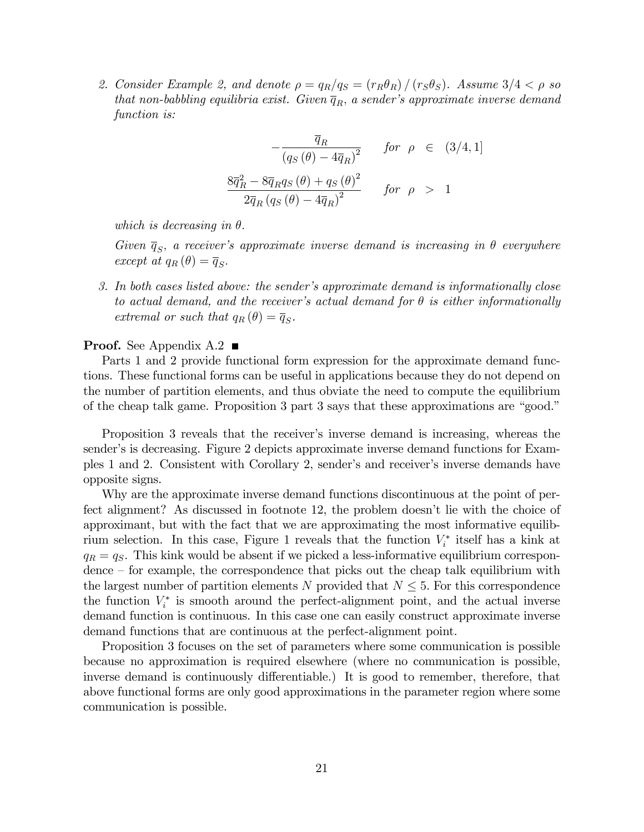2. Consider Example 2, and denote  $\rho = q_R/q_S = (r_R\theta_R)/(r_S\theta_S)$ . Assume  $3/4 < \rho$  so that non-babbling equilibria exist. Given  $\overline{q}_R$ , a sender's approximate inverse demand function is:

$$
-\frac{\overline{q}_R}{\left(q_S(\theta) - 4\overline{q}_R\right)^2} \quad \text{for } \rho \in (3/4, 1]
$$
  

$$
\frac{8\overline{q}_R^2 - 8\overline{q}_R q_S(\theta) + q_S(\theta)^2}{2\overline{q}_R \left(q_S(\theta) - 4\overline{q}_R\right)^2} \quad \text{for } \rho > 1
$$

which is decreasing in  $\theta$ .

Given  $\overline{q}_S$ , a receiver's approximate inverse demand is increasing in  $\theta$  everywhere except at  $q_R(\theta) = \overline{q}_S$ .

3. In both cases listed above: the sender's approximate demand is informationally close to actual demand, and the receiver's actual demand for  $\theta$  is either informationally extremal or such that  $q_R(\theta) = \overline{q}_S$ .

### **Proof.** See Appendix A.2

Parts 1 and 2 provide functional form expression for the approximate demand functions. These functional forms can be useful in applications because they do not depend on the number of partition elements, and thus obviate the need to compute the equilibrium of the cheap talk game. Proposition 3 part 3 says that these approximations are "good."

Proposition 3 reveals that the receiver's inverse demand is increasing, whereas the sender's is decreasing. Figure 2 depicts approximate inverse demand functions for Examples 1 and 2. Consistent with Corollary 2, sender's and receiver's inverse demands have opposite signs.

Why are the approximate inverse demand functions discontinuous at the point of perfect alignment? As discussed in footnote 12, the problem doesn't lie with the choice of approximant, but with the fact that we are approximating the most informative equilibrium selection. In this case, Figure 1 reveals that the function  $V_i^*$  itself has a kink at  $q_R = q_S$ . This kink would be absent if we picked a less-informative equilibrium correspon- $\alpha$  dence  $\alpha$  for example, the correspondence that picks out the cheap talk equilibrium with the largest number of partition elements N provided that  $N \leq 5$ . For this correspondence the function  $V_i^*$  is smooth around the perfect-alignment point, and the actual inverse demand function is continuous. In this case one can easily construct approximate inverse demand functions that are continuous at the perfect-alignment point.

Proposition 3 focuses on the set of parameters where some communication is possible because no approximation is required elsewhere (where no communication is possible, inverse demand is continuously differentiable.) It is good to remember, therefore, that above functional forms are only good approximations in the parameter region where some communication is possible.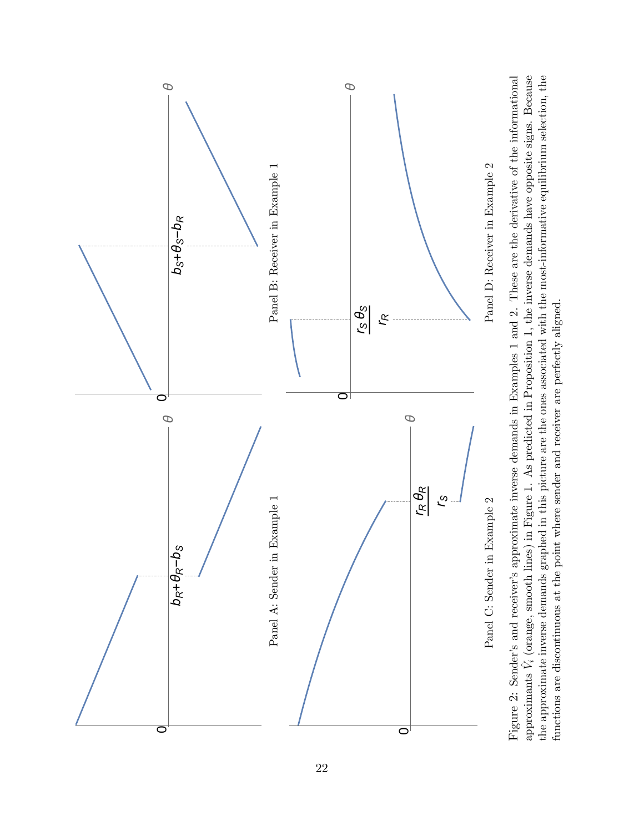

Figure 2: Sender's and receiver's approximate inverse demands in Examples 1 and 2. These are the derivative of the informational approximants  $\hat{V}_i$  (orange, smooth lines) in Figure 1. As predicted in Proposition 1, the inverse demands have opposite signs. Because the approximate inverse demands graphed in this picture are the ones associated with the most-informative equilibrium selection, the Figure 2: Sender's and receiver's approximate inverse demands in Examples 1 and 2. These are the derivative of the informational approximants  $\hat{V}_i$  (orange, smooth lines) in Figure 1. As predicted in Proposition 1, the  $\hat{V}_i$  (orange, smooth lines) in Figure 1. As predicted in Proposition 1, the inverse demands have opposite signs. Because the approximate inverse demands graphed in this picture are the ones associated with the most-informative equilibrium selection, the functions are discontinuous at the point where sender and receiver are perfectly aligned. functions are discontinuous at the point where sender and receiver are perfectly aligned.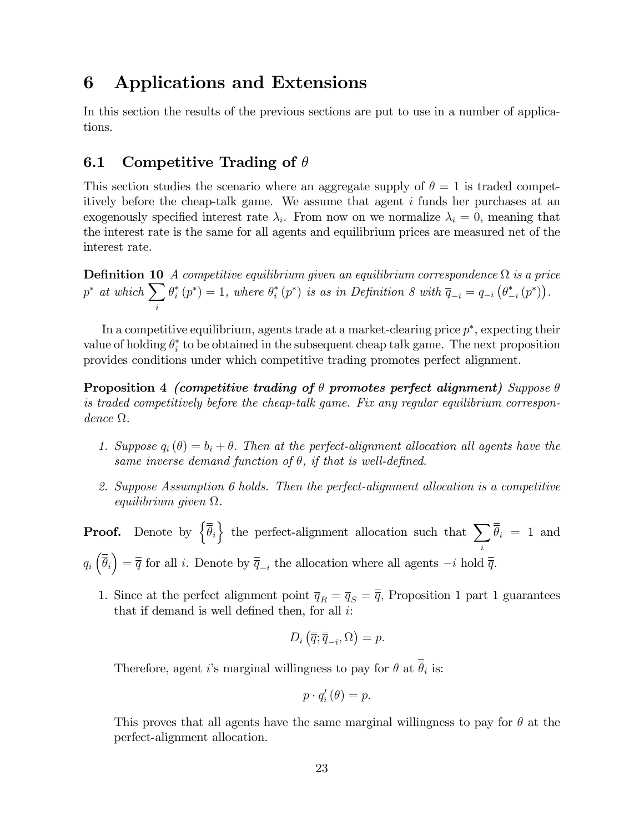## 6 Applications and Extensions

In this section the results of the previous sections are put to use in a number of applications.

## 6.1 Competitive Trading of  $\theta$

This section studies the scenario where an aggregate supply of  $\theta = 1$  is traded competitively before the cheap-talk game. We assume that agent i funds her purchases at an exogenously specified interest rate  $\lambda_i$ . From now on we normalize  $\lambda_i = 0$ , meaning that the interest rate is the same for all agents and equilibrium prices are measured net of the interest rate.

**Definition 10** A competitive equilibrium given an equilibrium correspondence  $\Omega$  is a price  $p^*$  at which  $\sum$ i  $\theta_i^*(p^*) = 1$ , where  $\theta_i^*(p^*)$  is as in Definition 8 with  $\overline{q}_{-i} = q_{-i}(\theta_{-i}^*(p^*))$ .

In a competitive equilibrium, agents trade at a market-clearing price  $p^*$ , expecting their value of holding  $\theta_i^*$  to be obtained in the subsequent cheap talk game. The next proposition provides conditions under which competitive trading promotes perfect alignment.

Proposition 4 (competitive trading of  $\theta$  promotes perfect alignment) Suppose  $\theta$ is traded competitively before the cheap-talk game. Fix any regular equilibrium correspon $dence \Omega$ .

- 1. Suppose  $q_i(\theta) = b_i + \theta$ . Then at the perfect-alignment allocation all agents have the same inverse demand function of  $\theta$ , if that is well-defined.
- 2. Suppose Assumption 6 holds. Then the perfect-alignment allocation is a competitive equilibrium given  $\Omega$ .

**Proof.** Denote by  $\{\overline{\overline{\theta}}_i\}$  the perfect-alignment allocation such that  $\sum$ i  $\theta_i = 1$  and  $q_i\left(\overline{\overline{\theta}}_i\right) = \overline{\overline{q}}$  for all *i*. Denote by  $\overline{\overline{q}}_{-i}$  the allocation where all agents  $-i$  hold  $\overline{\overline{q}}$ .

1. Since at the perfect alignment point  $\overline{q}_R = \overline{q}_S = \overline{\overline{q}}$ , Proposition 1 part 1 guarantees that if demand is well defined then, for all  $i$ :

$$
D_i\left(\overline{\overline{q}}; \overline{\overline{q}}_{-i}, \Omega\right) = p.
$$

Therefore, agent *i*'s marginal willingness to pay for  $\theta$  at  $\theta_i$  is:

$$
p \cdot q_i' \left( \theta \right) = p.
$$

This proves that all agents have the same marginal willingness to pay for  $\theta$  at the perfect-alignment allocation.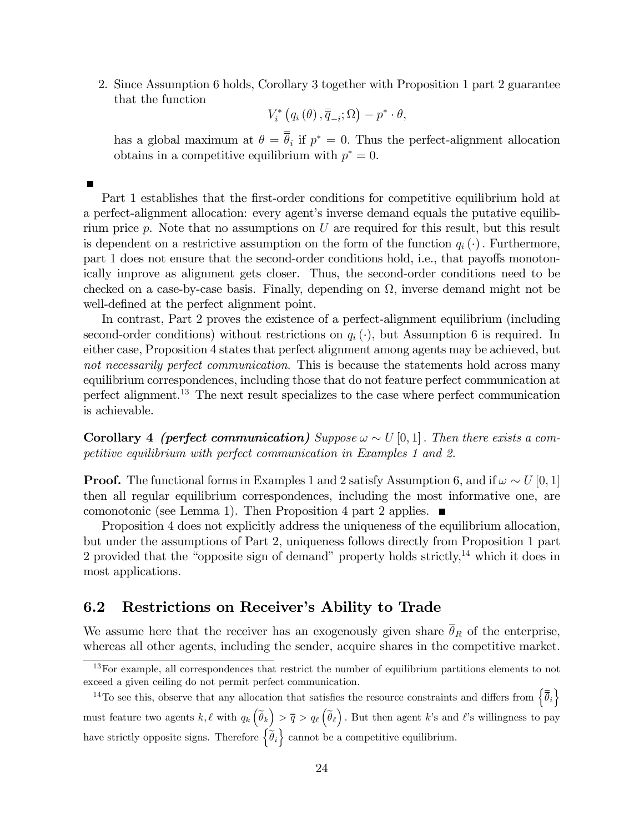2. Since Assumption 6 holds, Corollary 3 together with Proposition 1 part 2 guarantee that the function

$$
V_{i}^{*}\left(q_{i}\left(\theta\right),\overline{\overline{q}}_{-i};\Omega\right)-p^{*}\cdot\theta,
$$

has a global maximum at  $\theta = \theta_i$  if  $p^* = 0$ . Thus the perfect-alignment allocation obtains in a competitive equilibrium with  $p^* = 0$ .

Part 1 establishes that the first-order conditions for competitive equilibrium hold at a perfect-alignment allocation: every agent's inverse demand equals the putative equilibrium price  $p$ . Note that no assumptions on  $U$  are required for this result, but this result is dependent on a restrictive assumption on the form of the function  $q_i(\cdot)$ . Furthermore, part 1 does not ensure that the second-order conditions hold, i.e., that payoffs monotonically improve as alignment gets closer. Thus, the second-order conditions need to be checked on a case-by-case basis. Finally, depending on  $\Omega$ , inverse demand might not be well-defined at the perfect alignment point.

In contrast, Part 2 proves the existence of a perfect-alignment equilibrium (including second-order conditions) without restrictions on  $q_i(\cdot)$ , but Assumption 6 is required. In either case, Proposition 4 states that perfect alignment among agents may be achieved, but not necessarily perfect communication. This is because the statements hold across many equilibrium correspondences, including those that do not feature perfect communication at perfect alignment.<sup>13</sup> The next result specializes to the case where perfect communication is achievable.

**Corollary 4** (perfect communication) Suppose  $\omega \sim U[0, 1]$ . Then there exists a competitive equilibrium with perfect communication in Examples 1 and 2.

**Proof.** The functional forms in Examples 1 and 2 satisfy Assumption 6, and if  $\omega \sim U[0, 1]$ then all regular equilibrium correspondences, including the most informative one, are comonotonic (see Lemma 1). Then Proposition 4 part 2 applies.  $\blacksquare$ 

Proposition 4 does not explicitly address the uniqueness of the equilibrium allocation, but under the assumptions of Part 2, uniqueness follows directly from Proposition 1 part 2 provided that the "opposite sign of demand" property holds strictly, $14$  which it does in most applications.

## 6.2 Restrictions on Receiver's Ability to Trade

We assume here that the receiver has an exogenously given share  $\bar{\theta}_R$  of the enterprise, whereas all other agents, including the sender, acquire shares in the competitive market.

<sup>&</sup>lt;sup>13</sup>For example, all correspondences that restrict the number of equilibrium partitions elements to not exceed a given ceiling do not permit perfect communication.

<sup>&</sup>lt;sup>14</sup>To see this, observe that any allocation that satisfies the resource constraints and differs from  $\{\bar{\overline{\theta}}_i\}$ must feature two agents  $k, \ell$  with  $q_k(\widetilde{\theta}_k) > \overline{\overline{q}} > q_\ell(\widetilde{\theta}_\ell)$ . But then agent k's and  $\ell$ 's willingness to pay have strictly opposite signs. Therefore  $\left\{ \widetilde{\theta}_{i}\right\}$  cannot be a competitive equilibrium.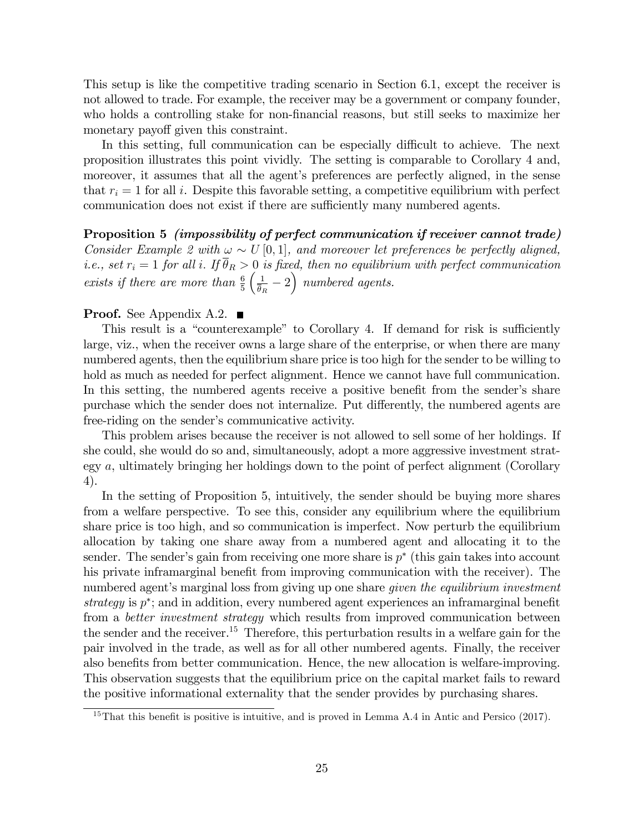This setup is like the competitive trading scenario in Section 6.1, except the receiver is not allowed to trade. For example, the receiver may be a government or company founder, who holds a controlling stake for non-financial reasons, but still seeks to maximize her monetary payoff given this constraint.

In this setting, full communication can be especially difficult to achieve. The next proposition illustrates this point vividly. The setting is comparable to Corollary 4 and, moreover, it assumes that all the agent's preferences are perfectly aligned, in the sense that  $r_i = 1$  for all i. Despite this favorable setting, a competitive equilibrium with perfect communication does not exist if there are sufficiently many numbered agents.

Proposition 5 (impossibility of perfect communication if receiver cannot trade) Consider Example 2 with  $\omega \sim U[0,1]$ , and moreover let preferences be perfectly aligned, i.e., set  $r_i = 1$  for all i. If  $\overline{\theta}_R > 0$  is fixed, then no equilibrium with perfect communication exists if there are more than  $\frac{6}{5}$  $\sqrt{1}$  $\frac{1}{\overline{\theta}_R} - 2$  numbered agents.

#### **Proof.** See Appendix A.2.  $\blacksquare$

This result is a "counterexample" to Corollary 4. If demand for risk is sufficiently large, viz., when the receiver owns a large share of the enterprise, or when there are many numbered agents, then the equilibrium share price is too high for the sender to be willing to hold as much as needed for perfect alignment. Hence we cannot have full communication. In this setting, the numbered agents receive a positive benefit from the sender's share purchase which the sender does not internalize. Put differently, the numbered agents are free-riding on the sender's communicative activity.

This problem arises because the receiver is not allowed to sell some of her holdings. If she could, she would do so and, simultaneously, adopt a more aggressive investment strategy a, ultimately bringing her holdings down to the point of perfect alignment (Corollary 4).

In the setting of Proposition 5, intuitively, the sender should be buying more shares from a welfare perspective. To see this, consider any equilibrium where the equilibrium share price is too high, and so communication is imperfect. Now perturb the equilibrium allocation by taking one share away from a numbered agent and allocating it to the sender. The sender's gain from receiving one more share is  $p^*$  (this gain takes into account his private inframarginal benefit from improving communication with the receiver). The numbered agent's marginal loss from giving up one share *given the equilibrium investment* strategy is  $p^*$ ; and in addition, every numbered agent experiences an inframarginal benefit from a *better investment strategy* which results from improved communication between the sender and the receiver.<sup>15</sup> Therefore, this perturbation results in a welfare gain for the pair involved in the trade, as well as for all other numbered agents. Finally, the receiver also benefits from better communication. Hence, the new allocation is welfare-improving. This observation suggests that the equilibrium price on the capital market fails to reward the positive informational externality that the sender provides by purchasing shares.

 $15$ That this benefit is positive is intuitive, and is proved in Lemma A.4 in Antic and Persico (2017).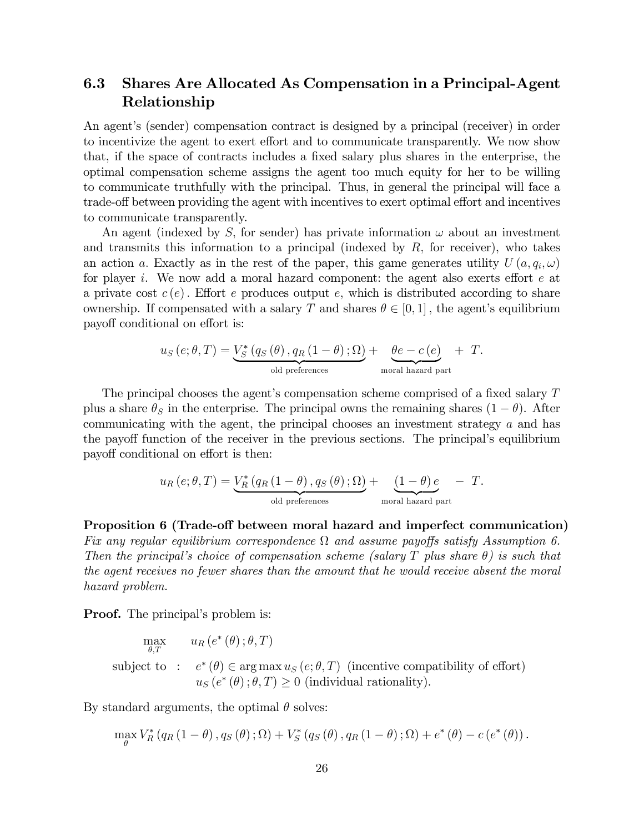## 6.3 Shares Are Allocated As Compensation in a Principal-Agent Relationship

An agent's (sender) compensation contract is designed by a principal (receiver) in order to incentivize the agent to exert effort and to communicate transparently. We now show that, if the space of contracts includes a fixed salary plus shares in the enterprise, the optimal compensation scheme assigns the agent too much equity for her to be willing to communicate truthfully with the principal. Thus, in general the principal will face a trade-off between providing the agent with incentives to exert optimal effort and incentives to communicate transparently.

An agent (indexed by S, for sender) has private information  $\omega$  about an investment and transmits this information to a principal (indexed by  $R$ , for receiver), who takes an action a. Exactly as in the rest of the paper, this game generates utility  $U(a, q_i, \omega)$ for player i. We now add a moral hazard component: the agent also exerts effort  $e$  at a private cost  $c(e)$ . Effort e produces output e, which is distributed according to share ownership. If compensated with a salary T and shares  $\theta \in [0, 1]$ , the agent's equilibrium payoff conditional on effort is:

$$
u_S\left(e;\theta,T\right) = \underbrace{V_S^*\left(q_S\left(\theta\right),q_R\left(1-\theta\right);\Omega\right)}_{\text{old preferences}} + \underbrace{\theta e - c\left(e\right)}_{\text{moral hazard part}} + T.
$$

The principal chooses the agent's compensation scheme comprised of a fixed salary  $T$ plus a share  $\theta_S$  in the enterprise. The principal owns the remaining shares  $(1 - \theta)$ . After communicating with the agent, the principal chooses an investment strategy a and has the payoff function of the receiver in the previous sections. The principal's equilibrium payoff conditional on effort is then:

$$
u_R\left(e;\theta,T\right) = \underbrace{V_R^*\left(q_R\left(1-\theta\right),q_S\left(\theta\right);\Omega\right)}_{\text{old preferences}} + \underbrace{\left(1-\theta\right)e}_{\text{moral hazard part}} - T.
$$

Proposition 6 (Trade-off between moral hazard and imperfect communication) Fix any regular equilibrium correspondence  $\Omega$  and assume payoffs satisfy Assumption 6. Then the principal's choice of compensation scheme (salary T plus share  $\theta$ ) is such that the agent receives no fewer shares than the amount that he would receive absent the moral hazard problem.

**Proof.** The principal's problem is:

$$
\max_{\theta, T} \quad u_R(e^*(\theta); \theta, T)
$$
\nsubject to :  $e^*(\theta) \in \arg \max u_S(e; \theta, T)$  (incentive compatibility of effort)  
\n $u_S(e^*(\theta); \theta, T) \ge 0$  (individual rationality).

By standard arguments, the optimal  $\theta$  solves:

$$
\max_{\theta} V_R^* (q_R(1-\theta), q_S(\theta); \Omega) + V_S^* (q_S(\theta), q_R(1-\theta); \Omega) + e^* (\theta) - c (e^* (\theta)).
$$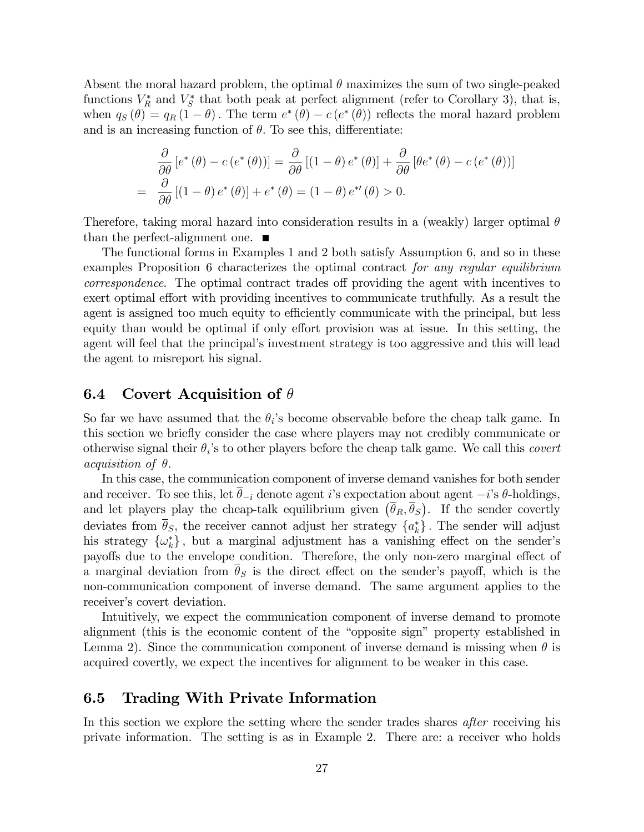Absent the moral hazard problem, the optimal  $\theta$  maximizes the sum of two single-peaked functions  $V_R^*$  and  $V_S^*$  that both peak at perfect alignment (refer to Corollary 3), that is, when  $q_S(\theta) = q_R(1-\theta)$ . The term  $e^*(\theta) - c(e^*(\theta))$  reflects the moral hazard problem and is an increasing function of  $\theta$ . To see this, differentiate:

$$
\frac{\partial}{\partial \theta} \left[ e^* \left( \theta \right) - c \left( e^* \left( \theta \right) \right) \right] = \frac{\partial}{\partial \theta} \left[ \left( 1 - \theta \right) e^* \left( \theta \right) \right] + \frac{\partial}{\partial \theta} \left[ \theta e^* \left( \theta \right) - c \left( e^* \left( \theta \right) \right) \right]
$$
\n
$$
= \frac{\partial}{\partial \theta} \left[ \left( 1 - \theta \right) e^* \left( \theta \right) \right] + e^* \left( \theta \right) = \left( 1 - \theta \right) e^{*t} \left( \theta \right) > 0.
$$

Therefore, taking moral hazard into consideration results in a (weakly) larger optimal  $\theta$ than the perfect-alignment one.  $\blacksquare$ 

The functional forms in Examples 1 and 2 both satisfy Assumption 6, and so in these examples Proposition 6 characterizes the optimal contract for any regular equilibrium correspondence. The optimal contract trades off providing the agent with incentives to exert optimal effort with providing incentives to communicate truthfully. As a result the agent is assigned too much equity to efficiently communicate with the principal, but less equity than would be optimal if only effort provision was at issue. In this setting, the agent will feel that the principal's investment strategy is too aggressive and this will lead the agent to misreport his signal.

### 6.4 Covert Acquisition of  $\theta$

So far we have assumed that the  $\theta_i$ 's become observable before the cheap talk game. In this section we brieáy consider the case where players may not credibly communicate or otherwise signal their  $\theta_i$ 's to other players before the cheap talk game. We call this *covert acquisition of*  $\theta$ *.* 

In this case, the communication component of inverse demand vanishes for both sender and receiver. To see this, let  $\overline{\theta}_{-i}$  denote agent *i*'s expectation about agent  $-i$ 's  $\theta$ -holdings, and let players play the cheap-talk equilibrium given  $(\bar{\theta}_R, \bar{\theta}_S)$ . If the sender covertly deviates from  $\theta_S$ , the receiver cannot adjust her strategy  $\{a_k^*\}$ . The sender will adjust his strategy  $\{\omega_k^*\}$ , but a marginal adjustment has a vanishing effect on the sender's payoffs due to the envelope condition. Therefore, the only non-zero marginal effect of a marginal deviation from  $\bar{\theta}_s$  is the direct effect on the sender's payoff, which is the non-communication component of inverse demand. The same argument applies to the receiver's covert deviation.

Intuitively, we expect the communication component of inverse demand to promote alignment (this is the economic content of the "opposite sign" property established in Lemma 2). Since the communication component of inverse demand is missing when  $\theta$  is acquired covertly, we expect the incentives for alignment to be weaker in this case.

### 6.5 Trading With Private Information

In this section we explore the setting where the sender trades shares *after* receiving his private information. The setting is as in Example 2. There are: a receiver who holds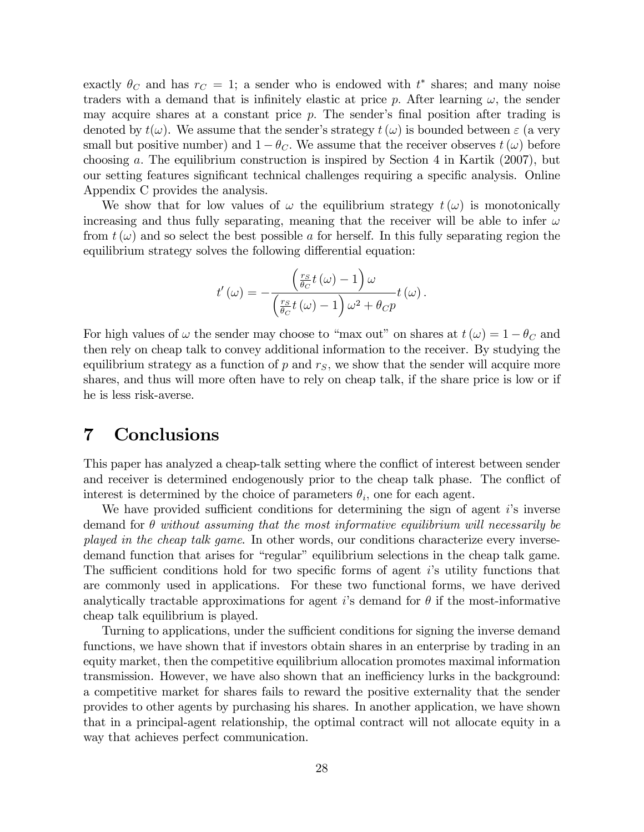exactly  $\theta_C$  and has  $r_C = 1$ ; a sender who is endowed with  $t^*$  shares; and many noise traders with a demand that is infinitely elastic at price p. After learning  $\omega$ , the sender may acquire shares at a constant price  $p$ . The sender's final position after trading is denoted by  $t(\omega)$ . We assume that the sender's strategy  $t(\omega)$  is bounded between  $\varepsilon$  (a very small but positive number) and  $1 - \theta_C$ . We assume that the receiver observes  $t(\omega)$  before choosing a: The equilibrium construction is inspired by Section 4 in Kartik (2007), but our setting features significant technical challenges requiring a specific analysis. Online Appendix C provides the analysis.

We show that for low values of  $\omega$  the equilibrium strategy  $t(\omega)$  is monotonically increasing and thus fully separating, meaning that the receiver will be able to infer  $\omega$ from  $t(\omega)$  and so select the best possible a for herself. In this fully separating region the equilibrium strategy solves the following differential equation:

$$
t'\left(\omega\right) = -\frac{\left(\frac{r_S}{\theta_C}t\left(\omega\right)-1\right)\omega}{\left(\frac{r_S}{\theta_C}t\left(\omega\right)-1\right)\omega^2+\theta_C p}t\left(\omega\right).
$$

For high values of  $\omega$  the sender may choose to "max out" on shares at  $t(\omega) = 1 - \theta_C$  and then rely on cheap talk to convey additional information to the receiver. By studying the equilibrium strategy as a function of  $p$  and  $r<sub>S</sub>$ , we show that the sender will acquire more shares, and thus will more often have to rely on cheap talk, if the share price is low or if he is less risk-averse.

## 7 Conclusions

This paper has analyzed a cheap-talk setting where the conflict of interest between sender and receiver is determined endogenously prior to the cheap talk phase. The conflict of interest is determined by the choice of parameters  $\theta_i$ , one for each agent.

We have provided sufficient conditions for determining the sign of agent  $i$ 's inverse demand for  $\theta$  without assuming that the most informative equilibrium will necessarily be played in the cheap talk game. In other words, our conditions characterize every inversedemand function that arises for "regular" equilibrium selections in the cheap talk game. The sufficient conditions hold for two specific forms of agent  $i$ 's utility functions that are commonly used in applications. For these two functional forms, we have derived analytically tractable approximations for agent is demand for  $\theta$  if the most-informative cheap talk equilibrium is played.

Turning to applications, under the sufficient conditions for signing the inverse demand functions, we have shown that if investors obtain shares in an enterprise by trading in an equity market, then the competitive equilibrium allocation promotes maximal information transmission. However, we have also shown that an inefficiency lurks in the background: a competitive market for shares fails to reward the positive externality that the sender provides to other agents by purchasing his shares. In another application, we have shown that in a principal-agent relationship, the optimal contract will not allocate equity in a way that achieves perfect communication.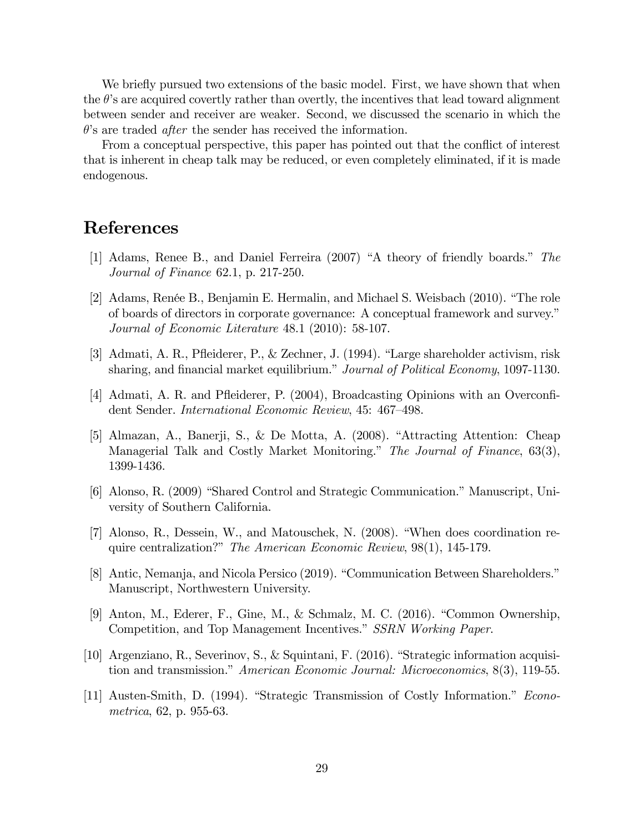We briefly pursued two extensions of the basic model. First, we have shown that when the  $\theta$ 's are acquired covertly rather than overtly, the incentives that lead toward alignment between sender and receiver are weaker. Second, we discussed the scenario in which the  $\theta$ 's are traded *after* the sender has received the information.

From a conceptual perspective, this paper has pointed out that the conflict of interest that is inherent in cheap talk may be reduced, or even completely eliminated, if it is made endogenous.

## References

- [1] Adams, Renee B., and Daniel Ferreira  $(2007)$  "A theory of friendly boards." The Journal of Finance 62.1, p. 217-250.
- [2] Adams, Renée B., Benjamin E. Hermalin, and Michael S. Weisbach (2010). "The role of boards of directors in corporate governance: A conceptual framework and survey.î Journal of Economic Literature 48.1 (2010): 58-107.
- [3] Admati, A. R., Pfleiderer, P., & Zechner, J.  $(1994)$ . "Large shareholder activism, risk sharing, and financial market equilibrium." Journal of Political Economy, 1097-1130.
- [4] Admati, A. R. and Pfleiderer, P. (2004), Broadcasting Opinions with an Overconfident Sender. International Economic Review, 45: 467-498.
- [5] Almazan, A., Banerji, S., & De Motta, A.  $(2008)$ . "Attracting Attention: Cheap Managerial Talk and Costly Market Monitoring." The Journal of Finance, 63(3), 1399-1436.
- [6] Alonso, R. (2009) "Shared Control and Strategic Communication." Manuscript, University of Southern California.
- [7] Alonso, R., Dessein, W., and Matouschek, N.  $(2008)$ . "When does coordination require centralization?" The American Economic Review,  $98(1)$ , 145-179.
- [8] Antic, Nemanja, and Nicola Persico (2019). "Communication Between Shareholders." Manuscript, Northwestern University.
- [9] Anton, M., Ederer, F., Gine, M., & Schmalz, M. C. (2016). "Common Ownership, Competition, and Top Management Incentives." SSRN Working Paper.
- [10] Argenziano, R., Severinov, S., & Squintani, F. (2016). "Strategic information acquisition and transmission." American Economic Journal: Microeconomics,  $8(3)$ , 119-55.
- [11] Austen-Smith, D. (1994). "Strategic Transmission of Costly Information." Econometrica, 62, p. 955-63.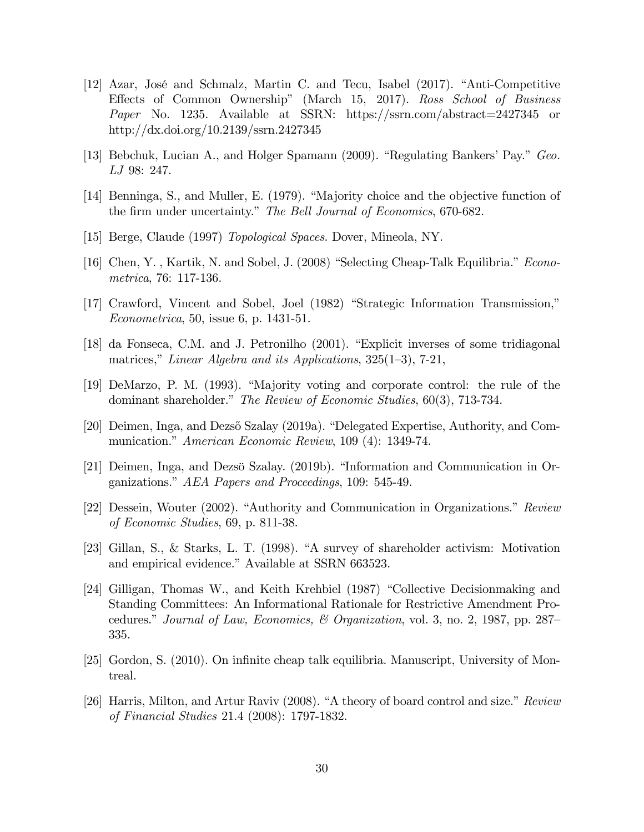- [12] Azar, José and Schmalz, Martin C. and Tecu, Isabel  $(2017)$ . "Anti-Competitive Effects of Common Ownership" (March 15, 2017). Ross School of Business Paper No. 1235. Available at SSRN: https://ssrn.com/abstract=2427345 or http://dx.doi.org/10.2139/ssrn.2427345
- [13] Bebchuk, Lucian A., and Holger Spamann (2009). "Regulating Bankers' Pay." Geo. LJ 98: 247.
- [14] Benninga, S., and Muller, E. (1979). "Majority choice and the objective function of the firm under uncertainty." The Bell Journal of Economics, 670-682.
- [15] Berge, Claude (1997) Topological Spaces. Dover, Mineola, NY.
- [16] Chen, Y., Kartik, N. and Sobel, J. (2008) "Selecting Cheap-Talk Equilibria." Econometrica, 76: 117-136.
- $[17]$  Crawford, Vincent and Sobel, Joel  $(1982)$  "Strategic Information Transmission," Econometrica, 50, issue 6, p. 1431-51.
- [18] da Fonseca, C.M. and J. Petronilho (2001). "Explicit inverses of some tridiagonal matrices," Linear Algebra and its Applications,  $325(1-3)$ , 7-21,
- $[19]$  DeMarzo, P. M.  $(1993)$ . "Majority voting and corporate control: the rule of the dominant shareholder." The Review of Economic Studies,  $60(3)$ , 713-734.
- [20] Deimen, Inga, and Dezső Szalay (2019a). "Delegated Expertise, Authority, and Communication." American Economic Review, 109 (4): 1349-74.
- [21] Deimen, Inga, and Dezsö Szalay. (2019b). "Information and Communication in Organizations." AEA Papers and Proceedings,  $109: 545-49$ .
- [22] Dessein, Wouter  $(2002)$ . "Authority and Communication in Organizations." Review of Economic Studies, 69, p. 811-38.
- [23] Gillan, S., & Starks, L. T. (1998). "A survey of shareholder activism: Motivation and empirical evidence." Available at SSRN 663523.
- [24] Gilligan, Thomas W., and Keith Krehbiel (1987) "Collective Decisionmaking and Standing Committees: An Informational Rationale for Restrictive Amendment Procedures." Journal of Law, Economics, & Organization, vol. 3, no. 2, 1987, pp. 287– 335.
- [25] Gordon, S. (2010). On infinite cheap talk equilibria. Manuscript, University of Montreal.
- [26] Harris, Milton, and Artur Raviv (2008). "A theory of board control and size."  $Review$ of Financial Studies 21.4 (2008): 1797-1832.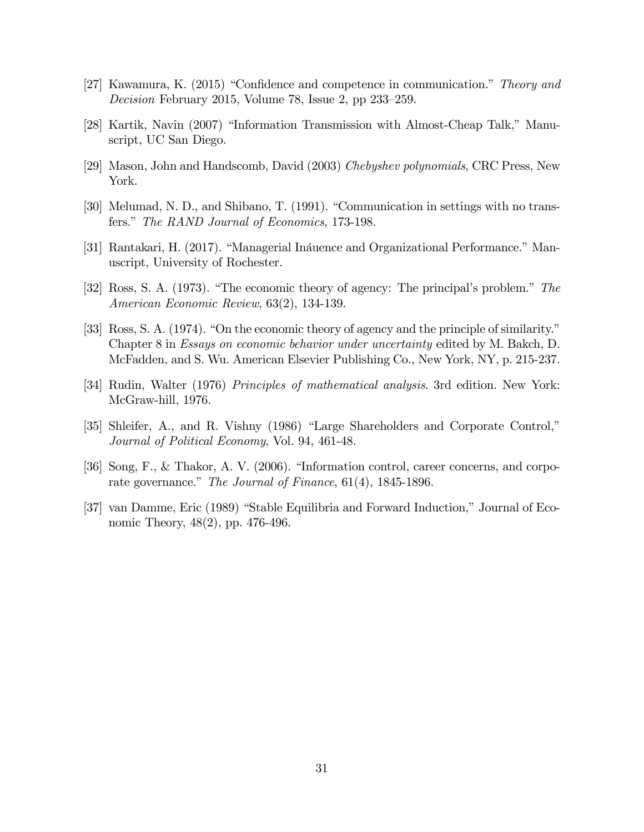- [27] Kawamura, K. (2015) "Confidence and competence in communication." Theory and Decision February 2015, Volume 78, Issue 2, pp  $233-259$ .
- [28] Kartik, Navin (2007) "Information Transmission with Almost-Cheap Talk," Manuscript, UC San Diego.
- [29] Mason, John and Handscomb, David (2003) Chebyshev polynomials, CRC Press, New York.
- [30] Melumad, N. D., and Shibano, T. (1991). "Communication in settings with no transfers." The RAND Journal of Economics, 173-198.
- [31] Rantakari, H. (2017). "Managerial Ináuence and Organizational Performance." Manuscript, University of Rochester.
- [32] Ross, S. A. (1973). "The economic theory of agency: The principal's problem." The American Economic Review, 63(2), 134-139.
- [33] Ross, S. A.  $(1974)$ . "On the economic theory of agency and the principle of similarity." Chapter 8 in Essays on economic behavior under uncertainty edited by M. Bakch, D. McFadden, and S. Wu. American Elsevier Publishing Co., New York, NY, p. 215-237.
- [34] Rudin, Walter (1976) Principles of mathematical analysis. 3rd edition. New York: McGraw-hill, 1976.
- [35] Shleifer, A., and R. Vishny (1986) "Large Shareholders and Corporate Control," Journal of Political Economy, Vol. 94, 461-48.
- [36] Song, F., & Thakor, A. V. (2006). "Information control, career concerns, and corporate governance." The Journal of Finance,  $61(4)$ , 1845-1896.
- [37] van Damme, Eric (1989) "Stable Equilibria and Forward Induction," Journal of Economic Theory, 48(2), pp. 476-496.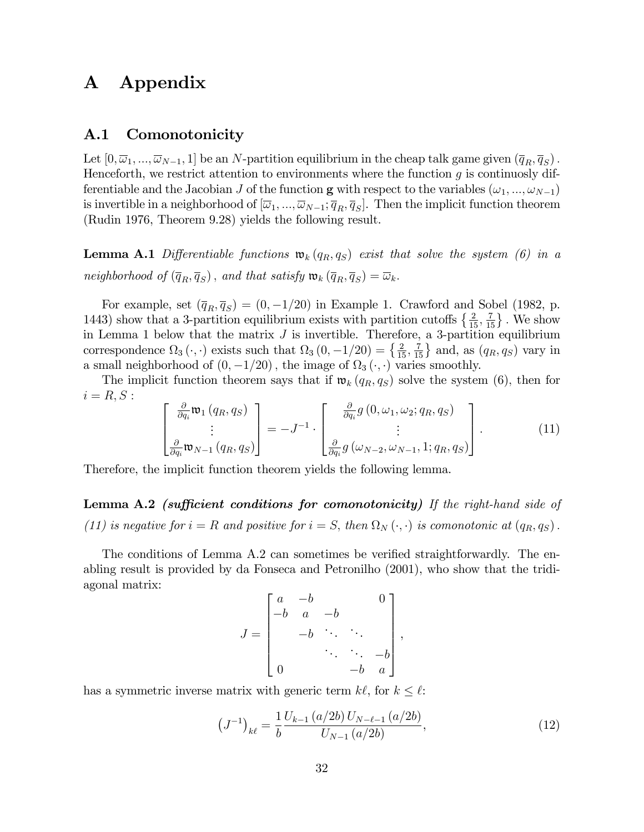## A Appendix

## A.1 Comonotonicity

Let  $[0, \overline{\omega}_1, ..., \overline{\omega}_{N-1}, 1]$  be an N-partition equilibrium in the cheap talk game given  $(\overline{q}_R, \overline{q}_S)$ . Henceforth, we restrict attention to environments where the function  $g$  is continuosly differentiable and the Jacobian J of the function **g** with respect to the variables  $(\omega_1, ..., \omega_{N-1})$ is invertible in a neighborhood of  $[\overline{\omega}_1, ..., \overline{\omega}_{N-1}; \overline{q}_R, \overline{q}_S]$ . Then the implicit function theorem (Rudin 1976, Theorem 9.28) yields the following result.

**Lemma A.1** Differentiable functions  $\mathfrak{w}_k(q_R, q_S)$  exist that solve the system (6) in a neighborhood of  $(\overline{q}_R, \overline{q}_S)$ , and that satisfy  $\mathfrak{w}_k(\overline{q}_R, \overline{q}_S) = \overline{\omega}_k$ .

For example, set  $(\overline{q}_R, \overline{q}_S) = (0, -1/20)$  in Example 1. Crawford and Sobel (1982, p. 1443) show that a 3-partition equilibrium exists with partition cutoffs  $\left\{\frac{2}{15}, \frac{7}{15}\right\}$ . We show in Lemma 1 below that the matrix  $J$  is invertible. Therefore, a 3-partition equilibrium correspondence  $\Omega_3(\cdot, \cdot)$  exists such that  $\Omega_3(0, -1/20) = \left\{\frac{2}{15}, \frac{7}{15}\right\}$  and, as  $(q_R, q_S)$  vary in a small neighborhood of  $(0, -1/20)$ , the image of  $\Omega_3(\cdot, \cdot)$  varies smoothly.

The implicit function theorem says that if  $\mathfrak{w}_k(q_R, q_S)$  solve the system (6), then for  $i = R, S:$ 

$$
\begin{bmatrix}\n\frac{\partial}{\partial q_i} \mathfrak{w}_1(q_R, q_S) \\
\vdots \\
\frac{\partial}{\partial q_i} \mathfrak{w}_{N-1}(q_R, q_S)\n\end{bmatrix} = -J^{-1} \cdot \begin{bmatrix}\n\frac{\partial}{\partial q_i} g(0, \omega_1, \omega_2; q_R, q_S) \\
\vdots \\
\frac{\partial}{\partial q_i} g(\omega_{N-2}, \omega_{N-1}, 1; q_R, q_S)\n\end{bmatrix}.
$$
\n(11)

Therefore, the implicit function theorem yields the following lemma.

**Lemma A.2** (sufficient conditions for comonotonicity) If the right-hand side of (11) is negative for  $i = R$  and positive for  $i = S$ , then  $\Omega_N(\cdot, \cdot)$  is comonotonic at  $(q_R, q_S)$ .

The conditions of Lemma A.2 can sometimes be verified straightforwardly. The enabling result is provided by da Fonseca and Petronilho (2001), who show that the tridiagonal matrix:

$$
J = \begin{bmatrix} a & -b & & 0 \\ -b & a & -b & \\ & -b & \ddots & \ddots \\ & & & \ddots & -b \\ 0 & & & -b & a \end{bmatrix},
$$

has a symmetric inverse matrix with generic term  $k\ell$ , for  $k \leq \ell$ :

$$
\left(J^{-1}\right)_{k\ell} = \frac{1}{b} \frac{U_{k-1}\left(a/2b\right)U_{N-\ell-1}\left(a/2b\right)}{U_{N-1}\left(a/2b\right)},\tag{12}
$$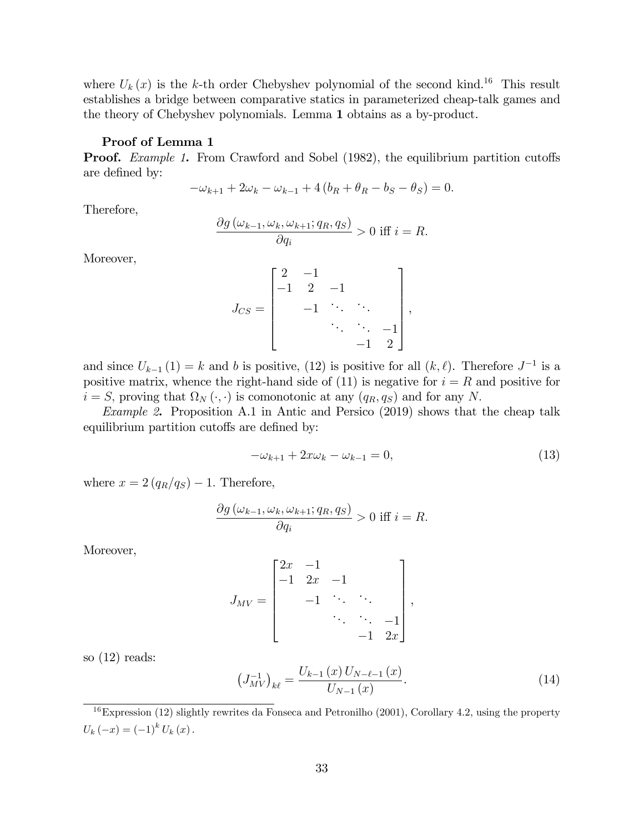where  $U_k(x)$  is the k-th order Chebyshev polynomial of the second kind.<sup>16</sup> This result establishes a bridge between comparative statics in parameterized cheap-talk games and the theory of Chebyshev polynomials. Lemma 1 obtains as a by-product.

#### Proof of Lemma 1

**Proof.** Example 1. From Crawford and Sobel (1982), the equilibrium partition cutoffs are defined by:

$$
-\omega_{k+1} + 2\omega_k - \omega_{k-1} + 4(b_R + \theta_R - b_S - \theta_S) = 0.
$$

Therefore,

$$
\frac{\partial g\left(\omega_{k-1}, \omega_k, \omega_{k+1}; q_R, q_S\right)}{\partial q_i} > 0 \text{ iff } i = R.
$$

Moreover,

$$
J_{CS} = \begin{bmatrix} 2 & -1 & & & \\ -1 & 2 & -1 & & \\ & -1 & \ddots & \ddots & \\ & & \ddots & \ddots & -1 \\ & & & -1 & 2 \end{bmatrix},
$$

and since  $U_{k-1}(1) = k$  and b is positive, (12) is positive for all  $(k, \ell)$ . Therefore  $J^{-1}$  is a positive matrix, whence the right-hand side of  $(11)$  is negative for  $i = R$  and positive for  $i = S$ , proving that  $\Omega_N(\cdot, \cdot)$  is comonotonic at any  $(q_R, q_S)$  and for any N.

Example 2. Proposition A.1 in Antic and Persico (2019) shows that the cheap talk equilibrium partition cutoffs are defined by:

$$
-\omega_{k+1} + 2x\omega_k - \omega_{k-1} = 0,\t\t(13)
$$

where  $x = 2 (q_R/q_S) - 1$ . Therefore,

$$
\frac{\partial g\left(\omega_{k-1}, \omega_k, \omega_{k+1}; q_R, q_S\right)}{\partial q_i} > 0 \text{ iff } i = R.
$$

Moreover,

$$
J_{MV} = \begin{bmatrix} 2x & -1 & & & \\ -1 & 2x & -1 & & \\ & -1 & \ddots & \ddots & \\ & & \ddots & \ddots & -1 \\ & & & -1 & 2x \end{bmatrix},
$$

so (12) reads:

$$
\left(J_{MV}^{-1}\right)_{k\ell} = \frac{U_{k-1}\left(x\right)U_{N-\ell-1}\left(x\right)}{U_{N-1}\left(x\right)}.\tag{14}
$$

 $\frac{16}{16}$ Expression (12) slightly rewrites da Fonseca and Petronilho (2001), Corollary 4.2, using the property  $U_{k} (-x) = (-1)^{k} U_{k} (x)$ .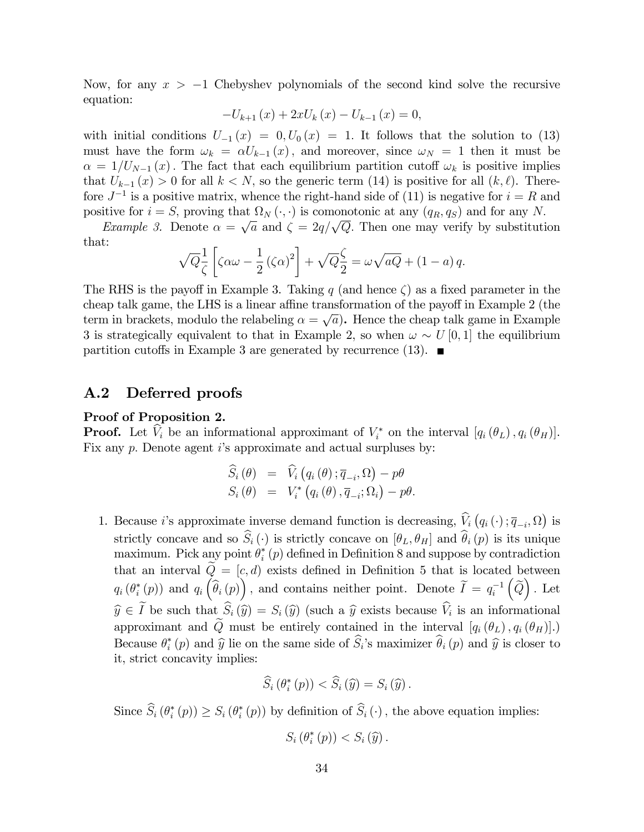Now, for any  $x > -1$  Chebyshev polynomials of the second kind solve the recursive equation:

$$
-U_{k+1}(x) + 2xU_k(x) - U_{k-1}(x) = 0,
$$

with initial conditions  $U_{-1}(x) = 0, U_0(x) = 1$ . It follows that the solution to (13) must have the form  $\omega_k = \alpha U_{k-1}(x)$ , and moreover, since  $\omega_N = 1$  then it must be  $\alpha = 1/U_{N-1}(x)$ . The fact that each equilibrium partition cutoff  $\omega_k$  is positive implies that  $U_{k-1} (x) > 0$  for all  $k < N$ , so the generic term (14) is positive for all  $(k, \ell)$ . Therefore  $J^{-1}$  is a positive matrix, whence the right-hand side of (11) is negative for  $i = R$  and positive for  $i = S$ , proving that  $\Omega_N(\cdot, \cdot)$  is comonotonic at any  $(q_R, q_S)$  and for any N.

*Example 3.* Denote  $\alpha = \sqrt{a}$  and  $\zeta = 2q/\sqrt{Q}$ . Then one may verify by substitution that:

$$
\sqrt{Q}\frac{1}{\zeta}\left[\zeta\alpha\omega - \frac{1}{2}(\zeta\alpha)^2\right] + \sqrt{Q}\frac{\zeta}{2} = \omega\sqrt{aQ} + (1-a)q.
$$

The RHS is the payoff in Example 3. Taking q (and hence  $\zeta$ ) as a fixed parameter in the cheap talk game, the LHS is a linear affine transformation of the payoff in Example  $2$  (the term in brackets, modulo the relabeling  $\alpha = \sqrt{a}$ . Hence the cheap talk game in Example 3 is strategically equivalent to that in Example 2, so when  $\omega \sim U[0, 1]$  the equilibrium partition cutoffs in Example 3 are generated by recurrence (13).  $\blacksquare$ 

### A.2 Deferred proofs

#### Proof of Proposition 2.

**Proof.** Let  $V_i$  be an informational approximant of  $V_i^*$  on the interval  $[q_i(\theta_L), q_i(\theta_H)]$ . Fix any p. Denote agent i's approximate and actual surpluses by:

$$
\widehat{S}_i (\theta) = \widehat{V}_i (q_i (\theta); \overline{q}_{-i}, \Omega) - p\theta \nS_i (\theta) = V_i^* (q_i (\theta), \overline{q}_{-i}; \Omega_i) - p\theta.
$$

1. Because *i*'s approximate inverse demand function is decreasing,  $\hat{V}_i(q_i(\cdot); \overline{q}_{-i}, \Omega)$  is strictly concave and so  $\widehat{S}_i(\cdot)$  is strictly concave on  $[\theta_L, \theta_H]$  and  $\widehat{\theta}_i(p)$  is its unique maximum. Pick any point  $\theta_i^*(p)$  defined in Definition 8 and suppose by contradiction that an interval  $\tilde{Q} = [c, d]$  exists defined in Definition 5 that is located between  $q_i(\theta_i^*(p))$  and  $q_i(\hat{\theta}_i(p))$ , and contains neither point. Denote  $\widetilde{I} = q_i^{-1}$  $\left(\widetilde{Q}\right)$ . Let  $\widehat{y} \in I$  be such that  $S_i(\widehat{y}) = S_i(\widehat{y})$  (such a  $\widehat{y}$  exists because  $V_i$  is an informational approximant and  $\tilde{Q}$  must be entirely contained in the interval  $[q_i(\theta_L), q_i(\theta_H)]$ .) Because  $\theta_i^*(p)$  and  $\widehat{y}$  lie on the same side of  $S_i$ 's maximizer  $\theta_i(p)$  and  $\widehat{y}$  is closer to it, strict concavity implies:

$$
\widehat{S}_i\left(\theta_i^*\left(p\right)\right) < \widehat{S}_i\left(\widehat{y}\right) = S_i\left(\widehat{y}\right).
$$

Since  $S_i(\theta_i^*(p)) \geq S_i(\theta_i^*(p))$  by definition of  $S_i(\cdot)$ , the above equation implies:

$$
S_i\left(\theta_i^*\left(p\right)\right) < S_i\left(\widehat{y}\right).
$$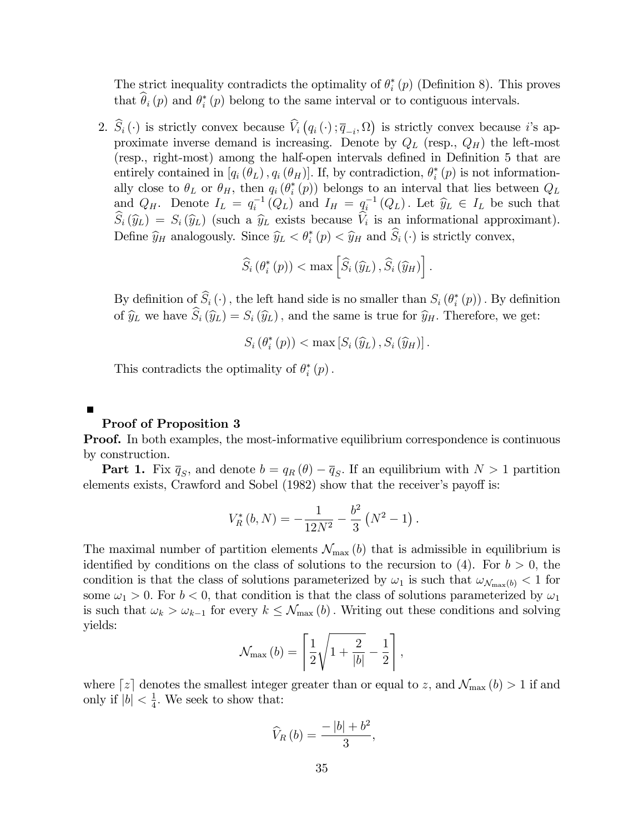The strict inequality contradicts the optimality of  $\theta_i^*(p)$  (Definition 8). This proves that  $\theta_i(p)$  and  $\theta_i^*(p)$  belong to the same interval or to contiguous intervals.

2.  $\widehat{S}_i(\cdot)$  is strictly convex because  $\widehat{V}_i(q_i(\cdot); \overline{q}_{-i}, \Omega)$  is strictly convex because *i*'s approximate inverse demand is increasing. Denote by  $Q_L$  (resp.,  $Q_H$ ) the left-most (resp., right-most) among the half-open intervals defined in Definition 5 that are entirely contained in  $[q_i(\theta_L), q_i(\theta_H)]$ . If, by contradiction,  $\theta_i^*(p)$  is not informationally close to  $\theta_L$  or  $\theta_H$ , then  $q_i(\theta_i^*(p))$  belongs to an interval that lies between  $Q_L$ and  $Q_H$ . Denote  $I_L = q_i^{-1}(Q_L)$  and  $I_H = q_i^{-1}(Q_L)$ . Let  $\widehat{y}_L \in I_L$  be such that  $S_i(\hat{y}_L) = S_i(\hat{y}_L)$  (such a  $\hat{y}_L$  exists because  $V_i$  is an informational approximant). Define  $\hat{y}_H$  analogously. Since  $\hat{y}_L < \theta_i^*(p) < \hat{y}_H$  and  $S_i(\cdot)$  is strictly convex,

$$
\widehat{S}_i\left(\theta^*_i\left(p\right)\right) < \max\left[\widehat{S}_i\left(\widehat{y}_L\right), \widehat{S}_i\left(\widehat{y}_H\right)\right].
$$

By definition of  $S_i(\cdot)$ , the left hand side is no smaller than  $S_i(\theta_i^*(p))$ . By definition of  $\hat{y}_L$  we have  $\hat{S}_i(\hat{y}_L) = S_i(\hat{y}_L)$ , and the same is true for  $\hat{y}_H$ . Therefore, we get:

$$
S_i\left(\theta_i^*\left(p\right)\right) < \max\left[S_i\left(\widehat{y}_L\right), S_i\left(\widehat{y}_H\right)\right].
$$

This contradicts the optimality of  $\theta_i^*(p)$ .

Proof of Proposition 3

 $\blacksquare$ 

**Proof.** In both examples, the most-informative equilibrium correspondence is continuous by construction.

**Part 1.** Fix  $\overline{q}_S$ , and denote  $b = q_R(\theta) - \overline{q}_S$ . If an equilibrium with  $N > 1$  partition elements exists, Crawford and Sobel  $(1982)$  show that the receiver's payoff is:

$$
V_R^*(b, N) = -\frac{1}{12N^2} - \frac{b^2}{3} (N^2 - 1).
$$

The maximal number of partition elements  $\mathcal{N}_{\text{max}}(b)$  that is admissible in equilibrium is identified by conditions on the class of solutions to the recursion to (4). For  $b > 0$ , the condition is that the class of solutions parameterized by  $\omega_1$  is such that  $\omega_{\mathcal{N}_{\text{max}}(b)} < 1$  for some  $\omega_1 > 0$ . For  $b < 0$ , that condition is that the class of solutions parameterized by  $\omega_1$ is such that  $\omega_k > \omega_{k-1}$  for every  $k \leq \mathcal{N}_{\text{max}} (b)$ . Writing out these conditions and solving yields:

$$
\mathcal{N}_{\max}\left(b\right) = \left\lceil \frac{1}{2}\sqrt{1 + \frac{2}{\left|b\right|}} - \frac{1}{2} \right\rceil,
$$

where  $z$  denotes the smallest integer greater than or equal to z, and  $\mathcal{N}_{\max}$  (b) > 1 if and only if  $|b| < \frac{1}{4}$  $\frac{1}{4}$ . We seek to show that:

$$
\widehat{V}_R\left(b\right) = \frac{-\left|b\right| + b^2}{3},
$$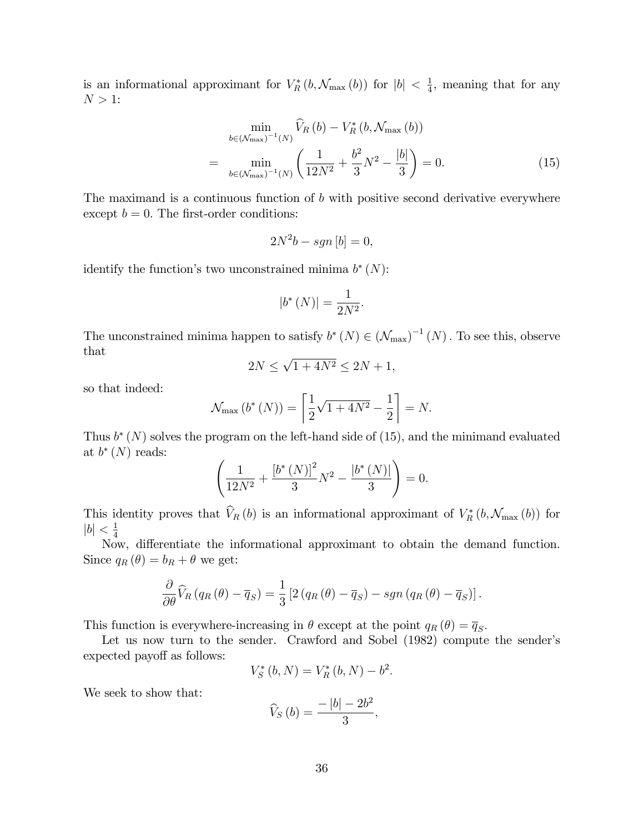is an informational approximant for  $V_R^*(b, \mathcal{N}_{\max}(b))$  for  $|b| < \frac{1}{4}$  $\frac{1}{4}$ , meaning that for any  $N > 1$ :

$$
\min_{b \in (\mathcal{N}_{\max})^{-1}(N)} \widehat{V}_R(b) - V_R^*(b, \mathcal{N}_{\max}(b))
$$
\n
$$
= \min_{b \in (\mathcal{N}_{\max})^{-1}(N)} \left( \frac{1}{12N^2} + \frac{b^2}{3}N^2 - \frac{|b|}{3} \right) = 0. \tag{15}
$$

The maximand is a continuous function of  $b$  with positive second derivative everywhere except  $b = 0$ . The first-order conditions:

$$
2N^2b - sgn\left[b\right] = 0,
$$

identify the function's two unconstrained minima  $b^*(N)$ :

$$
|b^*(N)| = \frac{1}{2N^2}.
$$

The unconstrained minima happen to satisfy  $b^*(N) \in (\mathcal{N}_{\text{max}})^{-1}(N)$ . To see this, observe that

$$
2N \le \sqrt{1+4N^2} \le 2N+1,
$$

so that indeed:

$$
\mathcal{N}_{\max}(b^*(N)) = \left[\frac{1}{2}\sqrt{1+4N^2} - \frac{1}{2}\right] = N.
$$

Thus  $b^*(N)$  solves the program on the left-hand side of (15), and the minimand evaluated at  $b^*(N)$  reads:

$$
\left(\frac{1}{12N^2} + \frac{\left[b^*\left(N\right)\right]^2}{3}N^2 - \frac{\left[b^*\left(N\right)\right]}{3}\right) = 0.
$$

This identity proves that  $V_R(b)$  is an informational approximant of  $V_R^*(b, \mathcal{N}_{\max}(b))$  for  $|b|<\frac{1}{4}$ 4

Now, differentiate the informational approximant to obtain the demand function. Since  $q_R(\theta) = b_R + \theta$  we get:

$$
\frac{\partial}{\partial \theta} \widehat{V}_R (q_R(\theta) - \overline{q}_S) = \frac{1}{3} \left[ 2 (q_R(\theta) - \overline{q}_S) - sgn (q_R(\theta) - \overline{q}_S) \right].
$$

This function is everywhere-increasing in  $\theta$  except at the point  $q_R(\theta) = \overline{q}_S$ .

Let us now turn to the sender. Crawford and Sobel (1982) compute the sender's expected payoff as follows:

$$
V_S^*(b, N) = V_R^*(b, N) - b^2.
$$

We seek to show that:

$$
\widehat{V}_S\left(b\right) = \frac{-\left|b\right| - 2b^2}{3},
$$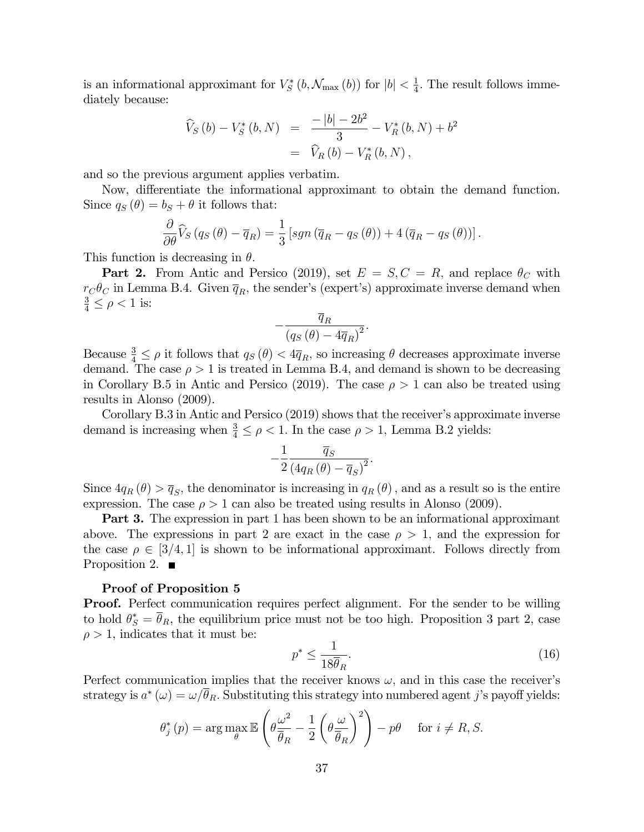is an informational approximant for  $V_S^*(b, \mathcal{N}_{\max}(b))$  for  $|b| < \frac{1}{4}$  $\frac{1}{4}$ . The result follows immediately because:

$$
\begin{aligned}\n\widehat{V}_S\left(b\right) - V_S^*\left(b, N\right) &= \frac{-\left|b\right| - 2b^2}{3} - V_R^*\left(b, N\right) + b^2 \\
&= \widehat{V}_R\left(b\right) - V_R^*\left(b, N\right),\n\end{aligned}
$$

and so the previous argument applies verbatim.

Now, differentiate the informational approximant to obtain the demand function. Since  $q_S(\theta) = b_S + \theta$  it follows that:

$$
\frac{\partial}{\partial \theta}\widehat{V}_{S}\left(q_{S}\left(\theta\right)-\overline{q}_{R}\right)=\frac{1}{3}\left[sgn\left(\overline{q}_{R}-q_{S}\left(\theta\right)\right)+4\left(\overline{q}_{R}-q_{S}\left(\theta\right)\right)\right].
$$

This function is decreasing in  $\theta$ .

**Part 2.** From Antic and Persico (2019), set  $E = S, C = R$ , and replace  $\theta_C$  with  $r_{\rm C}\theta_{\rm C}$  in Lemma B.4. Given  $\overline{q}_R$ , the sender's (expert's) approximate inverse demand when  $\frac{3}{4} \leq \rho < 1$  is:

$$
-\frac{\overline{q}_R}{\left(q_S\left(\theta\right)-4\overline{q}_R\right)^2}.
$$

Because  $\frac{3}{4} \leq \rho$  it follows that  $q_S(\theta) < 4\overline{q}_R$ , so increasing  $\theta$  decreases approximate inverse demand. The case  $\rho > 1$  is treated in Lemma B.4, and demand is shown to be decreasing in Corollary B.5 in Antic and Persico (2019). The case  $\rho > 1$  can also be treated using results in Alonso (2009).

Corollary B.3 in Antic and Persico  $(2019)$  shows that the receiver's approximate inverse demand is increasing when  $\frac{3}{4} \leq \rho < 1$ . In the case  $\rho > 1$ , Lemma B.2 yields:

$$
-\frac{1}{2}\frac{\overline{q}_S}{\left(4q_R\left(\theta\right)-\overline{q}_S\right)^2}.
$$

Since  $4q_R(\theta) > \overline{q}_S$ , the denominator is increasing in  $q_R(\theta)$ , and as a result so is the entire expression. The case  $\rho > 1$  can also be treated using results in Alonso (2009).

Part 3. The expression in part 1 has been shown to be an informational approximant above. The expressions in part 2 are exact in the case  $\rho > 1$ , and the expression for the case  $\rho \in [3/4, 1]$  is shown to be informational approximant. Follows directly from Proposition 2.  $\blacksquare$ 

#### Proof of Proposition 5

**Proof.** Perfect communication requires perfect alignment. For the sender to be willing to hold  $\theta_{S}^{*} = \theta_{R}$ , the equilibrium price must not be too high. Proposition 3 part 2, case  $\rho > 1$ , indicates that it must be:

$$
p^* \le \frac{1}{18\overline{\theta}_R}.\tag{16}
$$

Perfect communication implies that the receiver knows  $\omega$ , and in this case the receiver's strategy is  $a^*(\omega) = \omega/\theta_R$ . Substituting this strategy into numbered agent j's payoff yields:

$$
\theta_j^*(p) = \arg \max_{\theta} \mathbb{E}\left(\theta \frac{\omega^2}{\overline{\theta}_R} - \frac{1}{2} \left(\theta \frac{\omega}{\overline{\theta}_R}\right)^2\right) - p\theta \quad \text{ for } i \neq R, S.
$$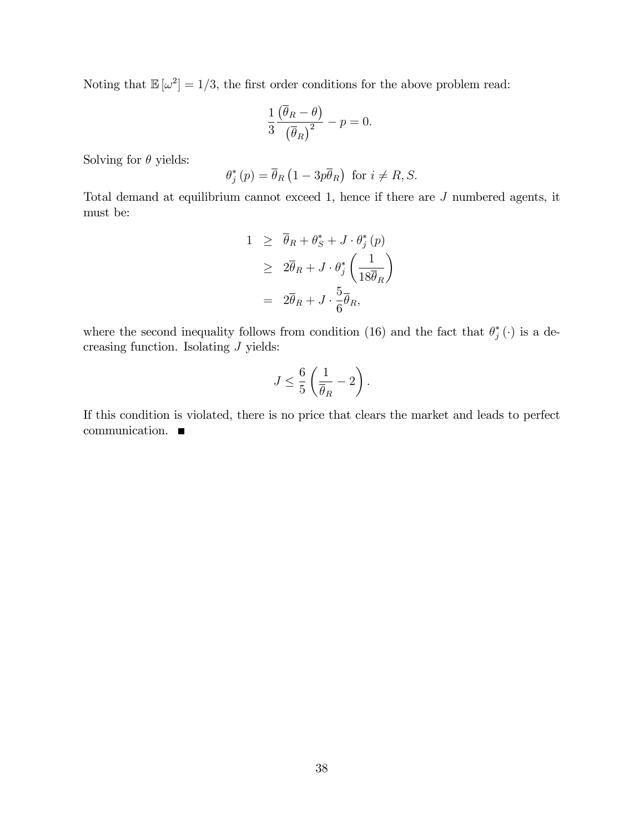Noting that  $\mathbb{E}[\omega^2] = 1/3$ , the first order conditions for the above problem read:

$$
\frac{1}{3} \frac{\left(\overline{\theta}_R - \theta\right)}{\left(\overline{\theta}_R\right)^2} - p = 0.
$$

Solving for  $\theta$  yields:

$$
\theta_j^*(p) = \overline{\theta}_R \left( 1 - 3p \overline{\theta}_R \right) \text{ for } i \neq R, S.
$$

Total demand at equilibrium cannot exceed 1, hence if there are J numbered agents, it must be:

$$
1 \geq \overline{\theta}_R + \theta_S^* + J \cdot \theta_j^* (p)
$$
  
\n
$$
\geq 2\overline{\theta}_R + J \cdot \theta_j^* \left(\frac{1}{18\overline{\theta}_R}\right)
$$
  
\n
$$
= 2\overline{\theta}_R + J \cdot \frac{5}{6}\overline{\theta}_R,
$$

where the second inequality follows from condition (16) and the fact that  $\theta_j^*$  ( $\cdot$ ) is a decreasing function. Isolating J yields:

$$
J \le \frac{6}{5}\left(\frac{1}{\overline{\theta}_R} - 2\right).
$$

If this condition is violated, there is no price that clears the market and leads to perfect communication.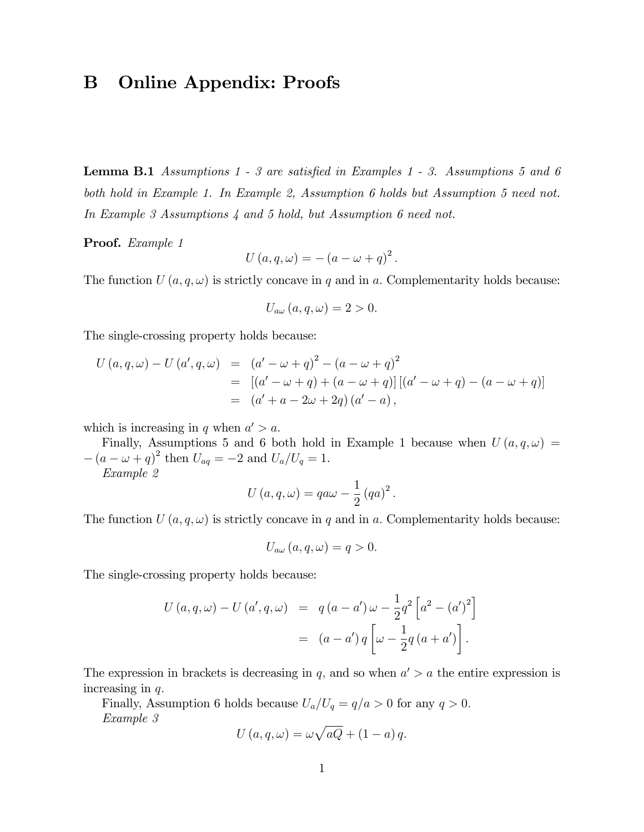## B Online Appendix: Proofs

**Lemma B.1** Assumptions 1 - 3 are satisfied in Examples 1 - 3. Assumptions 5 and 6 both hold in Example 1. In Example 2, Assumption 6 holds but Assumption 5 need not. In Example 3 Assumptions 4 and 5 hold, but Assumption 6 need not.

Proof. Example 1

$$
U(a,q,\omega) = -(a - \omega + q)^2.
$$

The function  $U(a, q, \omega)$  is strictly concave in q and in a. Complementarity holds because:

$$
U_{a\omega}(a,q,\omega)=2>0.
$$

The single-crossing property holds because:

$$
U(a,q,\omega) - U(a',q,\omega) = (a' - \omega + q)^2 - (a - \omega + q)^2
$$
  
= 
$$
[(a' - \omega + q) + (a - \omega + q)] [(a' - \omega + q) - (a - \omega + q)]
$$
  
= 
$$
(a' + a - 2\omega + 2q) (a' - a),
$$

which is increasing in q when  $a' > a$ .

Finally, Assumptions 5 and 6 both hold in Example 1 because when  $U(a, q, \omega)$  =  $-(a - \omega + q)^2$  then  $U_{aq} = -2$  and  $U_a/U_q = 1$ .

Example 2

$$
U(a,q,\omega) = qa\omega - \frac{1}{2} (qa)^{2}.
$$

The function  $U(a, q, \omega)$  is strictly concave in q and in a. Complementarity holds because:

$$
U_{a\omega}(a,q,\omega)=q>0.
$$

The single-crossing property holds because:

$$
U(a,q,\omega) - U(a',q,\omega) = q(a-a')\omega - \frac{1}{2}q^2 \left[a^2 - (a')^2\right]
$$

$$
= (a-a')q \left[\omega - \frac{1}{2}q(a+a')\right].
$$

The expression in brackets is decreasing in q, and so when  $a' > a$  the entire expression is increasing in  $q$ .

Finally, Assumption 6 holds because  $U_a/U_q = q/a > 0$  for any  $q > 0$ . Example 3

$$
U(a,q,\omega) = \omega \sqrt{aQ} + (1-a) q.
$$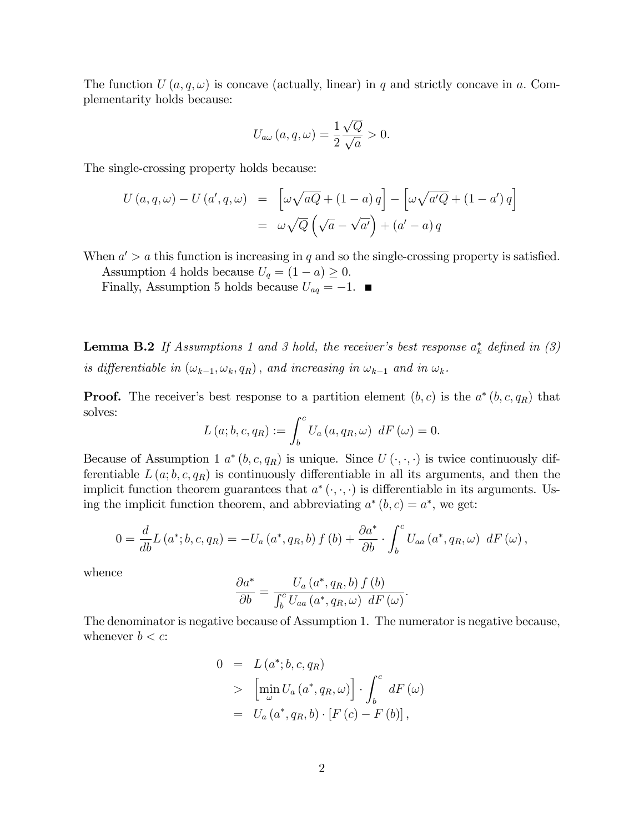The function  $U(a, q, \omega)$  is concave (actually, linear) in q and strictly concave in a. Complementarity holds because:

$$
U_{a\omega}(a,q,\omega) = \frac{1}{2} \frac{\sqrt{Q}}{\sqrt{a}} > 0.
$$

The single-crossing property holds because:

$$
U(a,q,\omega) - U(a',q,\omega) = \left[\omega\sqrt{aQ} + (1-a)q\right] - \left[\omega\sqrt{a'Q} + (1-a')q\right]
$$

$$
= \omega\sqrt{Q}\left(\sqrt{a} - \sqrt{a'}\right) + (a'-a)q
$$

When  $a' > a$  this function is increasing in q and so the single-crossing property is satisfied.

Assumption 4 holds because  $U_q = (1 - a) \geq 0$ .

Finally, Assumption 5 holds because  $U_{aq} = -1$ .

**Lemma B.2** If Assumptions 1 and 3 hold, the receiver's best response  $a_k^*$  defined in (3) is differentiable in  $(\omega_{k-1}, \omega_k, q_R)$ , and increasing in  $\omega_{k-1}$  and in  $\omega_k$ .

**Proof.** The receiver's best response to a partition element  $(b, c)$  is the  $a^*(b, c, q_R)$  that solves:

$$
L(a;b,c,qR) := \int_b^c U_a(a,qR,\omega) dF(\omega) = 0.
$$

Because of Assumption 1  $a^*(b, c, q_R)$  is unique. Since  $U(\cdot, \cdot, \cdot)$  is twice continuously differentiable  $L(a; b, c, q_R)$  is continuously differentiable in all its arguments, and then the implicit function theorem guarantees that  $a^*(\cdot, \cdot, \cdot)$  is differentiable in its arguments. Using the implicit function theorem, and abbreviating  $a^*(b, c) = a^*$ , we get:

$$
0 = \frac{d}{db} L(a^*; b, c, q_R) = -U_a(a^*, q_R, b) f(b) + \frac{\partial a^*}{\partial b} \cdot \int_b^c U_{aa}(a^*, q_R, \omega) dF(\omega),
$$

whence

$$
\frac{\partial a^*}{\partial b} = \frac{U_a(a^*, q_R, b) f(b)}{\int_b^c U_{aa}(a^*, q_R, \omega) dF(\omega)}.
$$

The denominator is negative because of Assumption 1. The numerator is negative because, whenever  $b < c$ :

$$
0 = L(a^*; b, c, q_R)
$$
  
> 
$$
\left[\min_{\omega} U_a(a^*, q_R, \omega)\right] \cdot \int_b^c dF(\omega)
$$
  
= 
$$
U_a(a^*, q_R, b) \cdot [F(c) - F(b)],
$$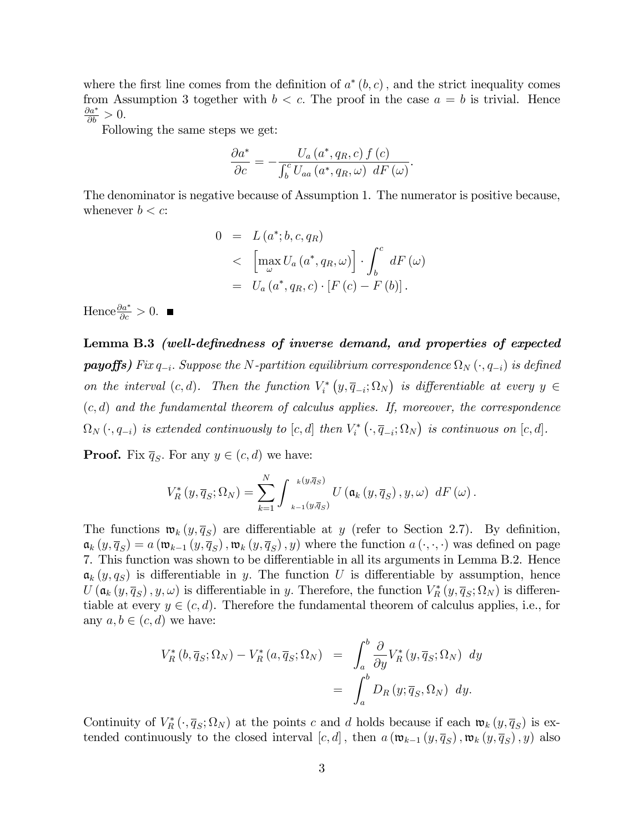where the first line comes from the definition of  $a^*(b, c)$ , and the strict inequality comes from Assumption 3 together with  $b < c$ . The proof in the case  $a = b$  is trivial. Hence  $\frac{\partial a^*}{\partial b} > 0.$ 

Following the same steps we get:

$$
\frac{\partial a^*}{\partial c} = -\frac{U_a(a^*,q_R,c) f(c)}{\int_b^c U_{aa}(a^*,q_R,\omega) dF(\omega)}.
$$

The denominator is negative because of Assumption 1. The numerator is positive because, whenever  $b < c$ :

$$
0 = L(a^*; b, c, q_R)
$$
  

$$
< \left[ \max_{\omega} U_a(a^*, q_R, \omega) \right] \cdot \int_b^c dF(\omega)
$$
  

$$
= U_a(a^*, q_R, c) \cdot [F(c) - F(b)].
$$

Hence  $\frac{\partial a^*}{\partial c} > 0$ .

Lemma B.3 (well-definedness of inverse demand, and properties of expected  $payoffs)$  Fix  $q_{-i}$ . Suppose the N-partition equilibrium correspondence  $\Omega_N\left(\cdot,q_{-i}\right)$  is defined on the interval  $(c, d)$ . Then the function  $V_i^* (y, \overline{q}_{-i}; \Omega_N)$  is differentiable at every  $y \in$  $(c, d)$  and the fundamental theorem of calculus applies. If, moreover, the correspondence  $\Omega_N(\cdot, q_{-i})$  is extended continuously to  $[c, d]$  then  $V_i^* (\cdot, \overline{q}_{-i}; \Omega_N)$  is continuous on  $[c, d]$ .

**Proof.** Fix  $\overline{q}_S$ . For any  $y \in (c, d)$  we have:

$$
V_{R}^{*}\left(y,\overline{q}_{S};\Omega_{N}\right)=\sum_{k=1}^{N}\int_{\mathbf{w}_{k-1}\left(y,\overline{q}_{S}\right)}^{\mathbf{w}_{k}\left(y,\overline{q}_{S}\right)}U\left(\mathfrak{a}_{k}\left(y,\overline{q}_{S}\right),y,\omega\right) dF\left(\omega\right).
$$

The functions  $\mathfrak{w}_k(y, \overline{q}_s)$  are differentiable at y (refer to Section 2.7). By definition,  $a_k(y, \overline{q}_S) = a(w_{k-1}(y, \overline{q}_S), w_k(y, \overline{q}_S), y)$  where the function  $a(\cdot, \cdot, \cdot)$  was defined on page 7. This function was shown to be differentiable in all its arguments in Lemma B.2. Hence  $a_k(y, q_s)$  is differentiable in y. The function U is differentiable by assumption, hence  $U(\mathfrak{a}_k(y,\overline{q}_S),y,\omega)$  is differentiable in y. Therefore, the function  $V_R^*(y,\overline{q}_S;\Omega_N)$  is differentiable at every  $y \in (c, d)$ . Therefore the fundamental theorem of calculus applies, i.e., for any  $a, b \in (c, d)$  we have:

$$
V_R^*(b, \overline{q}_S; \Omega_N) - V_R^*(a, \overline{q}_S; \Omega_N) = \int_a^b \frac{\partial}{\partial y} V_R^*(y, \overline{q}_S; \Omega_N) dy
$$
  
= 
$$
\int_a^b D_R(y; \overline{q}_S, \Omega_N) dy.
$$

Continuity of  $V_R^* (\cdot, \overline{q}_S; \Omega_N)$  at the points c and d holds because if each  $\mathfrak{w}_k (y, \overline{q}_S)$  is extended continuously to the closed interval  $[c, d]$ , then  $a(\mathfrak{w}_{k-1}(y, \overline{q}_S), \mathfrak{w}_k(y, \overline{q}_S), y)$  also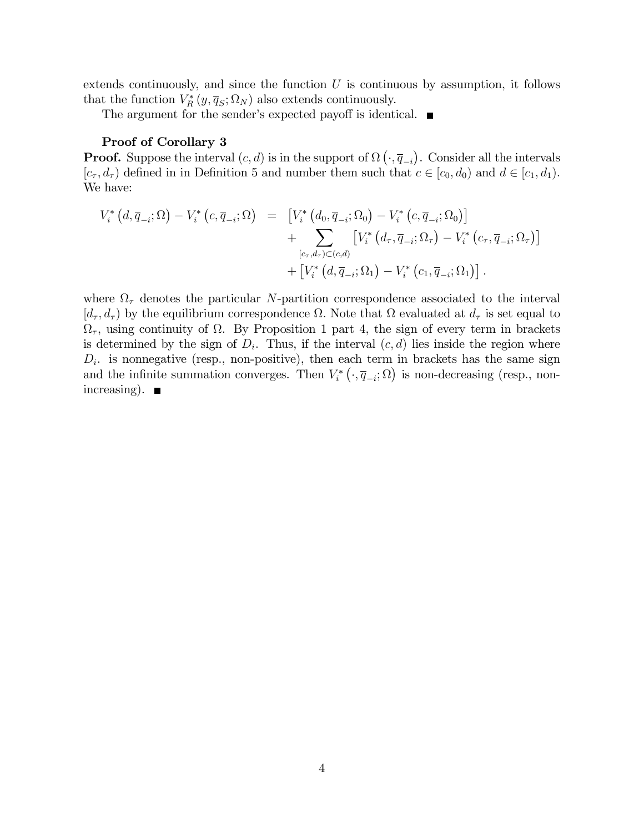extends continuously, and since the function  $U$  is continuous by assumption, it follows that the function  $V_R^*(y, \overline{q}_S; \Omega_N)$  also extends continuously.

The argument for the sender's expected payoff is identical.  $\blacksquare$ 

#### Proof of Corollary 3

**Proof.** Suppose the interval  $(c, d)$  is in the support of  $\Omega$   $(\cdot, \overline{q}_{-i})$ . Consider all the intervals  $[c_{\tau}, d_{\tau})$  defined in in Definition 5 and number them such that  $c \in [c_0, d_0)$  and  $d \in [c_1, d_1)$ . We have:

$$
V_{i}^{*}(d, \overline{q}_{-i}; \Omega) - V_{i}^{*}(c, \overline{q}_{-i}; \Omega) = [V_{i}^{*}(d_{0}, \overline{q}_{-i}; \Omega_{0}) - V_{i}^{*}(c, \overline{q}_{-i}; \Omega_{0})] + \sum_{[c_{\tau}, d_{\tau}) \subset (c, d)} [V_{i}^{*}(d_{\tau}, \overline{q}_{-i}; \Omega_{\tau}) - V_{i}^{*}(c_{\tau}, \overline{q}_{-i}; \Omega_{\tau})] + [V_{i}^{*}(d, \overline{q}_{-i}; \Omega_{1}) - V_{i}^{*}(c_{1}, \overline{q}_{-i}; \Omega_{1})].
$$

where  $\Omega_{\tau}$  denotes the particular N-partition correspondence associated to the interval  $[d_{\tau}, d_{\tau})$  by the equilibrium correspondence  $\Omega$ . Note that  $\Omega$  evaluated at  $d_{\tau}$  is set equal to  $\Omega_{\tau}$ , using continuity of  $\Omega$ . By Proposition 1 part 4, the sign of every term in brackets is determined by the sign of  $D_i$ . Thus, if the interval  $(c, d)$  lies inside the region where  $D_i$  is nonnegative (resp., non-positive), then each term in brackets has the same sign and the infinite summation converges. Then  $V_i^* (\cdot, \overline{q}_{-i}; \Omega)$  is non-decreasing (resp., nonincreasing).  $\blacksquare$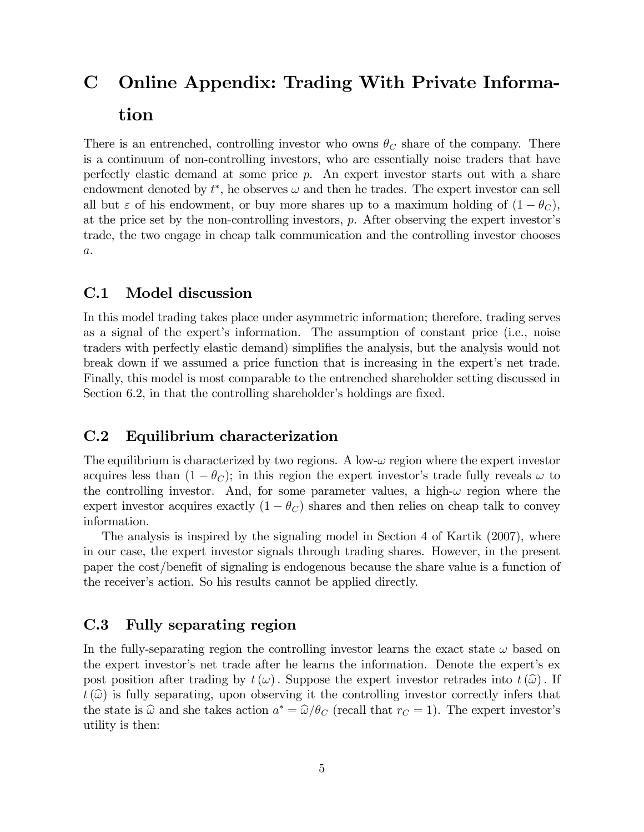# C Online Appendix: Trading With Private Information

There is an entrenched, controlling investor who owns  $\theta_C$  share of the company. There is a continuum of non-controlling investors, who are essentially noise traders that have perfectly elastic demand at some price p. An expert investor starts out with a share endowment denoted by  $t^*$ , he observes  $\omega$  and then he trades. The expert investor can sell all but  $\varepsilon$  of his endowment, or buy more shares up to a maximum holding of  $(1 - \theta_C)$ , at the price set by the non-controlling investors,  $p$ . After observing the expert investor's trade, the two engage in cheap talk communication and the controlling investor chooses  $a$ .

## C.1 Model discussion

In this model trading takes place under asymmetric information; therefore, trading serves as a signal of the expert's information. The assumption of constant price (i.e., noise traders with perfectly elastic demand) simplifies the analysis, but the analysis would not break down if we assumed a price function that is increasing in the expert's net trade. Finally, this model is most comparable to the entrenched shareholder setting discussed in Section 6.2, in that the controlling shareholder's holdings are fixed.

### C.2 Equilibrium characterization

The equilibrium is characterized by two regions. A low- $\omega$  region where the expert investor acquires less than  $(1 - \theta_C)$ ; in this region the expert investor's trade fully reveals  $\omega$  to the controlling investor. And, for some parameter values, a high- $\omega$  region where the expert investor acquires exactly  $(1 - \theta_C)$  shares and then relies on cheap talk to convey information.

The analysis is inspired by the signaling model in Section 4 of Kartik (2007), where in our case, the expert investor signals through trading shares. However, in the present paper the cost/benefit of signaling is endogenous because the share value is a function of the receiver's action. So his results cannot be applied directly.

## C.3 Fully separating region

In the fully-separating region the controlling investor learns the exact state  $\omega$  based on the expert investor's net trade after he learns the information. Denote the expert's expost position after trading by  $t(\omega)$ . Suppose the expert investor retrades into  $t(\widehat{\omega})$ . If  $t(\widehat{\omega})$  is fully separating, upon observing it the controlling investor correctly infers that the state is  $\hat{\omega}$  and she takes action  $a^* = \hat{\omega}/\theta_C$  (recall that  $r_C = 1$ ). The expert investor's utility is then: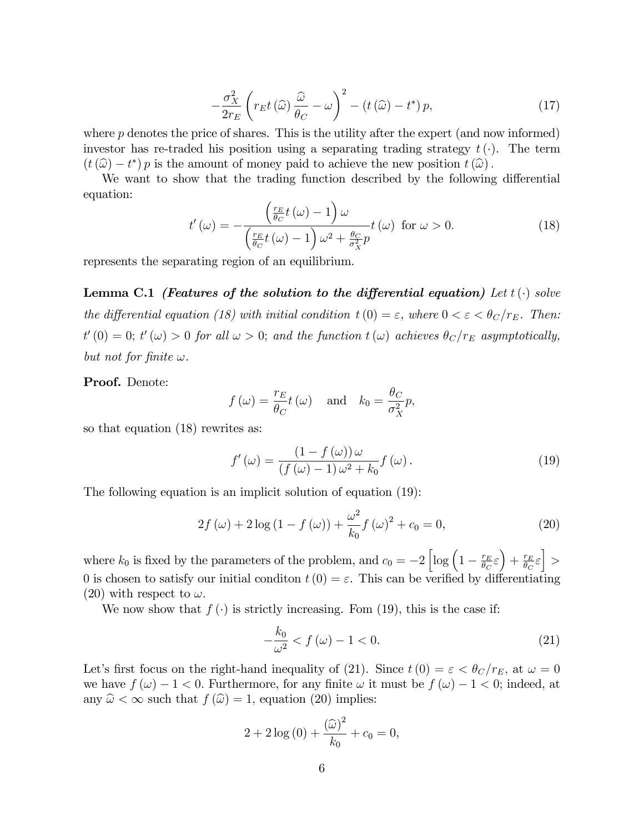$$
-\frac{\sigma_X^2}{2r_E} \left( r_E t \left( \widehat{\omega} \right) \frac{\widehat{\omega}}{\theta_C} - \omega \right)^2 - \left( t \left( \widehat{\omega} \right) - t^* \right) p, \tag{17}
$$

where  $p$  denotes the price of shares. This is the utility after the expert (and now informed) investor has re-traded his position using a separating trading strategy  $t(\cdot)$ . The term  $(t(\widehat{\omega}) - t^*) p$  is the amount of money paid to achieve the new position  $t(\widehat{\omega})$ .

We want to show that the trading function described by the following differential equation:

$$
t'(\omega) = -\frac{\left(\frac{r_E}{\theta_C}t(\omega) - 1\right)\omega}{\left(\frac{r_E}{\theta_C}t(\omega) - 1\right)\omega^2 + \frac{\theta_C}{\sigma_X^2}p}t(\omega) \text{ for } \omega > 0.
$$
 (18)

represents the separating region of an equilibrium.

Lemma C.1 (Features of the solution to the differential equation) Let  $t(\cdot)$  solve the differential equation (18) with initial condition  $t(0) = \varepsilon$ , where  $0 < \varepsilon < \theta_C/r_E$ . Then:  $t'(0) = 0$ ;  $t'(\omega) > 0$  for all  $\omega > 0$ ; and the function  $t(\omega)$  achieves  $\theta_C/r_E$  asymptotically, but not for finite  $\omega$ .

Proof. Denote:

$$
f(\omega) = \frac{r_E}{\theta_C} t(\omega)
$$
 and  $k_0 = \frac{\theta_C}{\sigma_X^2} p$ ,

so that equation (18) rewrites as:

$$
f'(\omega) = \frac{\left(1 - f(\omega)\right)\omega}{\left(f(\omega) - 1\right)\omega^2 + k_0} f(\omega). \tag{19}
$$

The following equation is an implicit solution of equation (19):

$$
2f(\omega) + 2\log(1 - f(\omega)) + \frac{\omega^2}{k_0}f(\omega)^2 + c_0 = 0,
$$
\n(20)

where  $k_0$  is fixed by the parameters of the problem, and  $c_0 = -2 \left[ \log \left( 1 - \frac{r_E}{\theta_C} \right) \right]$  $\left(\frac{r_E}{\theta_C}\varepsilon\right) + \frac{r_E}{\theta_C}$  $\frac{r_E}{\theta_C} \varepsilon\bigg] >$ 0 is chosen to satisfy our initial condition  $t(0) = \varepsilon$ . This can be verified by differentiating (20) with respect to  $\omega$ .

We now show that  $f(\cdot)$  is strictly increasing. Fom (19), this is the case if:

$$
-\frac{k_0}{\omega^2} < f\left(\omega\right) - 1 < 0. \tag{21}
$$

Let's first focus on the right-hand inequality of (21). Since  $t(0) = \varepsilon < \theta_C/r_E$ , at  $\omega = 0$ we have  $f(\omega) - 1 < 0$ . Furthermore, for any finite  $\omega$  it must be  $f(\omega) - 1 < 0$ ; indeed, at any  $\hat{\omega} < \infty$  such that  $f(\hat{\omega}) = 1$ , equation (20) implies:

$$
2 + 2\log(0) + \frac{(\widehat{\omega})^2}{k_0} + c_0 = 0,
$$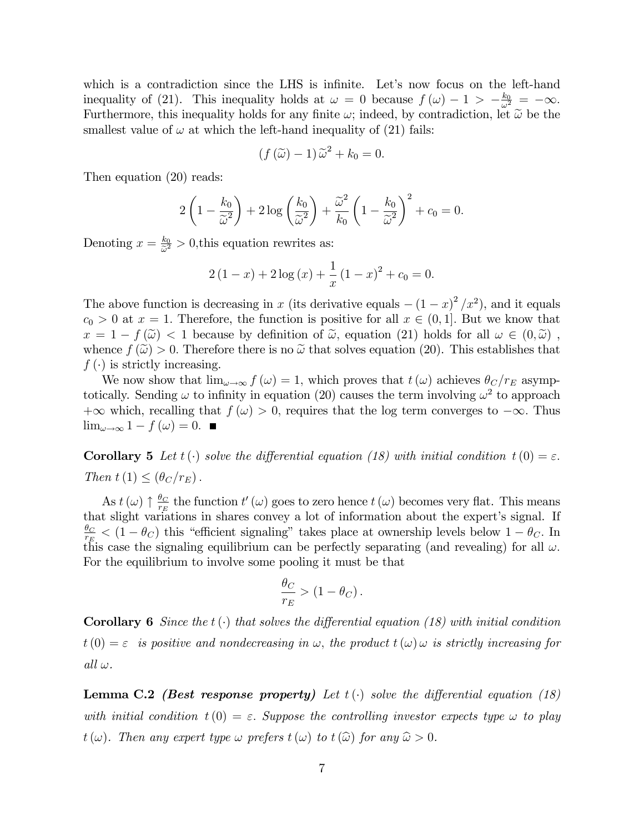which is a contradiction since the LHS is infinite. Let's now focus on the left-hand inequality of (21). This inequality holds at  $\omega = 0$  because  $f(\omega) - 1 > -\frac{k_0}{\omega^2} = -\infty$ . Furthermore, this inequality holds for any finite  $\omega$ ; indeed, by contradiction, let  $\tilde{\omega}$  be the smallest value of  $\omega$  at which the left-hand inequality of (21) fails:

$$
(f(\widetilde{\omega})-1)\widetilde{\omega}^2+k_0=0.
$$

Then equation (20) reads:

$$
2\left(1-\frac{k_0}{\widetilde{\omega}^2}\right)+2\log\left(\frac{k_0}{\widetilde{\omega}^2}\right)+\frac{\widetilde{\omega}^2}{k_0}\left(1-\frac{k_0}{\widetilde{\omega}^2}\right)^2+c_0=0.
$$

Denoting  $x = \frac{k_0}{\tilde{c}^2}$  $\frac{k_0}{\tilde{\omega}^2} > 0$ , this equation rewrites as:

$$
2(1-x) + 2\log(x) + \frac{1}{x}(1-x)^{2} + c_{0} = 0.
$$

The above function is decreasing in x (its derivative equals  $-(1-x)^2/x^2$ ), and it equals  $c_0 > 0$  at  $x = 1$ . Therefore, the function is positive for all  $x \in (0, 1]$ . But we know that  $x = 1 - f(\tilde{\omega}) < 1$  because by definition of  $\tilde{\omega}$ , equation (21) holds for all  $\omega \in (0, \tilde{\omega})$ , whence  $f(\tilde{\omega}) > 0$ . Therefore there is no  $\tilde{\omega}$  that solves equation (20). This establishes that  $f(\cdot)$  is strictly increasing.

We now show that  $\lim_{\omega\to\infty} f(\omega) = 1$ , which proves that  $t(\omega)$  achieves  $\theta_C/r_E$  asymptotically. Sending  $\omega$  to infinity in equation (20) causes the term involving  $\omega^2$  to approach  $+\infty$  which, recalling that  $f(\omega) > 0$ , requires that the log term converges to  $-\infty$ . Thus  $\lim_{\omega \to \infty} 1 - f(\omega) = 0.$ 

**Corollary 5** Let  $t(\cdot)$  solve the differential equation (18) with initial condition  $t(0) = \varepsilon$ . Then  $t(1) \leq (\theta_C/r_E)$ .

As  $t\left(\omega\right) \uparrow \frac{\theta_{C}}{r_{E}}$  $\frac{\theta_C}{r_E}$  the function  $t'(\omega)$  goes to zero hence  $t(\omega)$  becomes very flat. This means that slight variations in shares convey a lot of information about the expert's signal. If  $\theta_C$  $\frac{\theta_C}{r_E}$  <  $(1-\theta_C)$  this "efficient signaling" takes place at ownership levels below  $1-\theta_C$ . In this case the signaling equilibrium can be perfectly separating (and revealing) for all  $\omega$ . For the equilibrium to involve some pooling it must be that

$$
\frac{\theta_C}{r_E} > (1 - \theta_C).
$$

**Corollary 6** Since the  $t(\cdot)$  that solves the differential equation (18) with initial condition  $t(0) = \varepsilon$  is positive and nondecreasing in  $\omega$ , the product  $t(\omega)$   $\omega$  is strictly increasing for  $all \omega.$ 

**Lemma C.2** (Best response property) Let  $t(\cdot)$  solve the differential equation (18) with initial condition  $t(0) = \varepsilon$ . Suppose the controlling investor expects type  $\omega$  to play  $t(\omega)$ . Then any expert type  $\omega$  prefers  $t(\omega)$  to  $t(\widehat{\omega})$  for any  $\widehat{\omega} > 0$ .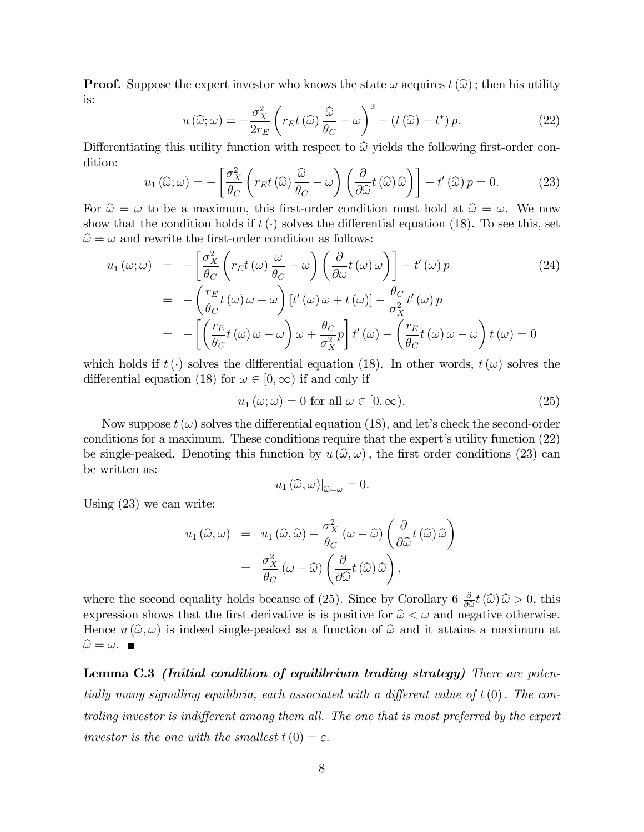**Proof.** Suppose the expert investor who knows the state  $\omega$  acquires  $t(\hat{\omega})$ ; then his utility is:

$$
u(\widehat{\omega};\omega) = -\frac{\sigma_X^2}{2r_E} \left( r_E t(\widehat{\omega}) \frac{\widehat{\omega}}{\theta_C} - \omega \right)^2 - \left( t(\widehat{\omega}) - t^* \right) p. \tag{22}
$$

Differentiating this utility function with respect to  $\hat{\omega}$  yields the following first-order condition:

$$
u_1(\widehat{\omega}; \omega) = -\left[\frac{\sigma_X^2}{\theta_C} \left(r_E t\left(\widehat{\omega}\right) \frac{\widehat{\omega}}{\theta_C} - \omega\right) \left(\frac{\partial}{\partial \widehat{\omega}} t\left(\widehat{\omega}\right) \widehat{\omega}\right)\right] - t'\left(\widehat{\omega}\right) p = 0. \tag{23}
$$

For  $\hat{\omega} = \omega$  to be a maximum, this first-order condition must hold at  $\hat{\omega} = \omega$ . We now show that the condition holds if  $t(\cdot)$  solves the differential equation (18). To see this, set  $\hat{\omega} = \omega$  and rewrite the first-order condition as follows:

$$
u_1(\omega;\omega) = -\left[\frac{\sigma_X^2}{\theta_C} \left(r_E t(\omega)\frac{\omega}{\theta_C} - \omega\right) \left(\frac{\partial}{\partial \omega} t(\omega)\omega\right)\right] - t'(\omega)p
$$
  
\n
$$
= -\left(\frac{r_E}{\theta_C} t(\omega)\omega - \omega\right) [t'(\omega)\omega + t(\omega)] - \frac{\theta_C}{\sigma_X^2} t'(\omega)p
$$
  
\n
$$
= -\left[\left(\frac{r_E}{\theta_C} t(\omega)\omega - \omega\right)\omega + \frac{\theta_C}{\sigma_X^2} p\right] t'(\omega) - \left(\frac{r_E}{\theta_C} t(\omega)\omega - \omega\right) t(\omega) = 0
$$
\n(24)

which holds if  $t(\cdot)$  solves the differential equation (18). In other words,  $t(\omega)$  solves the differential equation (18) for  $\omega \in [0,\infty)$  if and only if

$$
u_1(\omega; \omega) = 0 \text{ for all } \omega \in [0, \infty). \tag{25}
$$

Now suppose  $t(\omega)$  solves the differential equation (18), and let's check the second-order conditions for a maximum. These conditions require that the expert's utility function  $(22)$ be single-peaked. Denoting this function by  $u(\hat{\omega}, \omega)$ , the first order conditions (23) can be written as:

$$
u_1(\widehat{\omega}, \omega)|_{\widehat{\omega}=\omega} = 0.
$$

Using (23) we can write:

$$
u_1(\widehat{\omega}, \omega) = u_1(\widehat{\omega}, \widehat{\omega}) + \frac{\sigma_X^2}{\theta_C} (\omega - \widehat{\omega}) \left( \frac{\partial}{\partial \widehat{\omega}} t(\widehat{\omega}) \widehat{\omega} \right)
$$

$$
= \frac{\sigma_X^2}{\theta_C} (\omega - \widehat{\omega}) \left( \frac{\partial}{\partial \widehat{\omega}} t(\widehat{\omega}) \widehat{\omega} \right),
$$

where the second equality holds because of (25). Since by Corollary  $6 \frac{\partial}{\partial \hat{\omega}} t(\hat{\omega}) \hat{\omega} > 0$ , this correction shows that the first dominative is is positive for  $\hat{\omega} \leq \omega$  and positive otherwise. expression shows that the first derivative is is positive for  $\hat{\omega} < \omega$  and negative otherwise. Hence  $u(\hat{\omega}, \omega)$  is indeed single-peaked as a function of  $\hat{\omega}$  and it attains a maximum at  $\widehat{\omega} = \omega$ .

Lemma C.3 *(Initial condition of equilibrium trading strategy)* There are potentially many signalling equilibria, each associated with a different value of  $t(0)$ . The controling investor is indifferent among them all. The one that is most preferred by the expert investor is the one with the smallest  $t(0) = \varepsilon$ .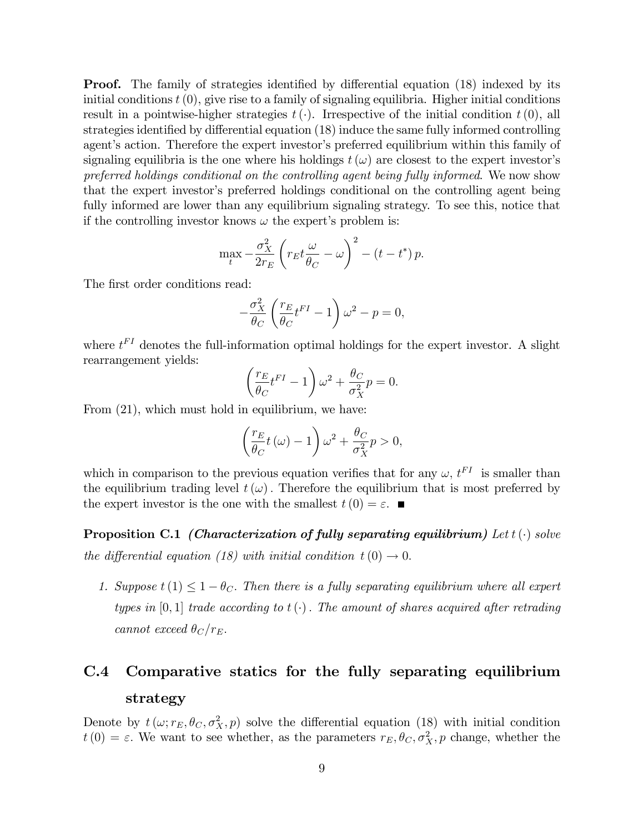**Proof.** The family of strategies identified by differential equation (18) indexed by its initial conditions  $t(0)$ , give rise to a family of signaling equilibria. Higher initial conditions result in a pointwise-higher strategies  $t(\cdot)$ . Irrespective of the initial condition  $t(0)$ , all strategies identified by differential equation  $(18)$  induce the same fully informed controlling agent's action. Therefore the expert investor's preferred equilibrium within this family of signaling equilibria is the one where his holdings  $t(\omega)$  are closest to the expert investor's preferred holdings conditional on the controlling agent being fully informed. We now show that the expert investor's preferred holdings conditional on the controlling agent being fully informed are lower than any equilibrium signaling strategy. To see this, notice that if the controlling investor knows  $\omega$  the expert's problem is:

$$
\max_{t} -\frac{\sigma_X^2}{2r_E} \left( r_E t \frac{\omega}{\theta_C} - \omega \right)^2 - \left( t - t^* \right) p.
$$

The first order conditions read:

$$
-\frac{\sigma_X^2}{\theta_C} \left( \frac{r_E}{\theta_C} t^{FI} - 1 \right) \omega^2 - p = 0,
$$

where  $t<sup>FI</sup>$  denotes the full-information optimal holdings for the expert investor. A slight rearrangement yields:

$$
\left(\frac{r_E}{\theta_C}t^{FI} - 1\right)\omega^2 + \frac{\theta_C}{\sigma_X^2}p = 0.
$$

From (21), which must hold in equilibrium, we have:

$$
\left(\frac{r_E}{\theta_C}t\left(\omega\right)-1\right)\omega^2 + \frac{\theta_C}{\sigma_X^2}p > 0,
$$

which in comparison to the previous equation verifies that for any  $\omega$ ,  $t^{FI}$  is smaller than the equilibrium trading level  $t(\omega)$ . Therefore the equilibrium that is most preferred by the expert investor is the one with the smallest  $t(0) = \varepsilon$ .

**Proposition C.1** (Characterization of fully separating equilibrium) Let  $t(\cdot)$  solve the differential equation (18) with initial condition  $t(0) \rightarrow 0$ .

1. Suppose  $t(1) \leq 1 - \theta_C$ . Then there is a fully separating equilibrium where all expert types in  $[0,1]$  trade according to  $t(\cdot)$ . The amount of shares acquired after retrading cannot exceed  $\theta_C/r_E$ .

## C.4 Comparative statics for the fully separating equilibrium strategy

Denote by  $t(\omega; r_E, \theta_C, \sigma_X^2, p)$  solve the differential equation (18) with initial condition  $t(0) = \varepsilon$ . We want to see whether, as the parameters  $r_E, \theta_C, \sigma_X^2$ , p change, whether the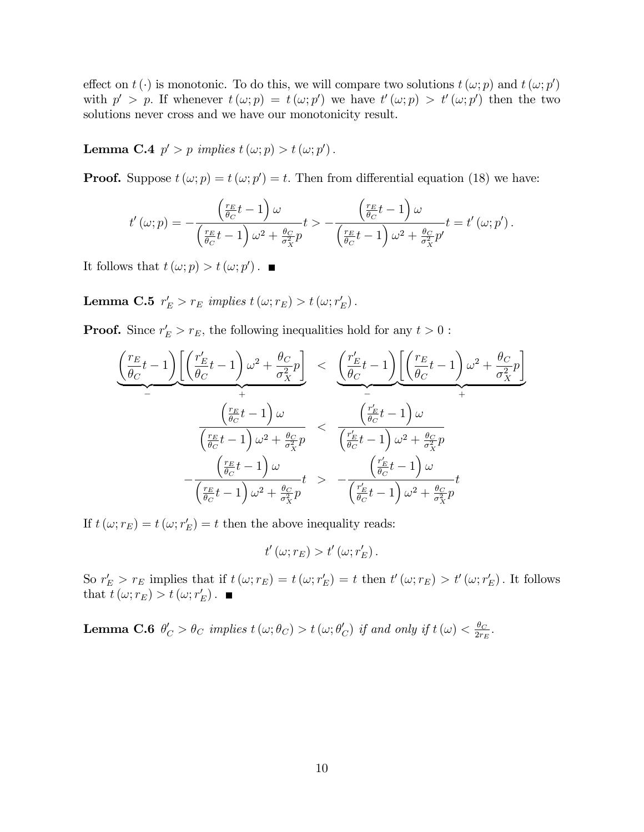effect on  $t(\cdot)$  is monotonic. To do this, we will compare two solutions  $t(\omega; p)$  and  $t(\omega; p')$ with  $p' > p$ . If whenever  $t(\omega; p) = t(\omega; p')$  we have  $t'(\omega; p) > t'(\omega; p')$  then the two solutions never cross and we have our monotonicity result.

**Lemma C.4**  $p' > p$  implies  $t(\omega; p) > t(\omega; p')$ .

**Proof.** Suppose  $t(\omega; p) = t(\omega; p') = t$ . Then from differential equation (18) we have:

$$
t'\left(\omega;p\right) = -\frac{\left(\frac{r_E}{\theta_C}t - 1\right)\omega}{\left(\frac{r_E}{\theta_C}t - 1\right)\omega^2 + \frac{\theta_C}{\sigma_X^2}p}t > -\frac{\left(\frac{r_E}{\theta_C}t - 1\right)\omega}{\left(\frac{r_E}{\theta_C}t - 1\right)\omega^2 + \frac{\theta_C}{\sigma_X^2}p'}t = t'\left(\omega;p'\right).
$$

It follows that  $t(\omega; p) > t(\omega; p')$ .

Lemma C.5  $r_E' > r_E$  implies  $t(\omega; r_E) > t(\omega; r_E')$ .

**Proof.** Since  $r'_E > r_E$ , the following inequalities hold for any  $t > 0$ :

$$
\frac{\left(\frac{r_E}{\theta_C}t-1\right)\left[\left(\frac{r'_E}{\theta_C}t-1\right)\omega^2 + \frac{\theta_C}{\sigma_X^2}p\right]}{\left(\frac{r_E}{\theta_C}t-1\right)\omega} < \underbrace{\left(\frac{r'_E}{\theta_C}t-1\right)\left[\left(\frac{r_E}{\theta_C}t-1\right)\omega^2 + \frac{\theta_C}{\sigma_X^2}p\right]}_{-\frac{\left(\frac{r_E}{\theta_C}t-1\right)\omega}{\left(\frac{r_E}{\theta_C}t-1\right)\omega^2 + \frac{\theta_C}{\sigma_X^2}p} < \underbrace{\left(\frac{r'_E}{\theta_C}t-1\right)\omega}_{\left(\frac{r_E}{\theta_C}t-1\right)\omega^2 + \frac{\theta_C}{\sigma_X^2}p} \n-\frac{\left(\frac{r_E}{\theta_C}t-1\right)\omega}{\left(\frac{r_E}{\theta_C}t-1\right)\omega^2 + \frac{\theta_C}{\sigma_X^2}p} \n-\frac{\left(\frac{r'_E}{\theta_C}t-1\right)\omega}{\left(\frac{r'_E}{\theta_C}t-1\right)\omega^2 + \frac{\theta_C}{\sigma_X^2}p}t
$$

If  $t(\omega; r_E) = t(\omega; r_E') = t$  then the above inequality reads:

$$
t'\left(\omega;r_E\right) > t'\left(\omega;r'_E\right).
$$

So  $r'_E > r_E$  implies that if  $t(\omega; r_E) = t(\omega; r'_E) = t$  then  $t'(\omega; r_E) > t'(\omega; r'_E)$ . It follows that  $t(\omega; r_E) > t(\omega; r'_E)$ .

**Lemma C.6**  $\theta'_{C} > \theta_{C}$  implies  $t(\omega; \theta_{C}) > t(\omega; \theta'_{C})$  if and only if  $t(\omega) < \frac{\theta_{C}}{2r_{F}}$  $\frac{\theta_C}{2r_E}$ .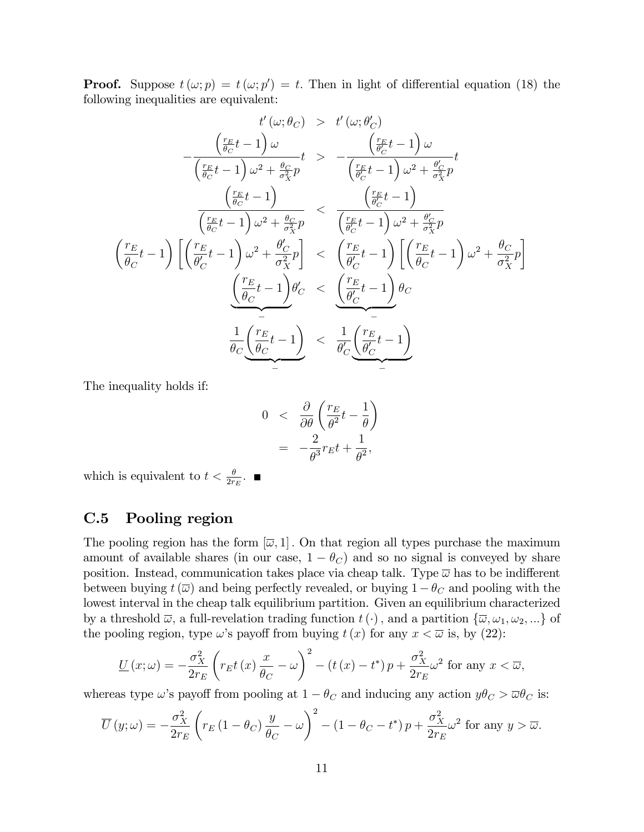**Proof.** Suppose  $t(\omega; p) = t(\omega; p') = t$ . Then in light of differential equation (18) the following inequalities are equivalent:

$$
t'(\omega; \theta_C) > t'(\omega; \theta'_C)
$$

$$
-\frac{\left(\frac{r_E}{\theta_C}t - 1\right)\omega}{\left(\frac{r_E}{\theta_C}t - 1\right)\omega^2 + \frac{\theta_C}{\sigma_X^2}p} < -\frac{\left(\frac{r_E}{\theta_C}t - 1\right)\omega}{\left(\frac{r_E}{\theta_C}t - 1\right)\omega^2 + \frac{\theta'_C}{\sigma_X^2}p}t
$$

$$
\frac{\left(\frac{r_E}{\theta_C}t - 1\right)}{\left(\frac{r_E}{\theta_C}t - 1\right)\omega^2 + \frac{\theta'_C}{\sigma_X^2}p} < \frac{\left(\frac{r_E}{\theta_C}t - 1\right)}{\left(\frac{r_E}{\theta_C}t - 1\right)\omega^2 + \frac{\theta'_C}{\sigma_X^2}p}
$$

$$
\frac{\left(\frac{r_E}{\theta_C}t - 1\right)\left[\left(\frac{r_E}{\theta'_C}t - 1\right)\omega^2 + \frac{\theta'_C}{\sigma_X^2}p\right]}{\left(\frac{\theta'_C}{\theta_C}t - 1\right)\theta'_C} < \frac{\left(\frac{r_E}{\theta'_C}t - 1\right)\left[\left(\frac{r_E}{\theta_C}t - 1\right)\omega^2 + \frac{\theta_C}{\sigma_X^2}p\right]}{\left(\frac{r_E}{\theta_C}t - 1\right)\theta'_C}
$$

$$
\frac{\frac{1}{\theta_C}\left(\frac{r_E}{\theta_C}t - 1\right)}{\left(\frac{\theta'_C}{\theta_C}t - 1\right)} < \frac{\frac{1}{\theta'_C}\left(\frac{r_E}{\theta'_C}t - 1\right)}{\theta'_C\left(\frac{\theta'_C}{\theta'_C}t - 1\right)}
$$

The inequality holds if:

$$
0 < \frac{\partial}{\partial \theta} \left( \frac{r_E}{\theta^2} t - \frac{1}{\theta} \right)
$$
  
= 
$$
-\frac{2}{\theta^3} r_E t + \frac{1}{\theta^2},
$$

which is equivalent to  $t < \frac{\theta}{2r_E}$ .

## C.5 Pooling region

The pooling region has the form  $[\overline{\omega}, 1]$ . On that region all types purchase the maximum amount of available shares (in our case,  $1 - \theta_C$ ) and so no signal is conveyed by share position. Instead, communication takes place via cheap talk. Type  $\overline{\omega}$  has to be indifferent between buying  $t(\overline{\omega})$  and being perfectly revealed, or buying  $1 - \theta_C$  and pooling with the lowest interval in the cheap talk equilibrium partition. Given an equilibrium characterized by a threshold  $\overline{\omega}$ , a full-revelation trading function  $t(\cdot)$ , and a partition  $\{\overline{\omega}, \omega_1, \omega_2, ...\}$  of the pooling region, type  $\omega$ 's payoff from buying  $t(x)$  for any  $x < \overline{\omega}$  is, by (22):

$$
\underline{U}(x;\omega) = -\frac{\sigma_X^2}{2r_E} \left( r_E t\left(x\right) \frac{x}{\theta_C} - \omega \right)^2 - \left( t\left(x\right) - t^* \right) p + \frac{\sigma_X^2}{2r_E} \omega^2 \text{ for any } x < \overline{\omega},
$$

whereas type  $\omega$ 's payoff from pooling at  $1 - \theta_C$  and inducing any action  $y\theta_C > \overline{\omega}\theta_C$  is:

$$
\overline{U}(y;\omega) = -\frac{\sigma_X^2}{2r_E} \left( r_E \left( 1 - \theta_C \right) \frac{y}{\theta_C} - \omega \right)^2 - \left( 1 - \theta_C - t^* \right) p + \frac{\sigma_X^2}{2r_E} \omega^2 \text{ for any } y > \overline{\omega}.
$$